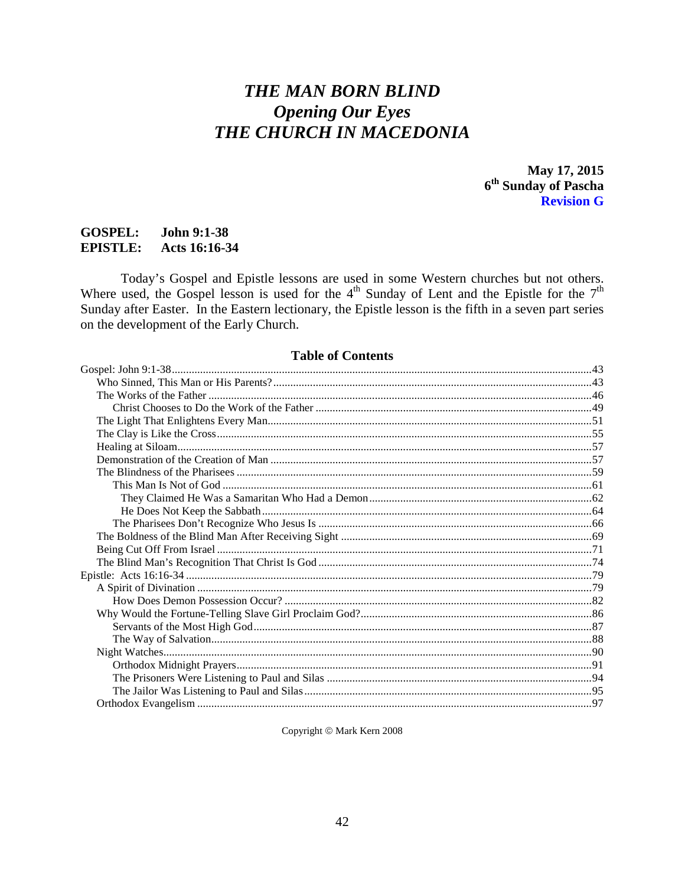# **THE MAN BORN BLIND Opening Our Eyes** THE CHURCH IN MACEDONIA

May 17, 2015 6<sup>th</sup> Sunday of Pascha **Revision G** 

#### **GOSPEL: John 9:1-38 EPISTLE:** Acts 16:16-34

Today's Gospel and Epistle lessons are used in some Western churches but not others.<br>Where used, the Gospel lesson is used for the  $4<sup>th</sup>$  Sunday of Lent and the Epistle for the  $7<sup>th</sup>$ Sunday after Easter. In the Eastern lectionary, the Epistle lesson is the fifth in a seven part series on the development of the Early Church.

### **Table of Contents**

Copyright © Mark Kern 2008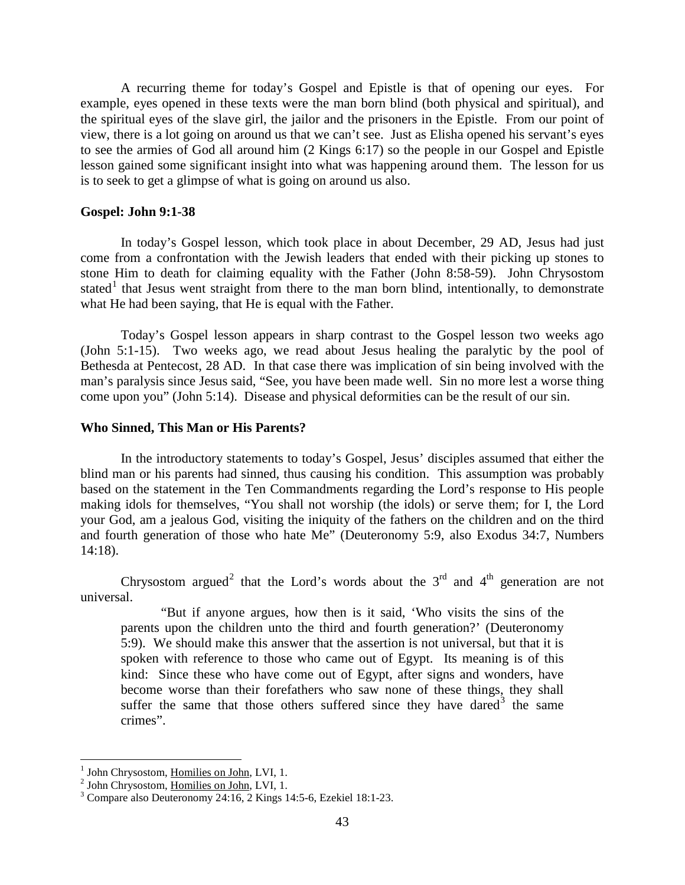A recurring theme for today's Gospel and Epistle is that of opening our eyes. For example, eyes opened in these texts were the man born blind (both physical and spiritual), and the spiritual eyes of the slave girl, the jailor and the prisoners in the Epistle. From our point of view, there is a lot going on around us that we can't see. Just as Elisha opened his servant's eyes to see the armies of God all around him (2 Kings 6:17) so the people in our Gospel and Epistle lesson gained some significant insight into what was happening around them. The lesson for us is to seek to get a glimpse of what is going on around us also.

#### <span id="page-1-0"></span>**Gospel: John 9:1-38**

In today's Gospel lesson, which took place in about December, 29 AD, Jesus had just come from a confrontation with the Jewish leaders that ended with their picking up stones to stone Him to death for claiming equality with the Father (John 8:58-59). John Chrysostom stated<sup>[1](#page-1-2)</sup> that Jesus went straight from there to the man born blind, intentionally, to demonstrate what He had been saying, that He is equal with the Father.

Today's Gospel lesson appears in sharp contrast to the Gospel lesson two weeks ago (John 5:1-15). Two weeks ago, we read about Jesus healing the paralytic by the pool of Bethesda at Pentecost, 28 AD. In that case there was implication of sin being involved with the man's paralysis since Jesus said, "See, you have been made well. Sin no more lest a worse thing come upon you" (John 5:14). Disease and physical deformities can be the result of our sin.

# <span id="page-1-1"></span>**Who Sinned, This Man or His Parents?**

In the introductory statements to today's Gospel, Jesus' disciples assumed that either the blind man or his parents had sinned, thus causing his condition. This assumption was probably based on the statement in the Ten Commandments regarding the Lord's response to His people making idols for themselves, "You shall not worship (the idols) or serve them; for I, the Lord your God, am a jealous God, visiting the iniquity of the fathers on the children and on the third and fourth generation of those who hate Me" (Deuteronomy 5:9, also Exodus 34:7, Numbers 14:18).

Chrysostom argued<sup>[2](#page-1-3)</sup> that the Lord's words about the  $3<sup>rd</sup>$  and  $4<sup>th</sup>$  generation are not universal.

"But if anyone argues, how then is it said, 'Who visits the sins of the parents upon the children unto the third and fourth generation?' (Deuteronomy 5:9). We should make this answer that the assertion is not universal, but that it is spoken with reference to those who came out of Egypt. Its meaning is of this kind: Since these who have come out of Egypt, after signs and wonders, have become worse than their forefathers who saw none of these things, they shall suffer the same that those others suffered since they have dared<sup>[3](#page-1-4)</sup> the same crimes".

<span id="page-1-4"></span><span id="page-1-3"></span>

<span id="page-1-2"></span><sup>&</sup>lt;sup>1</sup> John Chrysostom, <u>Homilies on John</u>, LVI, 1.<br><sup>2</sup> John Chrysostom, <u>Homilies on John</u>, LVI, 1.<br><sup>3</sup> Compare also Deuteronomy 24:16, 2 Kings 14:5-6, Ezekiel 18:1-23.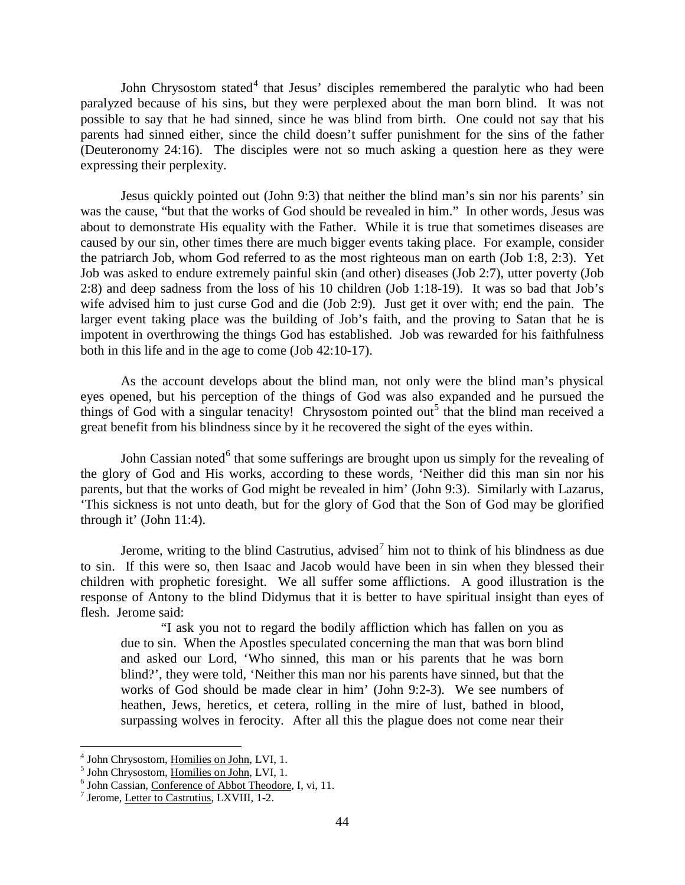John Chrysostom stated<sup>[4](#page-2-0)</sup> that Jesus' disciples remembered the paralytic who had been paralyzed because of his sins, but they were perplexed about the man born blind. It was not possible to say that he had sinned, since he was blind from birth. One could not say that his parents had sinned either, since the child doesn't suffer punishment for the sins of the father (Deuteronomy 24:16). The disciples were not so much asking a question here as they were expressing their perplexity.

Jesus quickly pointed out (John 9:3) that neither the blind man's sin nor his parents' sin was the cause, "but that the works of God should be revealed in him." In other words, Jesus was about to demonstrate His equality with the Father. While it is true that sometimes diseases are caused by our sin, other times there are much bigger events taking place. For example, consider the patriarch Job, whom God referred to as the most righteous man on earth (Job 1:8, 2:3). Yet Job was asked to endure extremely painful skin (and other) diseases (Job 2:7), utter poverty (Job 2:8) and deep sadness from the loss of his 10 children (Job 1:18-19). It was so bad that Job's wife advised him to just curse God and die (Job 2:9). Just get it over with; end the pain. The larger event taking place was the building of Job's faith, and the proving to Satan that he is impotent in overthrowing the things God has established. Job was rewarded for his faithfulness both in this life and in the age to come (Job 42:10-17).

As the account develops about the blind man, not only were the blind man's physical eyes opened, but his perception of the things of God was also expanded and he pursued the things of God with a singular tenacity! Chrysostom pointed out<sup>[5](#page-2-1)</sup> that the blind man received a great benefit from his blindness since by it he recovered the sight of the eyes within.

John Cassian noted $<sup>6</sup>$  $<sup>6</sup>$  $<sup>6</sup>$  that some sufferings are brought upon us simply for the revealing of</sup> the glory of God and His works, according to these words, 'Neither did this man sin nor his parents, but that the works of God might be revealed in him' (John 9:3). Similarly with Lazarus, 'This sickness is not unto death, but for the glory of God that the Son of God may be glorified through it' (John 11:4).

Jerome, writing to the blind Castrutius, advised<sup>[7](#page-2-3)</sup> him not to think of his blindness as due to sin. If this were so, then Isaac and Jacob would have been in sin when they blessed their children with prophetic foresight. We all suffer some afflictions. A good illustration is the response of Antony to the blind Didymus that it is better to have spiritual insight than eyes of flesh. Jerome said:

"I ask you not to regard the bodily affliction which has fallen on you as due to sin. When the Apostles speculated concerning the man that was born blind and asked our Lord, 'Who sinned, this man or his parents that he was born blind?', they were told, 'Neither this man nor his parents have sinned, but that the works of God should be made clear in him' (John 9:2-3). We see numbers of heathen, Jews, heretics, et cetera, rolling in the mire of lust, bathed in blood, surpassing wolves in ferocity. After all this the plague does not come near their

<span id="page-2-2"></span><span id="page-2-1"></span>

<span id="page-2-0"></span><sup>&</sup>lt;sup>4</sup> John Chrysostom, <u>Homilies on John</u>, LVI, 1.<br><sup>5</sup> John Chrysostom, <u>Homilies on John</u>, LVI, 1.<br><sup>6</sup> John Cassian, <u>Conference of Abbot Theodore</u>, I, vi, 11.<br><sup>7</sup> Jerome, Letter to Castrutius, LXVIII, 1-2.

<span id="page-2-3"></span>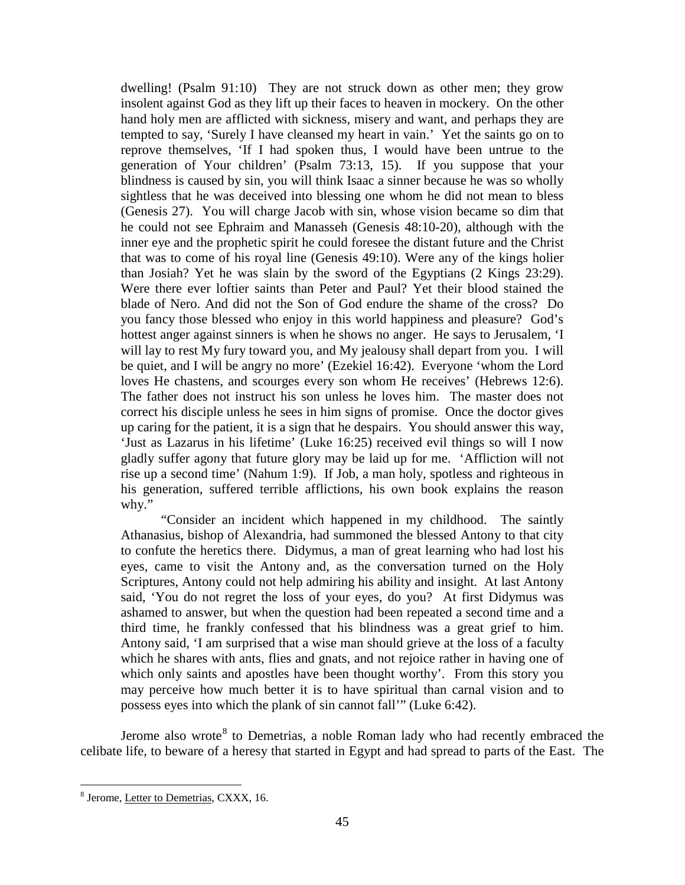dwelling! (Psalm 91:10) They are not struck down as other men; they grow insolent against God as they lift up their faces to heaven in mockery. On the other hand holy men are afflicted with sickness, misery and want, and perhaps they are tempted to say, 'Surely I have cleansed my heart in vain.' Yet the saints go on to reprove themselves, 'If I had spoken thus, I would have been untrue to the generation of Your children' (Psalm 73:13, 15). If you suppose that your blindness is caused by sin, you will think Isaac a sinner because he was so wholly sightless that he was deceived into blessing one whom he did not mean to bless (Genesis 27). You will charge Jacob with sin, whose vision became so dim that he could not see Ephraim and Manasseh (Genesis 48:10-20), although with the inner eye and the prophetic spirit he could foresee the distant future and the Christ that was to come of his royal line (Genesis 49:10). Were any of the kings holier than Josiah? Yet he was slain by the sword of the Egyptians (2 Kings 23:29). Were there ever loftier saints than Peter and Paul? Yet their blood stained the blade of Nero. And did not the Son of God endure the shame of the cross? Do you fancy those blessed who enjoy in this world happiness and pleasure? God's hottest anger against sinners is when he shows no anger. He says to Jerusalem, 'I will lay to rest My fury toward you, and My jealousy shall depart from you. I will be quiet, and I will be angry no more' (Ezekiel 16:42). Everyone 'whom the Lord loves He chastens, and scourges every son whom He receives' (Hebrews 12:6). The father does not instruct his son unless he loves him. The master does not correct his disciple unless he sees in him signs of promise. Once the doctor gives up caring for the patient, it is a sign that he despairs. You should answer this way, 'Just as Lazarus in his lifetime' (Luke 16:25) received evil things so will I now gladly suffer agony that future glory may be laid up for me. 'Affliction will not rise up a second time' (Nahum 1:9). If Job, a man holy, spotless and righteous in his generation, suffered terrible afflictions, his own book explains the reason why."

"Consider an incident which happened in my childhood. The saintly Athanasius, bishop of Alexandria, had summoned the blessed Antony to that city to confute the heretics there. Didymus, a man of great learning who had lost his eyes, came to visit the Antony and, as the conversation turned on the Holy Scriptures, Antony could not help admiring his ability and insight. At last Antony said, 'You do not regret the loss of your eyes, do you? At first Didymus was ashamed to answer, but when the question had been repeated a second time and a third time, he frankly confessed that his blindness was a great grief to him. Antony said, 'I am surprised that a wise man should grieve at the loss of a faculty which he shares with ants, flies and gnats, and not rejoice rather in having one of which only saints and apostles have been thought worthy'. From this story you may perceive how much better it is to have spiritual than carnal vision and to possess eyes into which the plank of sin cannot fall'" (Luke 6:42).

Jerome also wrote<sup>[8](#page-3-0)</sup> to Demetrias, a noble Roman lady who had recently embraced the celibate life, to beware of a heresy that started in Egypt and had spread to parts of the East. The

<span id="page-3-0"></span> <sup>8</sup> Jerome, Letter to Demetrias, CXXX, 16.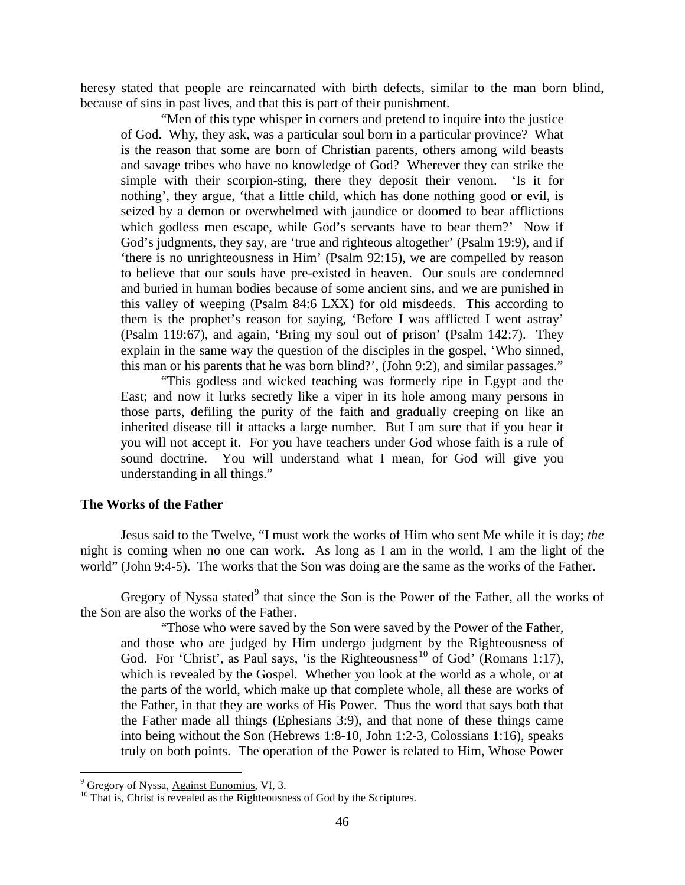heresy stated that people are reincarnated with birth defects, similar to the man born blind, because of sins in past lives, and that this is part of their punishment.

"Men of this type whisper in corners and pretend to inquire into the justice of God. Why, they ask, was a particular soul born in a particular province? What is the reason that some are born of Christian parents, others among wild beasts and savage tribes who have no knowledge of God? Wherever they can strike the simple with their scorpion-sting, there they deposit their venom. 'Is it for nothing', they argue, 'that a little child, which has done nothing good or evil, is seized by a demon or overwhelmed with jaundice or doomed to bear afflictions which godless men escape, while God's servants have to bear them?' Now if God's judgments, they say, are 'true and righteous altogether' (Psalm 19:9), and if 'there is no unrighteousness in Him' (Psalm 92:15), we are compelled by reason to believe that our souls have pre-existed in heaven. Our souls are condemned and buried in human bodies because of some ancient sins, and we are punished in this valley of weeping (Psalm 84:6 LXX) for old misdeeds. This according to them is the prophet's reason for saying, 'Before I was afflicted I went astray' (Psalm 119:67), and again, 'Bring my soul out of prison' (Psalm 142:7). They explain in the same way the question of the disciples in the gospel, 'Who sinned, this man or his parents that he was born blind?', (John 9:2), and similar passages."

"This godless and wicked teaching was formerly ripe in Egypt and the East; and now it lurks secretly like a viper in its hole among many persons in those parts, defiling the purity of the faith and gradually creeping on like an inherited disease till it attacks a large number. But I am sure that if you hear it you will not accept it. For you have teachers under God whose faith is a rule of sound doctrine. You will understand what I mean, for God will give you understanding in all things."

### <span id="page-4-0"></span>**The Works of the Father**

Jesus said to the Twelve, "I must work the works of Him who sent Me while it is day; *the*  night is coming when no one can work. As long as I am in the world, I am the light of the world" (John 9:4-5). The works that the Son was doing are the same as the works of the Father.

Gregory of Nyssa stated $9$  that since the Son is the Power of the Father, all the works of the Son are also the works of the Father.

"Those who were saved by the Son were saved by the Power of the Father, and those who are judged by Him undergo judgment by the Righteousness of God. For 'Christ', as Paul says, 'is the Righteousness<sup>[10](#page-4-2)</sup> of God' (Romans 1:17), which is revealed by the Gospel. Whether you look at the world as a whole, or at the parts of the world, which make up that complete whole, all these are works of the Father, in that they are works of His Power. Thus the word that says both that the Father made all things (Ephesians 3:9), and that none of these things came into being without the Son (Hebrews 1:8-10, John 1:2-3, Colossians 1:16), speaks truly on both points. The operation of the Power is related to Him, Whose Power

<span id="page-4-2"></span>

<span id="page-4-1"></span> $^{9}$  Gregory of Nyssa, Against Eunomius, VI, 3.  $^{10}$  That is, Christ is revealed as the Righteousness of God by the Scriptures.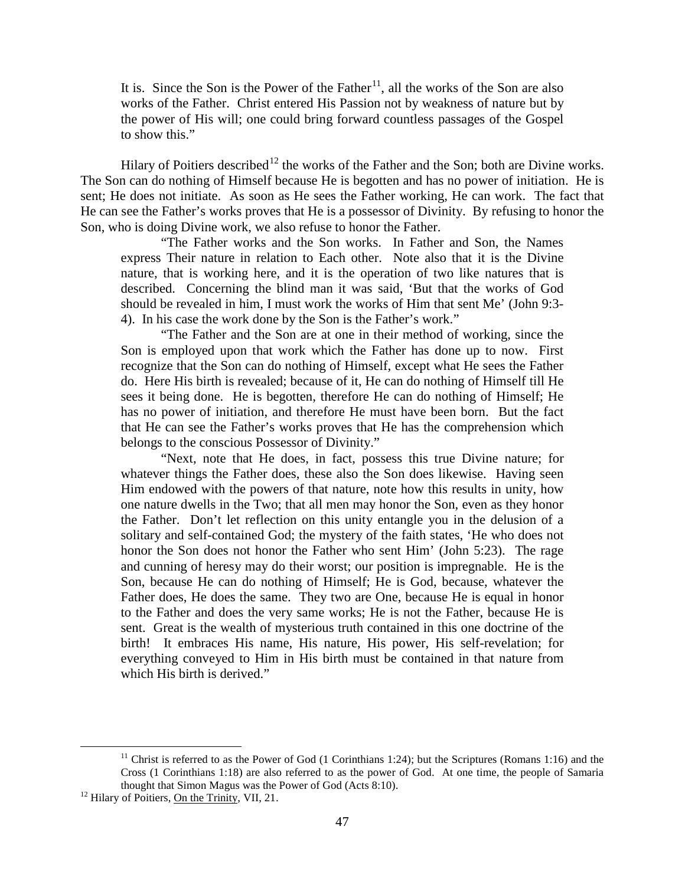It is. Since the Son is the Power of the Father<sup>11</sup>, all the works of the Son are also works of the Father. Christ entered His Passion not by weakness of nature but by the power of His will; one could bring forward countless passages of the Gospel to show this."

Hilary of Poitiers described<sup>[12](#page-5-1)</sup> the works of the Father and the Son; both are Divine works. The Son can do nothing of Himself because He is begotten and has no power of initiation. He is sent; He does not initiate. As soon as He sees the Father working, He can work. The fact that He can see the Father's works proves that He is a possessor of Divinity. By refusing to honor the Son, who is doing Divine work, we also refuse to honor the Father.

"The Father works and the Son works. In Father and Son, the Names express Their nature in relation to Each other. Note also that it is the Divine nature, that is working here, and it is the operation of two like natures that is described. Concerning the blind man it was said, 'But that the works of God should be revealed in him, I must work the works of Him that sent Me' (John 9:3- 4). In his case the work done by the Son is the Father's work."

"The Father and the Son are at one in their method of working, since the Son is employed upon that work which the Father has done up to now. First recognize that the Son can do nothing of Himself, except what He sees the Father do. Here His birth is revealed; because of it, He can do nothing of Himself till He sees it being done. He is begotten, therefore He can do nothing of Himself; He has no power of initiation, and therefore He must have been born. But the fact that He can see the Father's works proves that He has the comprehension which belongs to the conscious Possessor of Divinity."

"Next, note that He does, in fact, possess this true Divine nature; for whatever things the Father does, these also the Son does likewise. Having seen Him endowed with the powers of that nature, note how this results in unity, how one nature dwells in the Two; that all men may honor the Son, even as they honor the Father. Don't let reflection on this unity entangle you in the delusion of a solitary and self-contained God; the mystery of the faith states, 'He who does not honor the Son does not honor the Father who sent Him' (John 5:23). The rage and cunning of heresy may do their worst; our position is impregnable. He is the Son, because He can do nothing of Himself; He is God, because, whatever the Father does, He does the same. They two are One, because He is equal in honor to the Father and does the very same works; He is not the Father, because He is sent. Great is the wealth of mysterious truth contained in this one doctrine of the birth! It embraces His name, His nature, His power, His self-revelation; for everything conveyed to Him in His birth must be contained in that nature from which His birth is derived."

<span id="page-5-0"></span><sup>&</sup>lt;sup>11</sup> Christ is referred to as the Power of God (1 Corinthians 1:24); but the Scriptures (Romans 1:16) and the Cross (1 Corinthians 1:18) are also referred to as the power of God. At one time, the people of Samaria thought that Simon Magus was the Power of God (Acts 8:10).<br><sup>12</sup> Hilary of Poitiers, <u>On the Trinity</u>, VII, 21.

<span id="page-5-1"></span>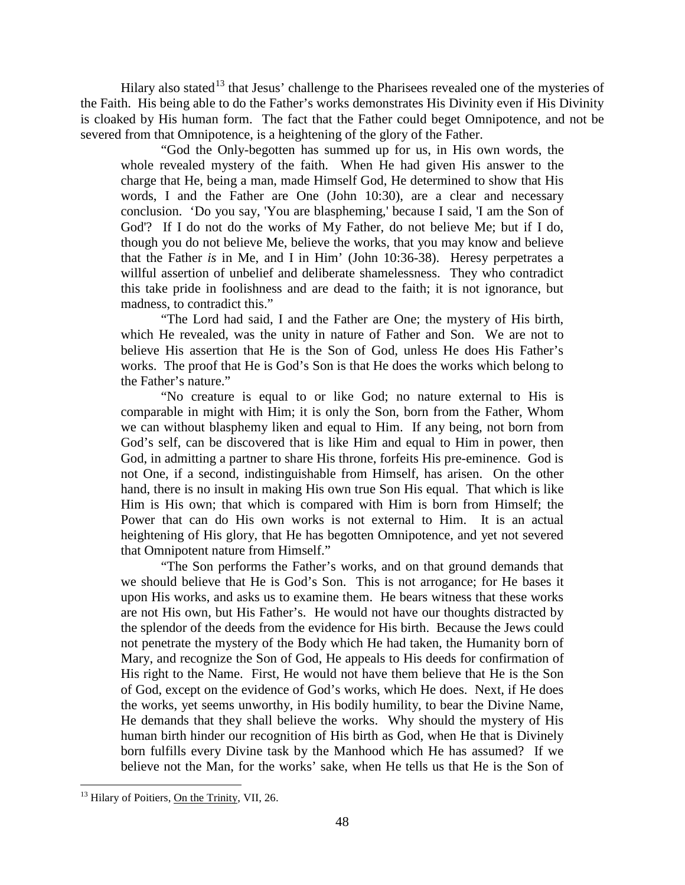Hilary also stated<sup>[13](#page-6-0)</sup> that Jesus' challenge to the Pharisees revealed one of the mysteries of the Faith. His being able to do the Father's works demonstrates His Divinity even if His Divinity is cloaked by His human form. The fact that the Father could beget Omnipotence, and not be severed from that Omnipotence, is a heightening of the glory of the Father.

"God the Only-begotten has summed up for us, in His own words, the whole revealed mystery of the faith. When He had given His answer to the charge that He, being a man, made Himself God, He determined to show that His words, I and the Father are One (John 10:30), are a clear and necessary conclusion. 'Do you say, 'You are blaspheming,' because I said, 'I am the Son of God'? If I do not do the works of My Father, do not believe Me; but if I do, though you do not believe Me, believe the works, that you may know and believe that the Father *is* in Me, and I in Him' (John 10:36-38). Heresy perpetrates a willful assertion of unbelief and deliberate shamelessness. They who contradict this take pride in foolishness and are dead to the faith; it is not ignorance, but madness, to contradict this."

"The Lord had said, I and the Father are One; the mystery of His birth, which He revealed, was the unity in nature of Father and Son. We are not to believe His assertion that He is the Son of God, unless He does His Father's works. The proof that He is God's Son is that He does the works which belong to the Father's nature."

"No creature is equal to or like God; no nature external to His is comparable in might with Him; it is only the Son, born from the Father, Whom we can without blasphemy liken and equal to Him. If any being, not born from God's self, can be discovered that is like Him and equal to Him in power, then God, in admitting a partner to share His throne, forfeits His pre-eminence. God is not One, if a second, indistinguishable from Himself, has arisen. On the other hand, there is no insult in making His own true Son His equal. That which is like Him is His own; that which is compared with Him is born from Himself; the Power that can do His own works is not external to Him. It is an actual heightening of His glory, that He has begotten Omnipotence, and yet not severed that Omnipotent nature from Himself."

"The Son performs the Father's works, and on that ground demands that we should believe that He is God's Son. This is not arrogance; for He bases it upon His works, and asks us to examine them. He bears witness that these works are not His own, but His Father's. He would not have our thoughts distracted by the splendor of the deeds from the evidence for His birth. Because the Jews could not penetrate the mystery of the Body which He had taken, the Humanity born of Mary, and recognize the Son of God, He appeals to His deeds for confirmation of His right to the Name. First, He would not have them believe that He is the Son of God, except on the evidence of God's works, which He does. Next, if He does the works, yet seems unworthy, in His bodily humility, to bear the Divine Name, He demands that they shall believe the works. Why should the mystery of His human birth hinder our recognition of His birth as God, when He that is Divinely born fulfills every Divine task by the Manhood which He has assumed? If we believe not the Man, for the works' sake, when He tells us that He is the Son of

<span id="page-6-0"></span> $13$  Hilary of Poitiers, On the Trinity, VII, 26.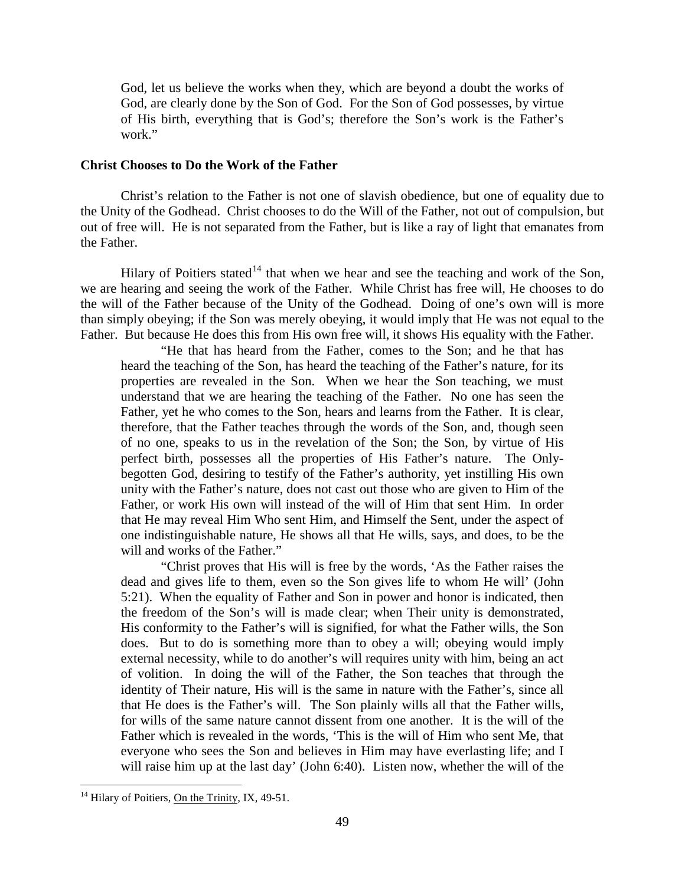God, let us believe the works when they, which are beyond a doubt the works of God, are clearly done by the Son of God. For the Son of God possesses, by virtue of His birth, everything that is God's; therefore the Son's work is the Father's work."

#### <span id="page-7-0"></span>**Christ Chooses to Do the Work of the Father**

Christ's relation to the Father is not one of slavish obedience, but one of equality due to the Unity of the Godhead. Christ chooses to do the Will of the Father, not out of compulsion, but out of free will. He is not separated from the Father, but is like a ray of light that emanates from the Father.

Hilary of Poitiers stated<sup>[14](#page-7-1)</sup> that when we hear and see the teaching and work of the Son, we are hearing and seeing the work of the Father. While Christ has free will, He chooses to do the will of the Father because of the Unity of the Godhead. Doing of one's own will is more than simply obeying; if the Son was merely obeying, it would imply that He was not equal to the Father. But because He does this from His own free will, it shows His equality with the Father.

"He that has heard from the Father, comes to the Son; and he that has heard the teaching of the Son, has heard the teaching of the Father's nature, for its properties are revealed in the Son. When we hear the Son teaching, we must understand that we are hearing the teaching of the Father. No one has seen the Father, yet he who comes to the Son, hears and learns from the Father. It is clear, therefore, that the Father teaches through the words of the Son, and, though seen of no one, speaks to us in the revelation of the Son; the Son, by virtue of His perfect birth, possesses all the properties of His Father's nature. The Onlybegotten God, desiring to testify of the Father's authority, yet instilling His own unity with the Father's nature, does not cast out those who are given to Him of the Father, or work His own will instead of the will of Him that sent Him. In order that He may reveal Him Who sent Him, and Himself the Sent, under the aspect of one indistinguishable nature, He shows all that He wills, says, and does, to be the will and works of the Father."

"Christ proves that His will is free by the words, 'As the Father raises the dead and gives life to them, even so the Son gives life to whom He will' (John 5:21). When the equality of Father and Son in power and honor is indicated, then the freedom of the Son's will is made clear; when Their unity is demonstrated, His conformity to the Father's will is signified, for what the Father wills, the Son does. But to do is something more than to obey a will; obeying would imply external necessity, while to do another's will requires unity with him, being an act of volition. In doing the will of the Father, the Son teaches that through the identity of Their nature, His will is the same in nature with the Father's, since all that He does is the Father's will. The Son plainly wills all that the Father wills, for wills of the same nature cannot dissent from one another. It is the will of the Father which is revealed in the words, 'This is the will of Him who sent Me, that everyone who sees the Son and believes in Him may have everlasting life; and I will raise him up at the last day' (John 6:40). Listen now, whether the will of the

<span id="page-7-1"></span><sup>&</sup>lt;sup>14</sup> Hilary of Poitiers, **On the Trinity**, IX, 49-51.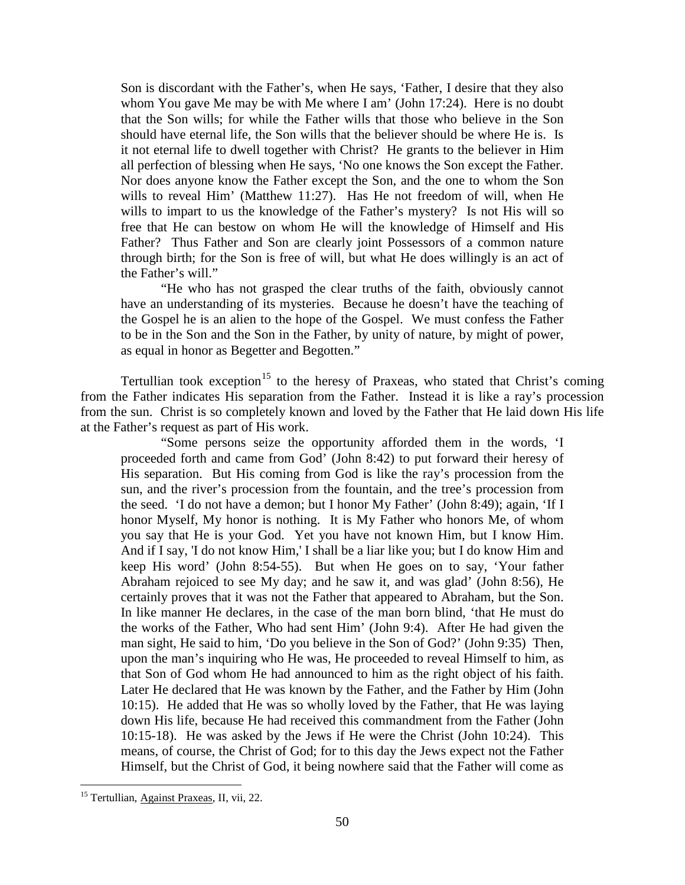Son is discordant with the Father's, when He says, 'Father, I desire that they also whom You gave Me may be with Me where I am' (John 17:24). Here is no doubt that the Son wills; for while the Father wills that those who believe in the Son should have eternal life, the Son wills that the believer should be where He is. Is it not eternal life to dwell together with Christ? He grants to the believer in Him all perfection of blessing when He says, 'No one knows the Son except the Father. Nor does anyone know the Father except the Son, and the one to whom the Son wills to reveal Him' (Matthew 11:27). Has He not freedom of will, when He wills to impart to us the knowledge of the Father's mystery? Is not His will so free that He can bestow on whom He will the knowledge of Himself and His Father? Thus Father and Son are clearly joint Possessors of a common nature through birth; for the Son is free of will, but what He does willingly is an act of the Father's will."

"He who has not grasped the clear truths of the faith, obviously cannot have an understanding of its mysteries. Because he doesn't have the teaching of the Gospel he is an alien to the hope of the Gospel. We must confess the Father to be in the Son and the Son in the Father, by unity of nature, by might of power, as equal in honor as Begetter and Begotten."

Tertullian took exception<sup>[15](#page-8-0)</sup> to the heresy of Praxeas, who stated that Christ's coming from the Father indicates His separation from the Father. Instead it is like a ray's procession from the sun. Christ is so completely known and loved by the Father that He laid down His life at the Father's request as part of His work.

"Some persons seize the opportunity afforded them in the words, 'I proceeded forth and came from God' (John 8:42) to put forward their heresy of His separation. But His coming from God is like the ray's procession from the sun, and the river's procession from the fountain, and the tree's procession from the seed. 'I do not have a demon; but I honor My Father' (John 8:49); again, 'If I honor Myself, My honor is nothing. It is My Father who honors Me, of whom you say that He is your God. Yet you have not known Him, but I know Him. And if I say, 'I do not know Him,' I shall be a liar like you; but I do know Him and keep His word' (John 8:54-55). But when He goes on to say, 'Your father Abraham rejoiced to see My day; and he saw it, and was glad' (John 8:56), He certainly proves that it was not the Father that appeared to Abraham, but the Son. In like manner He declares, in the case of the man born blind, 'that He must do the works of the Father, Who had sent Him' (John 9:4). After He had given the man sight, He said to him, 'Do you believe in the Son of God?' (John 9:35) Then, upon the man's inquiring who He was, He proceeded to reveal Himself to him, as that Son of God whom He had announced to him as the right object of his faith. Later He declared that He was known by the Father, and the Father by Him (John 10:15). He added that He was so wholly loved by the Father, that He was laying down His life, because He had received this commandment from the Father (John 10:15-18). He was asked by the Jews if He were the Christ (John 10:24). This means, of course, the Christ of God; for to this day the Jews expect not the Father Himself, but the Christ of God, it being nowhere said that the Father will come as

<span id="page-8-0"></span><sup>&</sup>lt;sup>15</sup> Tertullian, Against Praxeas, II, vii, 22.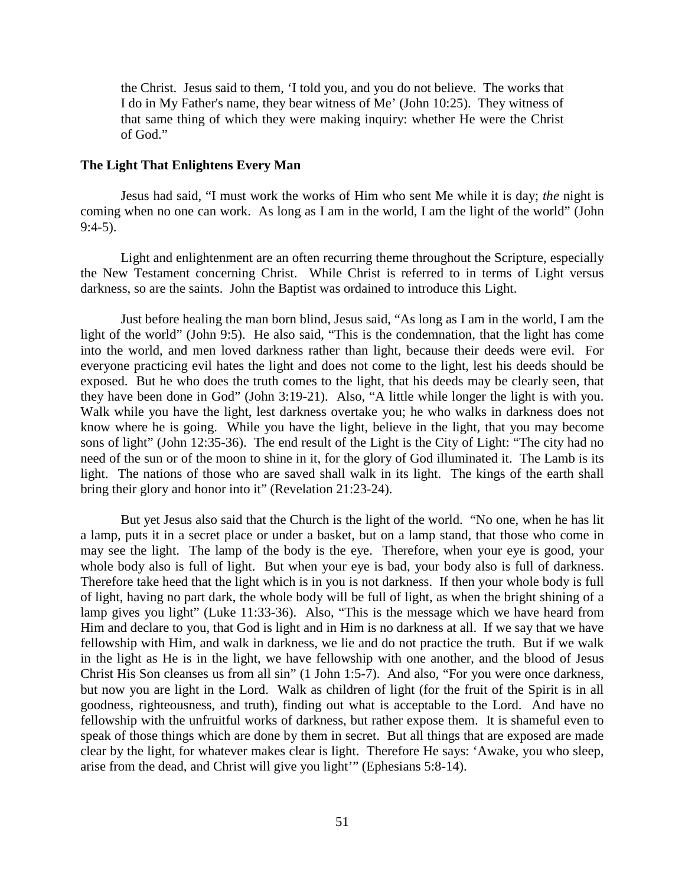the Christ. Jesus said to them, 'I told you, and you do not believe. The works that I do in My Father's name, they bear witness of Me' (John 10:25). They witness of that same thing of which they were making inquiry: whether He were the Christ of God."

#### <span id="page-9-0"></span>**The Light That Enlightens Every Man**

Jesus had said, "I must work the works of Him who sent Me while it is day; *the* night is coming when no one can work. As long as I am in the world, I am the light of the world" (John 9:4-5).

Light and enlightenment are an often recurring theme throughout the Scripture, especially the New Testament concerning Christ. While Christ is referred to in terms of Light versus darkness, so are the saints. John the Baptist was ordained to introduce this Light.

Just before healing the man born blind, Jesus said, "As long as I am in the world, I am the light of the world" (John 9:5). He also said, "This is the condemnation, that the light has come into the world, and men loved darkness rather than light, because their deeds were evil. For everyone practicing evil hates the light and does not come to the light, lest his deeds should be exposed. But he who does the truth comes to the light, that his deeds may be clearly seen, that they have been done in God" (John 3:19-21). Also, "A little while longer the light is with you. Walk while you have the light, lest darkness overtake you; he who walks in darkness does not know where he is going. While you have the light, believe in the light, that you may become sons of light" (John 12:35-36). The end result of the Light is the City of Light: "The city had no need of the sun or of the moon to shine in it, for the glory of God illuminated it. The Lamb is its light. The nations of those who are saved shall walk in its light. The kings of the earth shall bring their glory and honor into it" (Revelation 21:23-24).

But yet Jesus also said that the Church is the light of the world. "No one, when he has lit a lamp, puts it in a secret place or under a basket, but on a lamp stand, that those who come in may see the light. The lamp of the body is the eye. Therefore, when your eye is good, your whole body also is full of light. But when your eye is bad, your body also is full of darkness. Therefore take heed that the light which is in you is not darkness. If then your whole body is full of light, having no part dark, the whole body will be full of light, as when the bright shining of a lamp gives you light" (Luke 11:33-36). Also, "This is the message which we have heard from Him and declare to you, that God is light and in Him is no darkness at all. If we say that we have fellowship with Him, and walk in darkness, we lie and do not practice the truth. But if we walk in the light as He is in the light, we have fellowship with one another, and the blood of Jesus Christ His Son cleanses us from all sin" (1 John 1:5-7). And also, "For you were once darkness, but now you are light in the Lord. Walk as children of light (for the fruit of the Spirit is in all goodness, righteousness, and truth), finding out what is acceptable to the Lord. And have no fellowship with the unfruitful works of darkness, but rather expose them. It is shameful even to speak of those things which are done by them in secret. But all things that are exposed are made clear by the light, for whatever makes clear is light. Therefore He says: 'Awake, you who sleep, arise from the dead, and Christ will give you light'" (Ephesians 5:8-14).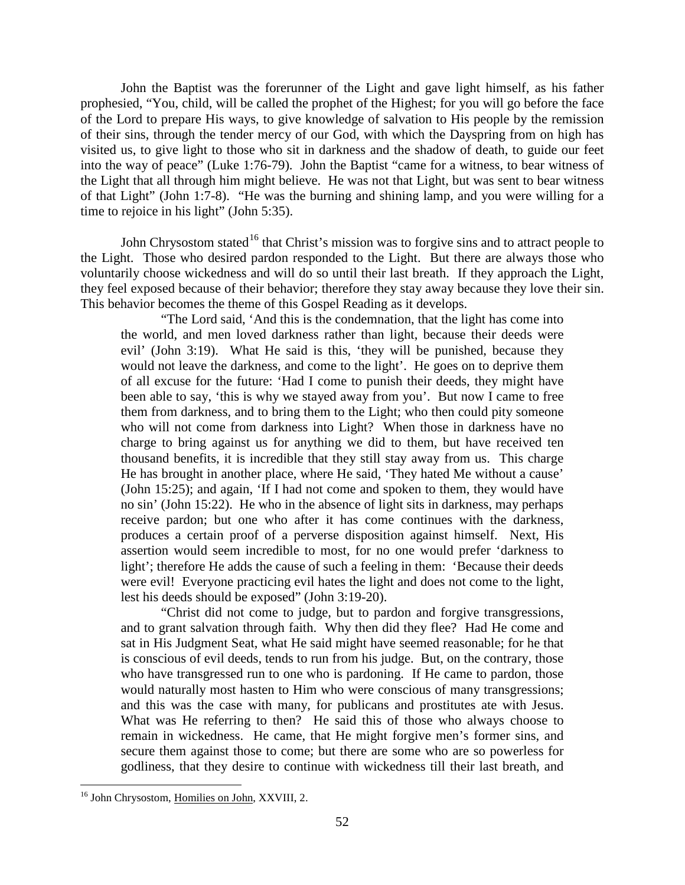John the Baptist was the forerunner of the Light and gave light himself, as his father prophesied, "You, child, will be called the prophet of the Highest; for you will go before the face of the Lord to prepare His ways, to give knowledge of salvation to His people by the remission of their sins, through the tender mercy of our God, with which the Dayspring from on high has visited us, to give light to those who sit in darkness and the shadow of death, to guide our feet into the way of peace" (Luke 1:76-79). John the Baptist "came for a witness, to bear witness of the Light that all through him might believe. He was not that Light, but was sent to bear witness of that Light" (John 1:7-8). "He was the burning and shining lamp, and you were willing for a time to rejoice in his light" (John 5:35).

John Chrysostom stated<sup>[16](#page-10-0)</sup> that Christ's mission was to forgive sins and to attract people to the Light. Those who desired pardon responded to the Light. But there are always those who voluntarily choose wickedness and will do so until their last breath. If they approach the Light, they feel exposed because of their behavior; therefore they stay away because they love their sin. This behavior becomes the theme of this Gospel Reading as it develops.

"The Lord said, 'And this is the condemnation, that the light has come into the world, and men loved darkness rather than light, because their deeds were evil' (John 3:19). What He said is this, 'they will be punished, because they would not leave the darkness, and come to the light'. He goes on to deprive them of all excuse for the future: 'Had I come to punish their deeds, they might have been able to say, 'this is why we stayed away from you'. But now I came to free them from darkness, and to bring them to the Light; who then could pity someone who will not come from darkness into Light? When those in darkness have no charge to bring against us for anything we did to them, but have received ten thousand benefits, it is incredible that they still stay away from us. This charge He has brought in another place, where He said, 'They hated Me without a cause' (John 15:25); and again, 'If I had not come and spoken to them, they would have no sin' (John 15:22). He who in the absence of light sits in darkness, may perhaps receive pardon; but one who after it has come continues with the darkness, produces a certain proof of a perverse disposition against himself. Next, His assertion would seem incredible to most, for no one would prefer 'darkness to light'; therefore He adds the cause of such a feeling in them: 'Because their deeds were evil! Everyone practicing evil hates the light and does not come to the light, lest his deeds should be exposed" (John 3:19-20).

"Christ did not come to judge, but to pardon and forgive transgressions, and to grant salvation through faith. Why then did they flee? Had He come and sat in His Judgment Seat, what He said might have seemed reasonable; for he that is conscious of evil deeds, tends to run from his judge. But, on the contrary, those who have transgressed run to one who is pardoning. If He came to pardon, those would naturally most hasten to Him who were conscious of many transgressions; and this was the case with many, for publicans and prostitutes ate with Jesus. What was He referring to then? He said this of those who always choose to remain in wickedness. He came, that He might forgive men's former sins, and secure them against those to come; but there are some who are so powerless for godliness, that they desire to continue with wickedness till their last breath, and

<span id="page-10-0"></span><sup>&</sup>lt;sup>16</sup> John Chrysostom, Homilies on John, XXVIII, 2.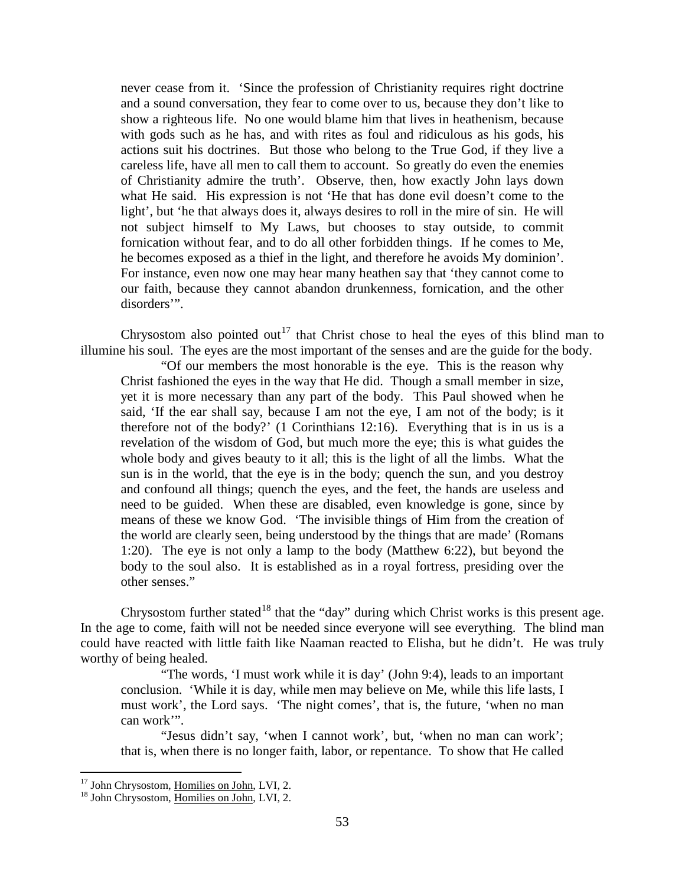never cease from it. 'Since the profession of Christianity requires right doctrine and a sound conversation, they fear to come over to us, because they don't like to show a righteous life. No one would blame him that lives in heathenism, because with gods such as he has, and with rites as foul and ridiculous as his gods, his actions suit his doctrines. But those who belong to the True God, if they live a careless life, have all men to call them to account. So greatly do even the enemies of Christianity admire the truth'. Observe, then, how exactly John lays down what He said. His expression is not 'He that has done evil doesn't come to the light', but 'he that always does it, always desires to roll in the mire of sin. He will not subject himself to My Laws, but chooses to stay outside, to commit fornication without fear, and to do all other forbidden things. If he comes to Me, he becomes exposed as a thief in the light, and therefore he avoids My dominion'. For instance, even now one may hear many heathen say that 'they cannot come to our faith, because they cannot abandon drunkenness, fornication, and the other disorders'".

Chrysostom also pointed out<sup>[17](#page-11-0)</sup> that Christ chose to heal the eyes of this blind man to illumine his soul. The eyes are the most important of the senses and are the guide for the body.

"Of our members the most honorable is the eye. This is the reason why Christ fashioned the eyes in the way that He did. Though a small member in size, yet it is more necessary than any part of the body. This Paul showed when he said, 'If the ear shall say, because I am not the eye, I am not of the body; is it therefore not of the body?' (1 Corinthians 12:16). Everything that is in us is a revelation of the wisdom of God, but much more the eye; this is what guides the whole body and gives beauty to it all; this is the light of all the limbs. What the sun is in the world, that the eye is in the body; quench the sun, and you destroy and confound all things; quench the eyes, and the feet, the hands are useless and need to be guided. When these are disabled, even knowledge is gone, since by means of these we know God. 'The invisible things of Him from the creation of the world are clearly seen, being understood by the things that are made' (Romans 1:20). The eye is not only a lamp to the body (Matthew 6:22), but beyond the body to the soul also. It is established as in a royal fortress, presiding over the other senses."

Chrysostom further stated<sup>[18](#page-11-1)</sup> that the "day" during which Christ works is this present age. In the age to come, faith will not be needed since everyone will see everything. The blind man could have reacted with little faith like Naaman reacted to Elisha, but he didn't. He was truly worthy of being healed.

"The words, 'I must work while it is day' (John 9:4), leads to an important conclusion. 'While it is day, while men may believe on Me, while this life lasts, I must work', the Lord says. 'The night comes', that is, the future, 'when no man can work'".

"Jesus didn't say, 'when I cannot work', but, 'when no man can work'; that is, when there is no longer faith, labor, or repentance. To show that He called

<span id="page-11-0"></span> $17$  John Chrysostom, Homilies on John, LVI, 2.  $18$  John Chrysostom, Homilies on John, LVI, 2.

<span id="page-11-1"></span>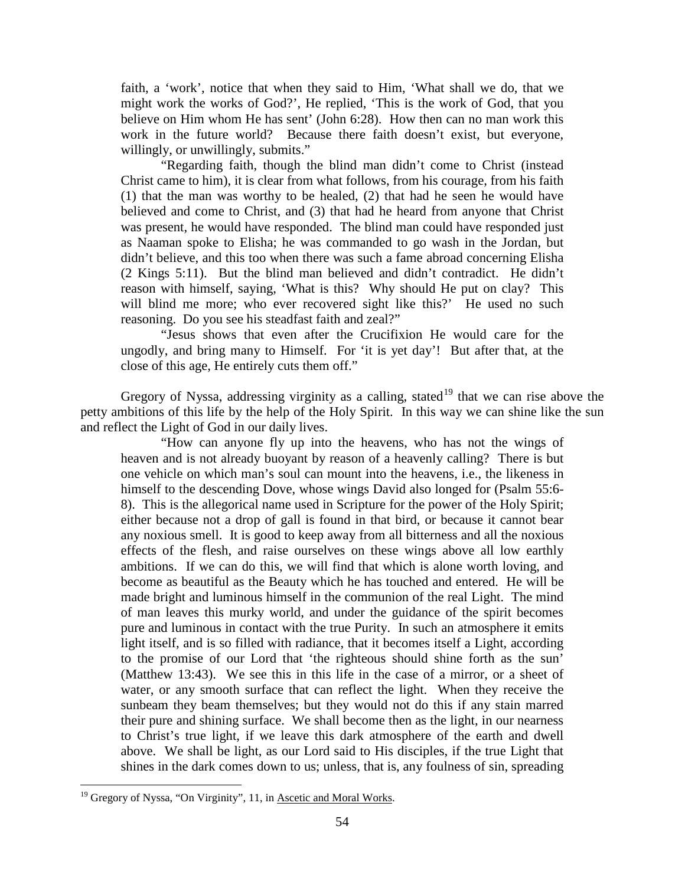faith, a 'work', notice that when they said to Him, 'What shall we do, that we might work the works of God?', He replied, 'This is the work of God, that you believe on Him whom He has sent' (John 6:28). How then can no man work this work in the future world? Because there faith doesn't exist, but everyone, willingly, or unwillingly, submits."

"Regarding faith, though the blind man didn't come to Christ (instead Christ came to him), it is clear from what follows, from his courage, from his faith (1) that the man was worthy to be healed, (2) that had he seen he would have believed and come to Christ, and (3) that had he heard from anyone that Christ was present, he would have responded. The blind man could have responded just as Naaman spoke to Elisha; he was commanded to go wash in the Jordan, but didn't believe, and this too when there was such a fame abroad concerning Elisha (2 Kings 5:11). But the blind man believed and didn't contradict. He didn't reason with himself, saying, 'What is this? Why should He put on clay? This will blind me more; who ever recovered sight like this?' He used no such reasoning. Do you see his steadfast faith and zeal?"

"Jesus shows that even after the Crucifixion He would care for the ungodly, and bring many to Himself. For 'it is yet day'! But after that, at the close of this age, He entirely cuts them off."

Gregory of Nyssa, addressing virginity as a calling, stated<sup>[19](#page-12-0)</sup> that we can rise above the petty ambitions of this life by the help of the Holy Spirit. In this way we can shine like the sun and reflect the Light of God in our daily lives.

"How can anyone fly up into the heavens, who has not the wings of heaven and is not already buoyant by reason of a heavenly calling? There is but one vehicle on which man's soul can mount into the heavens, i.e., the likeness in himself to the descending Dove, whose wings David also longed for (Psalm 55:6- 8). This is the allegorical name used in Scripture for the power of the Holy Spirit; either because not a drop of gall is found in that bird, or because it cannot bear any noxious smell. It is good to keep away from all bitterness and all the noxious effects of the flesh, and raise ourselves on these wings above all low earthly ambitions. If we can do this, we will find that which is alone worth loving, and become as beautiful as the Beauty which he has touched and entered. He will be made bright and luminous himself in the communion of the real Light. The mind of man leaves this murky world, and under the guidance of the spirit becomes pure and luminous in contact with the true Purity. In such an atmosphere it emits light itself, and is so filled with radiance, that it becomes itself a Light, according to the promise of our Lord that 'the righteous should shine forth as the sun' (Matthew 13:43). We see this in this life in the case of a mirror, or a sheet of water, or any smooth surface that can reflect the light. When they receive the sunbeam they beam themselves; but they would not do this if any stain marred their pure and shining surface. We shall become then as the light, in our nearness to Christ's true light, if we leave this dark atmosphere of the earth and dwell above. We shall be light, as our Lord said to His disciples, if the true Light that shines in the dark comes down to us; unless, that is, any foulness of sin, spreading

<span id="page-12-0"></span><sup>&</sup>lt;sup>19</sup> Gregory of Nyssa, "On Virginity", 11, in Ascetic and Moral Works.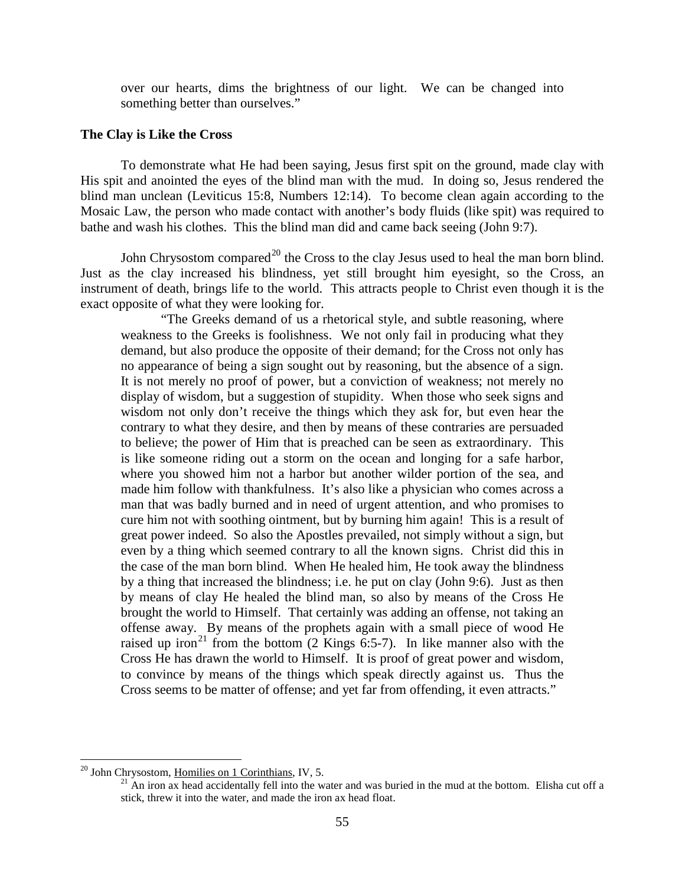over our hearts, dims the brightness of our light. We can be changed into something better than ourselves."

### <span id="page-13-0"></span>**The Clay is Like the Cross**

To demonstrate what He had been saying, Jesus first spit on the ground, made clay with His spit and anointed the eyes of the blind man with the mud. In doing so, Jesus rendered the blind man unclean (Leviticus 15:8, Numbers 12:14). To become clean again according to the Mosaic Law, the person who made contact with another's body fluids (like spit) was required to bathe and wash his clothes. This the blind man did and came back seeing (John 9:7).

John Chrysostom compared<sup>[20](#page-13-1)</sup> the Cross to the clay Jesus used to heal the man born blind. Just as the clay increased his blindness, yet still brought him eyesight, so the Cross, an instrument of death, brings life to the world. This attracts people to Christ even though it is the exact opposite of what they were looking for.

"The Greeks demand of us a rhetorical style, and subtle reasoning, where weakness to the Greeks is foolishness. We not only fail in producing what they demand, but also produce the opposite of their demand; for the Cross not only has no appearance of being a sign sought out by reasoning, but the absence of a sign. It is not merely no proof of power, but a conviction of weakness; not merely no display of wisdom, but a suggestion of stupidity. When those who seek signs and wisdom not only don't receive the things which they ask for, but even hear the contrary to what they desire, and then by means of these contraries are persuaded to believe; the power of Him that is preached can be seen as extraordinary. This is like someone riding out a storm on the ocean and longing for a safe harbor, where you showed him not a harbor but another wilder portion of the sea, and made him follow with thankfulness. It's also like a physician who comes across a man that was badly burned and in need of urgent attention, and who promises to cure him not with soothing ointment, but by burning him again! This is a result of great power indeed. So also the Apostles prevailed, not simply without a sign, but even by a thing which seemed contrary to all the known signs. Christ did this in the case of the man born blind. When He healed him, He took away the blindness by a thing that increased the blindness; i.e. he put on clay (John 9:6). Just as then by means of clay He healed the blind man, so also by means of the Cross He brought the world to Himself. That certainly was adding an offense, not taking an offense away. By means of the prophets again with a small piece of wood He raised up iron<sup>[21](#page-13-2)</sup> from the bottom  $(2 \text{ Kings } 6:5-7)$ . In like manner also with the Cross He has drawn the world to Himself. It is proof of great power and wisdom, to convince by means of the things which speak directly against us. Thus the Cross seems to be matter of offense; and yet far from offending, it even attracts."

<span id="page-13-2"></span><span id="page-13-1"></span><sup>&</sup>lt;sup>20</sup> John Chrysostom, <u>Homilies on 1 Corinthians</u>, IV, 5.<br><sup>21</sup> An iron ax head accidentally fell into the water and was buried in the mud at the bottom. Elisha cut off a stick, threw it into the water, and made the iron ax head float.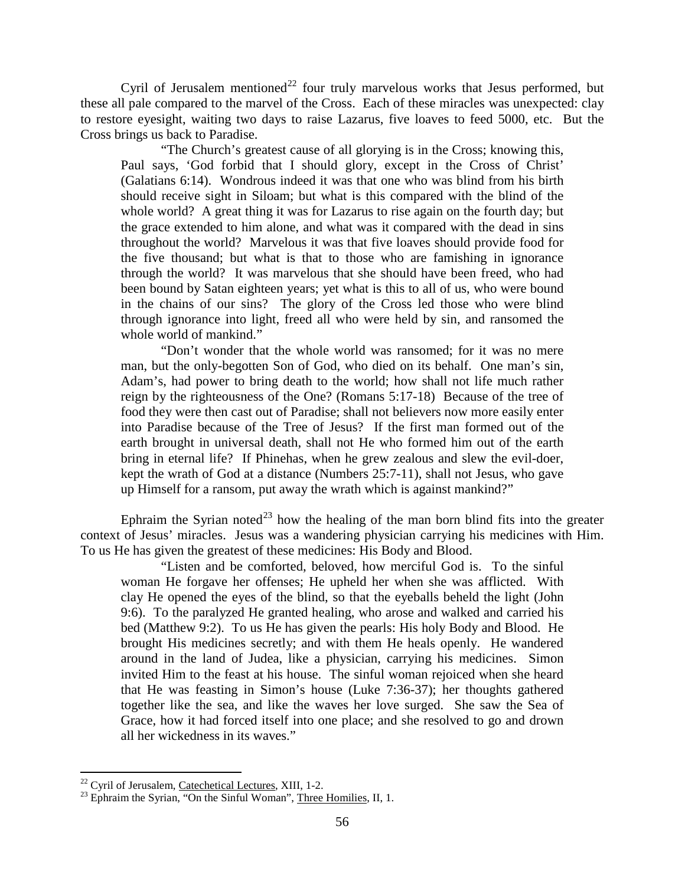Cyril of Jerusalem mentioned<sup>[22](#page-14-0)</sup> four truly marvelous works that Jesus performed, but these all pale compared to the marvel of the Cross. Each of these miracles was unexpected: clay to restore eyesight, waiting two days to raise Lazarus, five loaves to feed 5000, etc. But the Cross brings us back to Paradise.

"The Church's greatest cause of all glorying is in the Cross; knowing this, Paul says, 'God forbid that I should glory, except in the Cross of Christ' (Galatians 6:14). Wondrous indeed it was that one who was blind from his birth should receive sight in Siloam; but what is this compared with the blind of the whole world? A great thing it was for Lazarus to rise again on the fourth day; but the grace extended to him alone, and what was it compared with the dead in sins throughout the world? Marvelous it was that five loaves should provide food for the five thousand; but what is that to those who are famishing in ignorance through the world? It was marvelous that she should have been freed, who had been bound by Satan eighteen years; yet what is this to all of us, who were bound in the chains of our sins? The glory of the Cross led those who were blind through ignorance into light, freed all who were held by sin, and ransomed the whole world of mankind."

"Don't wonder that the whole world was ransomed; for it was no mere man, but the only-begotten Son of God, who died on its behalf. One man's sin, Adam's, had power to bring death to the world; how shall not life much rather reign by the righteousness of the One? (Romans 5:17-18) Because of the tree of food they were then cast out of Paradise; shall not believers now more easily enter into Paradise because of the Tree of Jesus? If the first man formed out of the earth brought in universal death, shall not He who formed him out of the earth bring in eternal life? If Phinehas, when he grew zealous and slew the evil-doer, kept the wrath of God at a distance (Numbers 25:7-11), shall not Jesus, who gave up Himself for a ransom, put away the wrath which is against mankind?"

Ephraim the Syrian noted<sup>[23](#page-14-1)</sup> how the healing of the man born blind fits into the greater context of Jesus' miracles. Jesus was a wandering physician carrying his medicines with Him. To us He has given the greatest of these medicines: His Body and Blood.

"Listen and be comforted, beloved, how merciful God is. To the sinful woman He forgave her offenses; He upheld her when she was afflicted. With clay He opened the eyes of the blind, so that the eyeballs beheld the light (John 9:6). To the paralyzed He granted healing, who arose and walked and carried his bed (Matthew 9:2). To us He has given the pearls: His holy Body and Blood. He brought His medicines secretly; and with them He heals openly. He wandered around in the land of Judea, like a physician, carrying his medicines. Simon invited Him to the feast at his house. The sinful woman rejoiced when she heard that He was feasting in Simon's house (Luke 7:36-37); her thoughts gathered together like the sea, and like the waves her love surged. She saw the Sea of Grace, how it had forced itself into one place; and she resolved to go and drown all her wickedness in its waves."

<span id="page-14-1"></span><span id="page-14-0"></span><sup>&</sup>lt;sup>22</sup> Cyril of Jerusalem, Catechetical Lectures, XIII, 1-2.<br><sup>23</sup> Ephraim the Syrian, "On the Sinful Woman", Three Homilies, II, 1.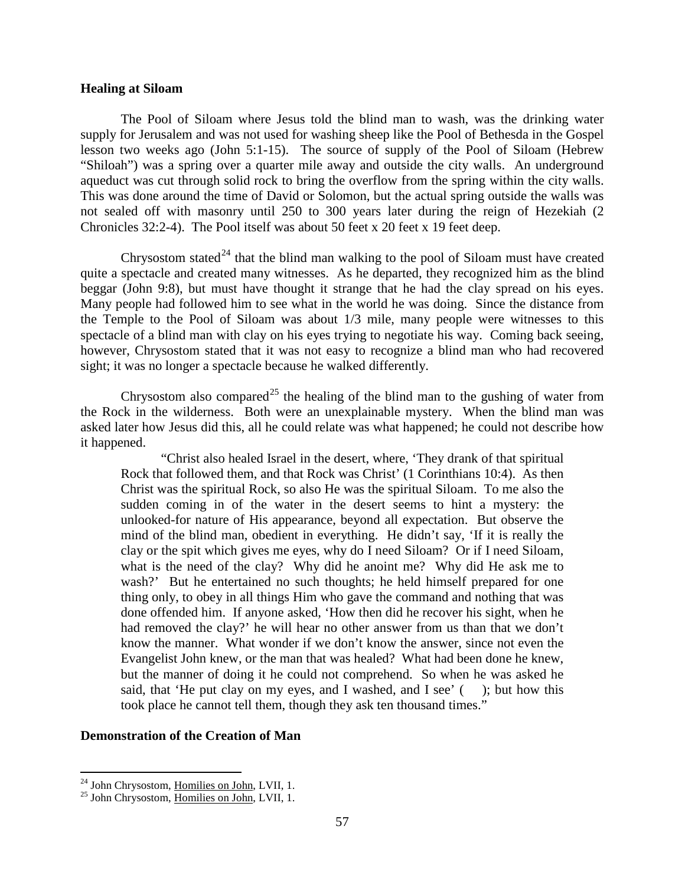#### <span id="page-15-0"></span>**Healing at Siloam**

The Pool of Siloam where Jesus told the blind man to wash, was the drinking water supply for Jerusalem and was not used for washing sheep like the Pool of Bethesda in the Gospel lesson two weeks ago (John 5:1-15). The source of supply of the Pool of Siloam (Hebrew "Shiloah") was a spring over a quarter mile away and outside the city walls. An underground aqueduct was cut through solid rock to bring the overflow from the spring within the city walls. This was done around the time of David or Solomon, but the actual spring outside the walls was not sealed off with masonry until 250 to 300 years later during the reign of Hezekiah (2 Chronicles 32:2-4). The Pool itself was about 50 feet x 20 feet x 19 feet deep.

Chrysostom stated<sup>[24](#page-15-2)</sup> that the blind man walking to the pool of Siloam must have created quite a spectacle and created many witnesses. As he departed, they recognized him as the blind beggar (John 9:8), but must have thought it strange that he had the clay spread on his eyes. Many people had followed him to see what in the world he was doing. Since the distance from the Temple to the Pool of Siloam was about 1/3 mile, many people were witnesses to this spectacle of a blind man with clay on his eyes trying to negotiate his way. Coming back seeing, however, Chrysostom stated that it was not easy to recognize a blind man who had recovered sight; it was no longer a spectacle because he walked differently.

Chrysostom also compared<sup>[25](#page-15-3)</sup> the healing of the blind man to the gushing of water from the Rock in the wilderness. Both were an unexplainable mystery. When the blind man was asked later how Jesus did this, all he could relate was what happened; he could not describe how it happened.

"Christ also healed Israel in the desert, where, 'They drank of that spiritual Rock that followed them, and that Rock was Christ' (1 Corinthians 10:4). As then Christ was the spiritual Rock, so also He was the spiritual Siloam. To me also the sudden coming in of the water in the desert seems to hint a mystery: the unlooked-for nature of His appearance, beyond all expectation. But observe the mind of the blind man, obedient in everything. He didn't say, 'If it is really the clay or the spit which gives me eyes, why do I need Siloam? Or if I need Siloam, what is the need of the clay? Why did he anoint me? Why did He ask me to wash?' But he entertained no such thoughts; he held himself prepared for one thing only, to obey in all things Him who gave the command and nothing that was done offended him. If anyone asked, 'How then did he recover his sight, when he had removed the clay?' he will hear no other answer from us than that we don't know the manner. What wonder if we don't know the answer, since not even the Evangelist John knew, or the man that was healed? What had been done he knew, but the manner of doing it he could not comprehend. So when he was asked he said, that 'He put clay on my eyes, and I washed, and I see'  $($ ); but how this took place he cannot tell them, though they ask ten thousand times."

#### <span id="page-15-1"></span>**Demonstration of the Creation of Man**

<span id="page-15-3"></span><span id="page-15-2"></span><sup>&</sup>lt;sup>24</sup> John Chrysostom, <u>Homilies on John</u>, LVII, 1.<br><sup>25</sup> John Chrysostom, <u>Homilies on John</u>, LVII, 1.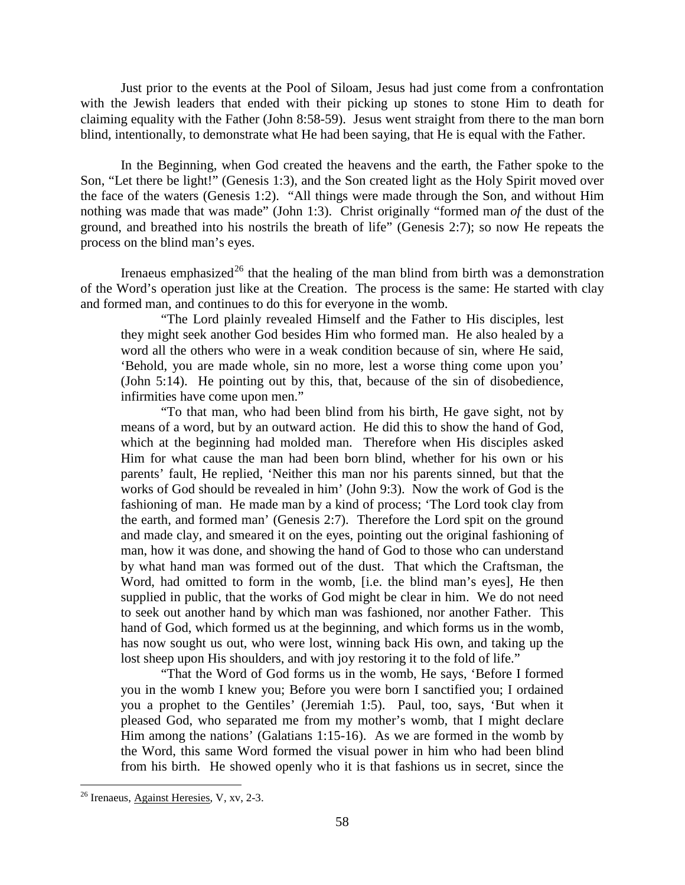Just prior to the events at the Pool of Siloam, Jesus had just come from a confrontation with the Jewish leaders that ended with their picking up stones to stone Him to death for claiming equality with the Father (John 8:58-59). Jesus went straight from there to the man born blind, intentionally, to demonstrate what He had been saying, that He is equal with the Father.

In the Beginning, when God created the heavens and the earth, the Father spoke to the Son, "Let there be light!" (Genesis 1:3), and the Son created light as the Holy Spirit moved over the face of the waters (Genesis 1:2). "All things were made through the Son, and without Him nothing was made that was made" (John 1:3). Christ originally "formed man *of* the dust of the ground, and breathed into his nostrils the breath of life" (Genesis 2:7); so now He repeats the process on the blind man's eyes.

Irenaeus emphasized<sup>[26](#page-16-0)</sup> that the healing of the man blind from birth was a demonstration of the Word's operation just like at the Creation. The process is the same: He started with clay and formed man, and continues to do this for everyone in the womb.

"The Lord plainly revealed Himself and the Father to His disciples, lest they might seek another God besides Him who formed man. He also healed by a word all the others who were in a weak condition because of sin, where He said, 'Behold, you are made whole, sin no more, lest a worse thing come upon you' (John 5:14). He pointing out by this, that, because of the sin of disobedience, infirmities have come upon men."

"To that man, who had been blind from his birth, He gave sight, not by means of a word, but by an outward action. He did this to show the hand of God, which at the beginning had molded man. Therefore when His disciples asked Him for what cause the man had been born blind, whether for his own or his parents' fault, He replied, 'Neither this man nor his parents sinned, but that the works of God should be revealed in him' (John 9:3). Now the work of God is the fashioning of man. He made man by a kind of process; 'The Lord took clay from the earth, and formed man' (Genesis 2:7). Therefore the Lord spit on the ground and made clay, and smeared it on the eyes, pointing out the original fashioning of man, how it was done, and showing the hand of God to those who can understand by what hand man was formed out of the dust. That which the Craftsman, the Word, had omitted to form in the womb, [i.e. the blind man's eyes], He then supplied in public, that the works of God might be clear in him. We do not need to seek out another hand by which man was fashioned, nor another Father. This hand of God, which formed us at the beginning, and which forms us in the womb, has now sought us out, who were lost, winning back His own, and taking up the lost sheep upon His shoulders, and with joy restoring it to the fold of life."

"That the Word of God forms us in the womb, He says, 'Before I formed you in the womb I knew you; Before you were born I sanctified you; I ordained you a prophet to the Gentiles' (Jeremiah 1:5). Paul, too, says, 'But when it pleased God, who separated me from my mother's womb, that I might declare Him among the nations' (Galatians 1:15-16). As we are formed in the womb by the Word, this same Word formed the visual power in him who had been blind from his birth. He showed openly who it is that fashions us in secret, since the

<span id="page-16-0"></span> $26$  Irenaeus, Against Heresies, V, xv, 2-3.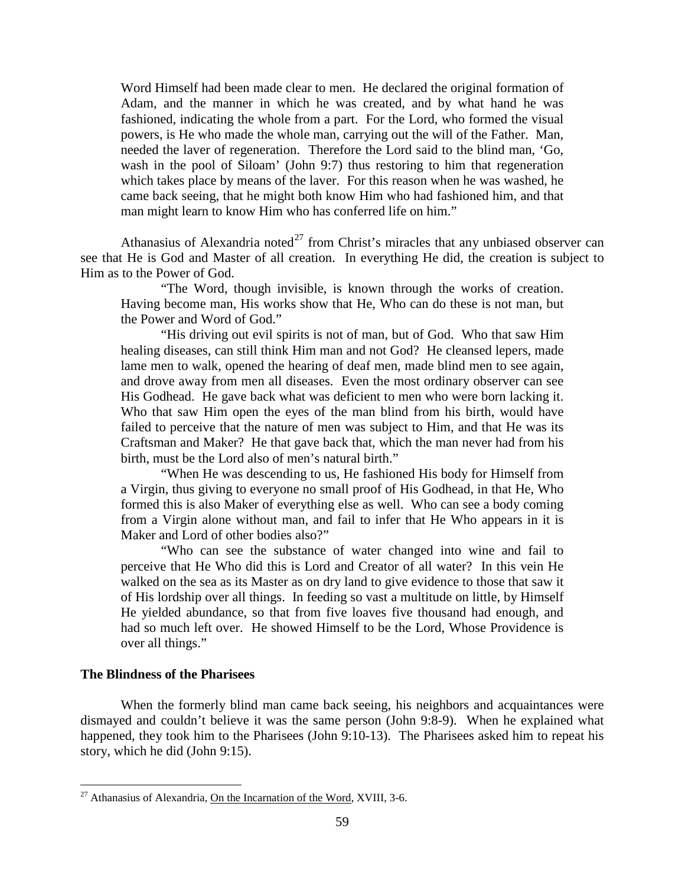Word Himself had been made clear to men. He declared the original formation of Adam, and the manner in which he was created, and by what hand he was fashioned, indicating the whole from a part. For the Lord, who formed the visual powers, is He who made the whole man, carrying out the will of the Father. Man, needed the laver of regeneration. Therefore the Lord said to the blind man, 'Go, wash in the pool of Siloam' (John 9:7) thus restoring to him that regeneration which takes place by means of the laver. For this reason when he was washed, he came back seeing, that he might both know Him who had fashioned him, and that man might learn to know Him who has conferred life on him."

Athanasius of Alexandria noted<sup>[27](#page-17-1)</sup> from Christ's miracles that any unbiased observer can see that He is God and Master of all creation. In everything He did, the creation is subject to Him as to the Power of God.

"The Word, though invisible, is known through the works of creation. Having become man, His works show that He, Who can do these is not man, but the Power and Word of God."

"His driving out evil spirits is not of man, but of God. Who that saw Him healing diseases, can still think Him man and not God? He cleansed lepers, made lame men to walk, opened the hearing of deaf men, made blind men to see again, and drove away from men all diseases. Even the most ordinary observer can see His Godhead. He gave back what was deficient to men who were born lacking it. Who that saw Him open the eyes of the man blind from his birth, would have failed to perceive that the nature of men was subject to Him, and that He was its Craftsman and Maker? He that gave back that, which the man never had from his birth, must be the Lord also of men's natural birth."

"When He was descending to us, He fashioned His body for Himself from a Virgin, thus giving to everyone no small proof of His Godhead, in that He, Who formed this is also Maker of everything else as well. Who can see a body coming from a Virgin alone without man, and fail to infer that He Who appears in it is Maker and Lord of other bodies also?"

"Who can see the substance of water changed into wine and fail to perceive that He Who did this is Lord and Creator of all water? In this vein He walked on the sea as its Master as on dry land to give evidence to those that saw it of His lordship over all things. In feeding so vast a multitude on little, by Himself He yielded abundance, so that from five loaves five thousand had enough, and had so much left over. He showed Himself to be the Lord, Whose Providence is over all things."

### <span id="page-17-0"></span>**The Blindness of the Pharisees**

When the formerly blind man came back seeing, his neighbors and acquaintances were dismayed and couldn't believe it was the same person (John 9:8-9). When he explained what happened, they took him to the Pharisees (John 9:10-13). The Pharisees asked him to repeat his story, which he did (John 9:15).

<span id="page-17-1"></span> $^{27}$  Athanasius of Alexandria, On the Incarnation of the Word, XVIII, 3-6.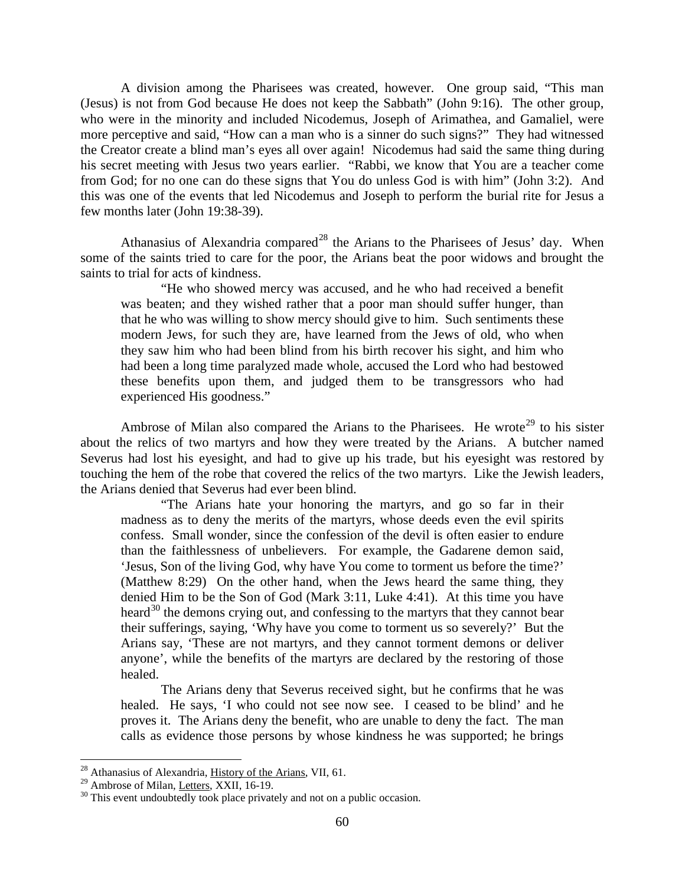A division among the Pharisees was created, however. One group said, "This man (Jesus) is not from God because He does not keep the Sabbath" (John 9:16). The other group, who were in the minority and included Nicodemus, Joseph of Arimathea, and Gamaliel, were more perceptive and said, "How can a man who is a sinner do such signs?" They had witnessed the Creator create a blind man's eyes all over again! Nicodemus had said the same thing during his secret meeting with Jesus two years earlier. "Rabbi, we know that You are a teacher come from God; for no one can do these signs that You do unless God is with him" (John 3:2). And this was one of the events that led Nicodemus and Joseph to perform the burial rite for Jesus a few months later (John 19:38-39).

Athanasius of Alexandria compared<sup>[28](#page-18-0)</sup> the Arians to the Pharisees of Jesus' day. When some of the saints tried to care for the poor, the Arians beat the poor widows and brought the saints to trial for acts of kindness.

"He who showed mercy was accused, and he who had received a benefit was beaten; and they wished rather that a poor man should suffer hunger, than that he who was willing to show mercy should give to him. Such sentiments these modern Jews, for such they are, have learned from the Jews of old, who when they saw him who had been blind from his birth recover his sight, and him who had been a long time paralyzed made whole, accused the Lord who had bestowed these benefits upon them, and judged them to be transgressors who had experienced His goodness."

Ambrose of Milan also compared the Arians to the Pharisees. He wrote<sup>[29](#page-18-1)</sup> to his sister about the relics of two martyrs and how they were treated by the Arians. A butcher named Severus had lost his eyesight, and had to give up his trade, but his eyesight was restored by touching the hem of the robe that covered the relics of the two martyrs. Like the Jewish leaders, the Arians denied that Severus had ever been blind.

"The Arians hate your honoring the martyrs, and go so far in their madness as to deny the merits of the martyrs, whose deeds even the evil spirits confess. Small wonder, since the confession of the devil is often easier to endure than the faithlessness of unbelievers. For example, the Gadarene demon said, 'Jesus, Son of the living God, why have You come to torment us before the time?' (Matthew 8:29) On the other hand, when the Jews heard the same thing, they denied Him to be the Son of God (Mark 3:11, Luke 4:41). At this time you have heard<sup>[30](#page-18-2)</sup> the demons crying out, and confessing to the martyrs that they cannot bear their sufferings, saying, 'Why have you come to torment us so severely?' But the Arians say, 'These are not martyrs, and they cannot torment demons or deliver anyone', while the benefits of the martyrs are declared by the restoring of those healed.

The Arians deny that Severus received sight, but he confirms that he was healed. He says, 'I who could not see now see. I ceased to be blind' and he proves it. The Arians deny the benefit, who are unable to deny the fact. The man calls as evidence those persons by whose kindness he was supported; he brings

<span id="page-18-1"></span><span id="page-18-0"></span><sup>&</sup>lt;sup>28</sup> Athanasius of Alexandria,  $\underline{History}$  of the Arians, VII, 61.<br><sup>29</sup> Ambrose of Milan, Letters, XXII, 16-19.

<span id="page-18-2"></span> $30$  This event undoubtedly took place privately and not on a public occasion.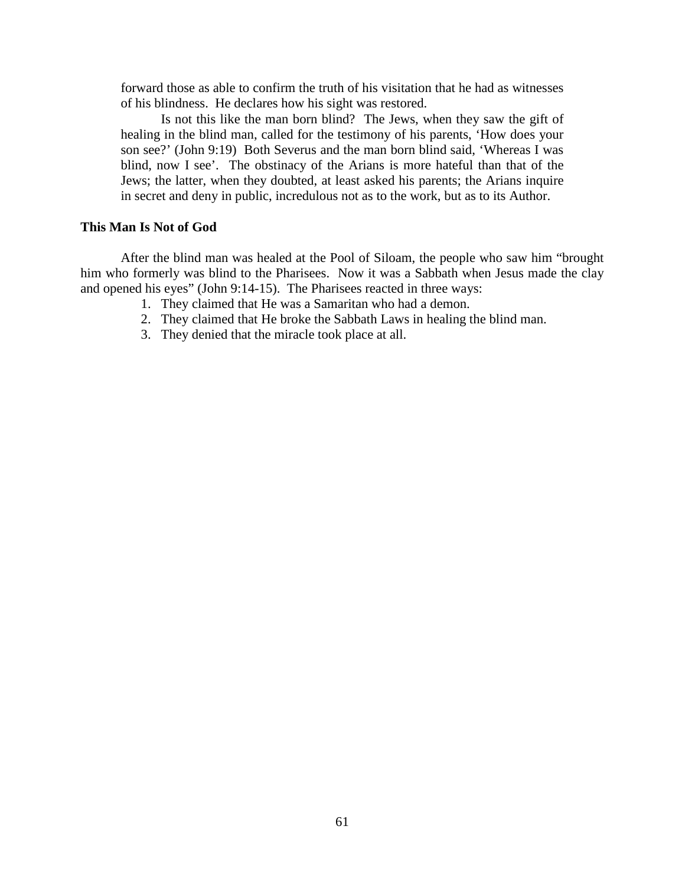forward those as able to confirm the truth of his visitation that he had as witnesses of his blindness. He declares how his sight was restored.

Is not this like the man born blind? The Jews, when they saw the gift of healing in the blind man, called for the testimony of his parents, 'How does your son see?' (John 9:19) Both Severus and the man born blind said, 'Whereas I was blind, now I see'. The obstinacy of the Arians is more hateful than that of the Jews; the latter, when they doubted, at least asked his parents; the Arians inquire in secret and deny in public, incredulous not as to the work, but as to its Author.

# <span id="page-19-0"></span>**This Man Is Not of God**

After the blind man was healed at the Pool of Siloam, the people who saw him "brought him who formerly was blind to the Pharisees. Now it was a Sabbath when Jesus made the clay and opened his eyes" (John 9:14-15). The Pharisees reacted in three ways:

- 1. They claimed that He was a Samaritan who had a demon.
- 2. They claimed that He broke the Sabbath Laws in healing the blind man.
- <span id="page-19-1"></span>3. They denied that the miracle took place at all.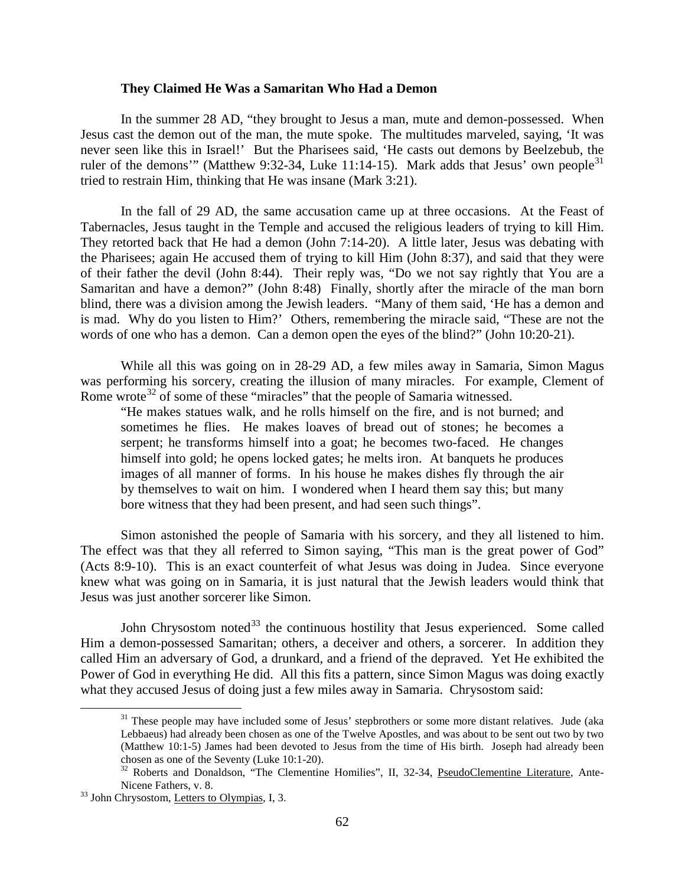#### **They Claimed He Was a Samaritan Who Had a Demon**

In the summer 28 AD, "they brought to Jesus a man, mute and demon-possessed. When Jesus cast the demon out of the man, the mute spoke. The multitudes marveled, saying, 'It was never seen like this in Israel!' But the Pharisees said, 'He casts out demons by Beelzebub, the ruler of the demons'" (Matthew 9:32-34, Luke 11:14-15). Mark adds that Jesus' own people<sup>[31](#page-20-0)</sup> tried to restrain Him, thinking that He was insane (Mark 3:21).

In the fall of 29 AD, the same accusation came up at three occasions. At the Feast of Tabernacles, Jesus taught in the Temple and accused the religious leaders of trying to kill Him. They retorted back that He had a demon (John 7:14-20). A little later, Jesus was debating with the Pharisees; again He accused them of trying to kill Him (John 8:37), and said that they were of their father the devil (John 8:44). Their reply was, "Do we not say rightly that You are a Samaritan and have a demon?" (John 8:48) Finally, shortly after the miracle of the man born blind, there was a division among the Jewish leaders. "Many of them said, 'He has a demon and is mad. Why do you listen to Him?' Others, remembering the miracle said, "These are not the words of one who has a demon. Can a demon open the eyes of the blind?" (John 10:20-21).

While all this was going on in 28-29 AD, a few miles away in Samaria, Simon Magus was performing his sorcery, creating the illusion of many miracles. For example, Clement of Rome wrote<sup>[32](#page-20-1)</sup> of some of these "miracles" that the people of Samaria witnessed.

"He makes statues walk, and he rolls himself on the fire, and is not burned; and sometimes he flies. He makes loaves of bread out of stones; he becomes a serpent; he transforms himself into a goat; he becomes two-faced. He changes himself into gold; he opens locked gates; he melts iron. At banquets he produces images of all manner of forms. In his house he makes dishes fly through the air by themselves to wait on him. I wondered when I heard them say this; but many bore witness that they had been present, and had seen such things".

Simon astonished the people of Samaria with his sorcery, and they all listened to him. The effect was that they all referred to Simon saying, "This man is the great power of God" (Acts 8:9-10). This is an exact counterfeit of what Jesus was doing in Judea. Since everyone knew what was going on in Samaria, it is just natural that the Jewish leaders would think that Jesus was just another sorcerer like Simon.

John Chrysostom noted<sup>[33](#page-20-2)</sup> the continuous hostility that Jesus experienced. Some called Him a demon-possessed Samaritan; others, a deceiver and others, a sorcerer. In addition they called Him an adversary of God, a drunkard, and a friend of the depraved. Yet He exhibited the Power of God in everything He did. All this fits a pattern, since Simon Magus was doing exactly what they accused Jesus of doing just a few miles away in Samaria. Chrysostom said:

<sup>&</sup>lt;sup>31</sup> These people may have included some of Jesus' stepbrothers or some more distant relatives. Jude (aka Lebbaeus) had already been chosen as one of the Twelve Apostles, and was about to be sent out two by two (Matthew 10:1-5) James had been devoted to Jesus from the time of His birth. Joseph had already been chosen as one of the Seventy (Luke 10:1-20).<br><sup>32</sup> Roberts and Donaldson, "The Clementine Homilies", II, 32-34, <u>PseudoClementine Literature</u>, Ante-

<span id="page-20-2"></span><span id="page-20-1"></span><span id="page-20-0"></span>Nicene Fathers, v. 8.<br><sup>33</sup> John Chrysostom, <u>Letters to Olympias</u>, I, 3.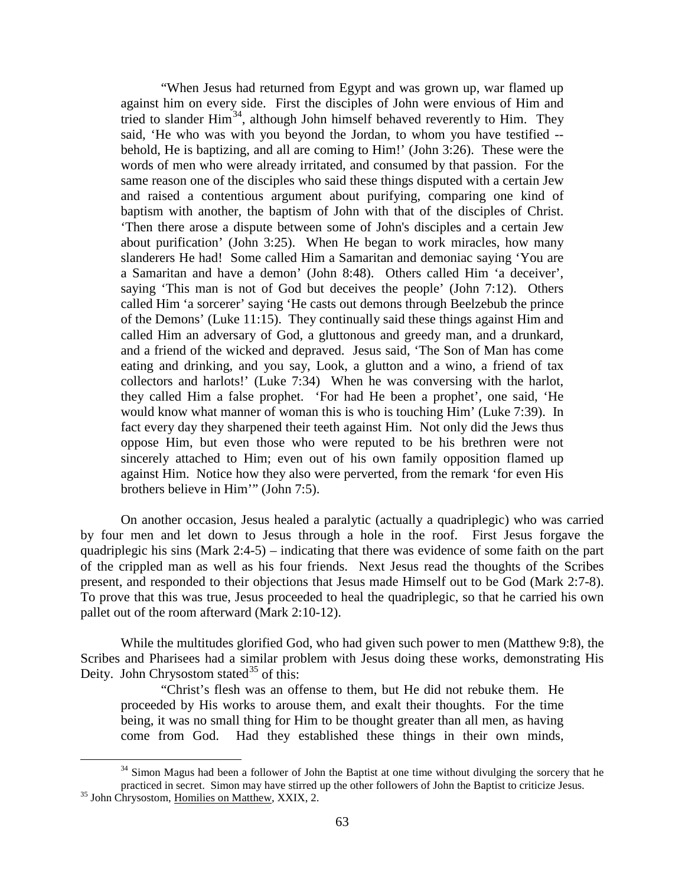"When Jesus had returned from Egypt and was grown up, war flamed up against him on every side. First the disciples of John were envious of Him and tried to slander Him<sup>[34](#page-21-0)</sup>, although John himself behaved reverently to Him. They said, 'He who was with you beyond the Jordan, to whom you have testified - behold, He is baptizing, and all are coming to Him!' (John 3:26). These were the words of men who were already irritated, and consumed by that passion. For the same reason one of the disciples who said these things disputed with a certain Jew and raised a contentious argument about purifying, comparing one kind of baptism with another, the baptism of John with that of the disciples of Christ. 'Then there arose a dispute between some of John's disciples and a certain Jew about purification' (John 3:25). When He began to work miracles, how many slanderers He had! Some called Him a Samaritan and demoniac saying 'You are a Samaritan and have a demon' (John 8:48). Others called Him 'a deceiver', saying 'This man is not of God but deceives the people' (John 7:12). Others called Him 'a sorcerer' saying 'He casts out demons through Beelzebub the prince of the Demons' (Luke 11:15). They continually said these things against Him and called Him an adversary of God, a gluttonous and greedy man, and a drunkard, and a friend of the wicked and depraved. Jesus said, 'The Son of Man has come eating and drinking, and you say, Look, a glutton and a wino, a friend of tax collectors and harlots!' (Luke 7:34) When he was conversing with the harlot, they called Him a false prophet. 'For had He been a prophet', one said, 'He would know what manner of woman this is who is touching Him' (Luke 7:39). In fact every day they sharpened their teeth against Him. Not only did the Jews thus oppose Him, but even those who were reputed to be his brethren were not sincerely attached to Him; even out of his own family opposition flamed up against Him. Notice how they also were perverted, from the remark 'for even His brothers believe in Him'" (John 7:5).

On another occasion, Jesus healed a paralytic (actually a quadriplegic) who was carried by four men and let down to Jesus through a hole in the roof. First Jesus forgave the quadriplegic his sins (Mark 2:4-5) – indicating that there was evidence of some faith on the part of the crippled man as well as his four friends. Next Jesus read the thoughts of the Scribes present, and responded to their objections that Jesus made Himself out to be God (Mark 2:7-8). To prove that this was true, Jesus proceeded to heal the quadriplegic, so that he carried his own pallet out of the room afterward (Mark 2:10-12).

While the multitudes glorified God, who had given such power to men (Matthew 9:8), the Scribes and Pharisees had a similar problem with Jesus doing these works, demonstrating His Deity. John Chrysostom stated $35$  of this:

"Christ's flesh was an offense to them, but He did not rebuke them. He proceeded by His works to arouse them, and exalt their thoughts. For the time being, it was no small thing for Him to be thought greater than all men, as having come from God. Had they established these things in their own minds,

<span id="page-21-1"></span><span id="page-21-0"></span><sup>&</sup>lt;sup>34</sup> Simon Magus had been a follower of John the Baptist at one time without divulging the sorcery that he practiced in secret. Simon may have stirred up the other followers of John the Baptist to criticize Jesus. <sup>35</sup> John Chrysostom, Homilies on Matthew, XXIX, 2.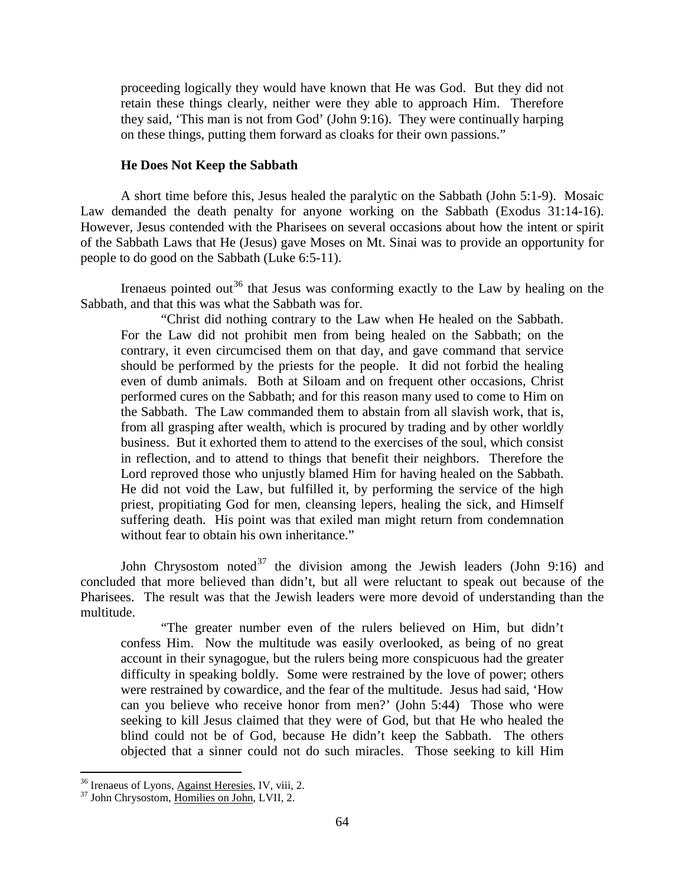proceeding logically they would have known that He was God. But they did not retain these things clearly, neither were they able to approach Him. Therefore they said, 'This man is not from God' (John 9:16). They were continually harping on these things, putting them forward as cloaks for their own passions."

#### **He Does Not Keep the Sabbath**

<span id="page-22-0"></span>A short time before this, Jesus healed the paralytic on the Sabbath (John 5:1-9). Mosaic Law demanded the death penalty for anyone working on the Sabbath (Exodus 31:14-16). However, Jesus contended with the Pharisees on several occasions about how the intent or spirit of the Sabbath Laws that He (Jesus) gave Moses on Mt. Sinai was to provide an opportunity for people to do good on the Sabbath (Luke 6:5-11).

Irenaeus pointed out<sup>[36](#page-22-1)</sup> that Jesus was conforming exactly to the Law by healing on the Sabbath, and that this was what the Sabbath was for.

"Christ did nothing contrary to the Law when He healed on the Sabbath. For the Law did not prohibit men from being healed on the Sabbath; on the contrary, it even circumcised them on that day, and gave command that service should be performed by the priests for the people. It did not forbid the healing even of dumb animals. Both at Siloam and on frequent other occasions, Christ performed cures on the Sabbath; and for this reason many used to come to Him on the Sabbath. The Law commanded them to abstain from all slavish work, that is, from all grasping after wealth, which is procured by trading and by other worldly business. But it exhorted them to attend to the exercises of the soul, which consist in reflection, and to attend to things that benefit their neighbors. Therefore the Lord reproved those who unjustly blamed Him for having healed on the Sabbath. He did not void the Law, but fulfilled it, by performing the service of the high priest, propitiating God for men, cleansing lepers, healing the sick, and Himself suffering death. His point was that exiled man might return from condemnation without fear to obtain his own inheritance."

John Chrysostom noted<sup>[37](#page-22-2)</sup> the division among the Jewish leaders (John 9:16) and concluded that more believed than didn't, but all were reluctant to speak out because of the Pharisees. The result was that the Jewish leaders were more devoid of understanding than the multitude.

"The greater number even of the rulers believed on Him, but didn't confess Him. Now the multitude was easily overlooked, as being of no great account in their synagogue, but the rulers being more conspicuous had the greater difficulty in speaking boldly. Some were restrained by the love of power; others were restrained by cowardice, and the fear of the multitude. Jesus had said, 'How can you believe who receive honor from men?' (John 5:44) Those who were seeking to kill Jesus claimed that they were of God, but that He who healed the blind could not be of God, because He didn't keep the Sabbath. The others objected that a sinner could not do such miracles. Those seeking to kill Him

<span id="page-22-1"></span> $36$  Irenaeus of Lyons, Against Heresies, IV, viii, 2.  $37$  John Chrysostom, Homilies on John, LVII, 2.

<span id="page-22-2"></span>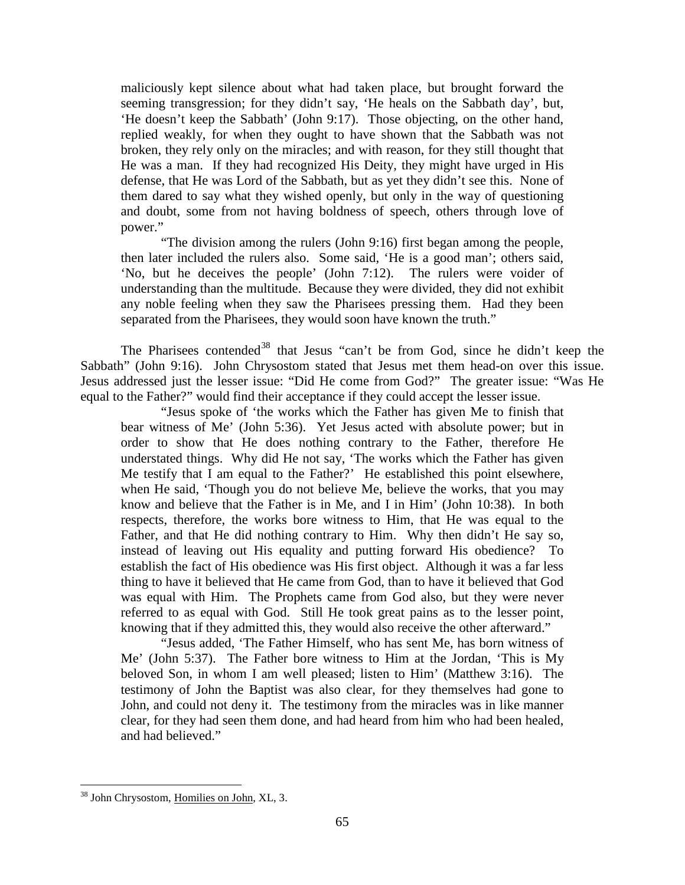maliciously kept silence about what had taken place, but brought forward the seeming transgression; for they didn't say, 'He heals on the Sabbath day', but, 'He doesn't keep the Sabbath' (John 9:17). Those objecting, on the other hand, replied weakly, for when they ought to have shown that the Sabbath was not broken, they rely only on the miracles; and with reason, for they still thought that He was a man. If they had recognized His Deity, they might have urged in His defense, that He was Lord of the Sabbath, but as yet they didn't see this. None of them dared to say what they wished openly, but only in the way of questioning and doubt, some from not having boldness of speech, others through love of power."

"The division among the rulers (John 9:16) first began among the people, then later included the rulers also. Some said, 'He is a good man'; others said, 'No, but he deceives the people' (John 7:12). The rulers were voider of understanding than the multitude. Because they were divided, they did not exhibit any noble feeling when they saw the Pharisees pressing them. Had they been separated from the Pharisees, they would soon have known the truth."

The Pharisees contended<sup>[38](#page-23-0)</sup> that Jesus "can't be from God, since he didn't keep the Sabbath" (John 9:16). John Chrysostom stated that Jesus met them head-on over this issue. Jesus addressed just the lesser issue: "Did He come from God?" The greater issue: "Was He equal to the Father?" would find their acceptance if they could accept the lesser issue.

"Jesus spoke of 'the works which the Father has given Me to finish that bear witness of Me' (John 5:36). Yet Jesus acted with absolute power; but in order to show that He does nothing contrary to the Father, therefore He understated things. Why did He not say, 'The works which the Father has given Me testify that I am equal to the Father?' He established this point elsewhere, when He said, 'Though you do not believe Me, believe the works, that you may know and believe that the Father is in Me, and I in Him' (John 10:38). In both respects, therefore, the works bore witness to Him, that He was equal to the Father, and that He did nothing contrary to Him. Why then didn't He say so, instead of leaving out His equality and putting forward His obedience? To establish the fact of His obedience was His first object. Although it was a far less thing to have it believed that He came from God, than to have it believed that God was equal with Him. The Prophets came from God also, but they were never referred to as equal with God. Still He took great pains as to the lesser point, knowing that if they admitted this, they would also receive the other afterward."

"Jesus added, 'The Father Himself, who has sent Me, has born witness of Me' (John 5:37). The Father bore witness to Him at the Jordan, 'This is My beloved Son, in whom I am well pleased; listen to Him' (Matthew 3:16). The testimony of John the Baptist was also clear, for they themselves had gone to John, and could not deny it. The testimony from the miracles was in like manner clear, for they had seen them done, and had heard from him who had been healed, and had believed."

<span id="page-23-0"></span><sup>&</sup>lt;sup>38</sup> John Chrysostom, Homilies on John, XL, 3.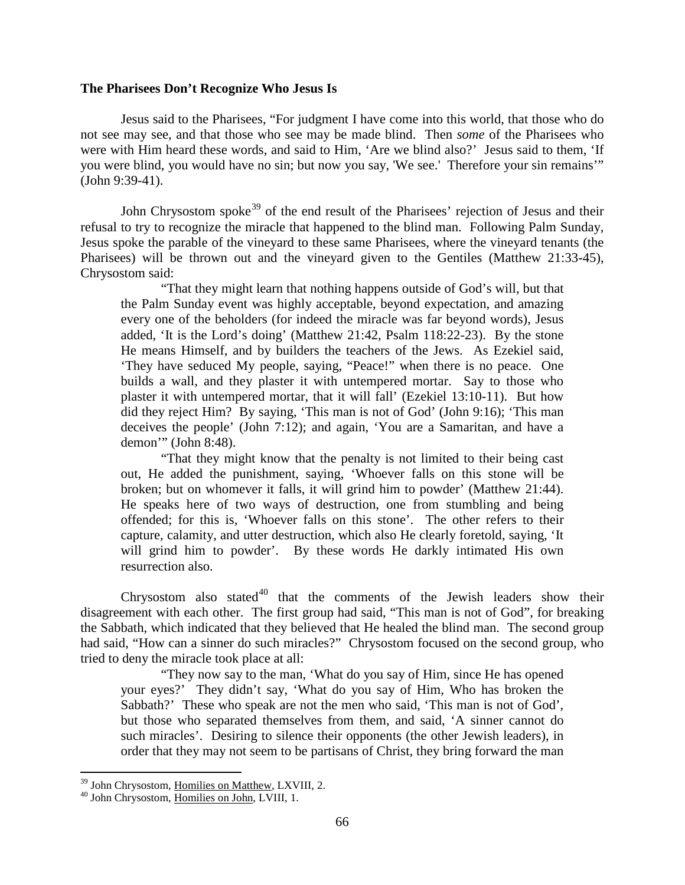#### <span id="page-24-0"></span>**The Pharisees Don't Recognize Who Jesus Is**

Jesus said to the Pharisees, "For judgment I have come into this world, that those who do not see may see, and that those who see may be made blind. Then *some* of the Pharisees who were with Him heard these words, and said to Him, 'Are we blind also?' Jesus said to them, 'If you were blind, you would have no sin; but now you say, 'We see.' Therefore your sin remains'" (John 9:39-41).

John Chrysostom spoke<sup>[39](#page-24-1)</sup> of the end result of the Pharisees' rejection of Jesus and their refusal to try to recognize the miracle that happened to the blind man. Following Palm Sunday, Jesus spoke the parable of the vineyard to these same Pharisees, where the vineyard tenants (the Pharisees) will be thrown out and the vineyard given to the Gentiles (Matthew 21:33-45), Chrysostom said:

"That they might learn that nothing happens outside of God's will, but that the Palm Sunday event was highly acceptable, beyond expectation, and amazing every one of the beholders (for indeed the miracle was far beyond words), Jesus added, 'It is the Lord's doing' (Matthew 21:42, Psalm 118:22-23). By the stone He means Himself, and by builders the teachers of the Jews. As Ezekiel said, 'They have seduced My people, saying, "Peace!" when there is no peace. One builds a wall, and they plaster it with untempered mortar. Say to those who plaster it with untempered mortar, that it will fall' (Ezekiel 13:10-11). But how did they reject Him? By saying, 'This man is not of God' (John 9:16); 'This man deceives the people' (John 7:12); and again, 'You are a Samaritan, and have a demon'" (John 8:48).

"That they might know that the penalty is not limited to their being cast out, He added the punishment, saying, 'Whoever falls on this stone will be broken; but on whomever it falls, it will grind him to powder' (Matthew 21:44). He speaks here of two ways of destruction, one from stumbling and being offended; for this is, 'Whoever falls on this stone'. The other refers to their capture, calamity, and utter destruction, which also He clearly foretold, saying, 'It will grind him to powder'. By these words He darkly intimated His own resurrection also.

Chrysostom also stated $40$  that the comments of the Jewish leaders show their disagreement with each other. The first group had said, "This man is not of God", for breaking the Sabbath, which indicated that they believed that He healed the blind man. The second group had said, "How can a sinner do such miracles?" Chrysostom focused on the second group, who tried to deny the miracle took place at all:

"They now say to the man, 'What do you say of Him, since He has opened your eyes?' They didn't say, 'What do you say of Him, Who has broken the Sabbath?' These who speak are not the men who said, 'This man is not of God', but those who separated themselves from them, and said, 'A sinner cannot do such miracles'. Desiring to silence their opponents (the other Jewish leaders), in order that they may not seem to be partisans of Christ, they bring forward the man

<span id="page-24-1"></span><sup>&</sup>lt;sup>39</sup> John Chrysostom, <u>Homilies on Matthew</u>, LXVIII, 2.<br><sup>40</sup> John Chrysostom, <u>Homilies on John</u>, LVIII, 1.

<span id="page-24-2"></span>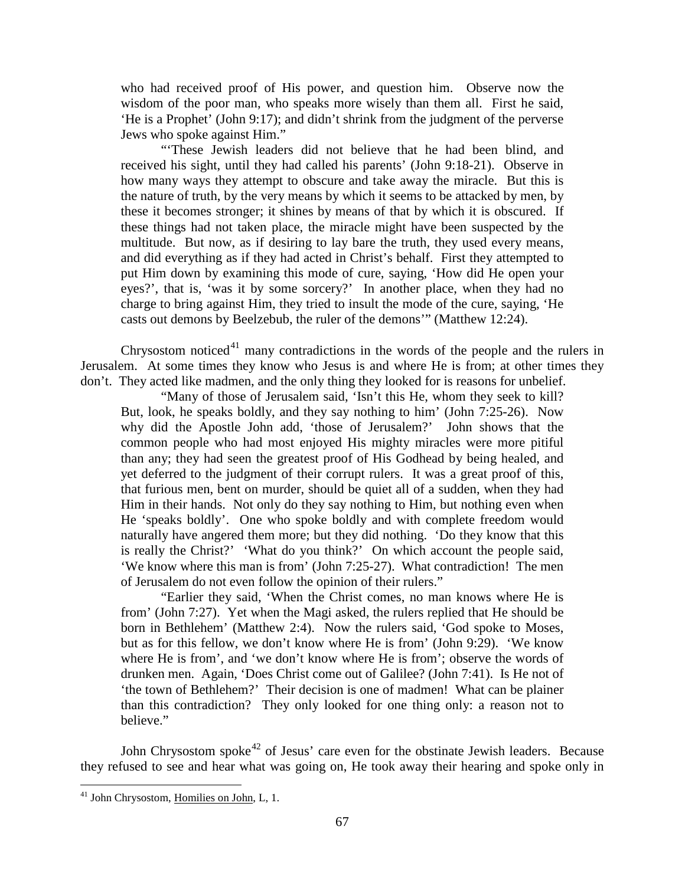who had received proof of His power, and question him. Observe now the wisdom of the poor man, who speaks more wisely than them all. First he said, 'He is a Prophet' (John 9:17); and didn't shrink from the judgment of the perverse Jews who spoke against Him."

"'These Jewish leaders did not believe that he had been blind, and received his sight, until they had called his parents' (John 9:18-21). Observe in how many ways they attempt to obscure and take away the miracle. But this is the nature of truth, by the very means by which it seems to be attacked by men, by these it becomes stronger; it shines by means of that by which it is obscured. If these things had not taken place, the miracle might have been suspected by the multitude. But now, as if desiring to lay bare the truth, they used every means, and did everything as if they had acted in Christ's behalf. First they attempted to put Him down by examining this mode of cure, saying, 'How did He open your eyes?', that is, 'was it by some sorcery?' In another place, when they had no charge to bring against Him, they tried to insult the mode of the cure, saying, 'He casts out demons by Beelzebub, the ruler of the demons'" (Matthew 12:24).

Chrysostom noticed<sup>[41](#page-25-0)</sup> many contradictions in the words of the people and the rulers in Jerusalem. At some times they know who Jesus is and where He is from; at other times they don't. They acted like madmen, and the only thing they looked for is reasons for unbelief.

"Many of those of Jerusalem said, 'Isn't this He, whom they seek to kill? But, look, he speaks boldly, and they say nothing to him' (John 7:25-26). Now why did the Apostle John add, 'those of Jerusalem?' John shows that the common people who had most enjoyed His mighty miracles were more pitiful than any; they had seen the greatest proof of His Godhead by being healed, and yet deferred to the judgment of their corrupt rulers. It was a great proof of this, that furious men, bent on murder, should be quiet all of a sudden, when they had Him in their hands. Not only do they say nothing to Him, but nothing even when He 'speaks boldly'. One who spoke boldly and with complete freedom would naturally have angered them more; but they did nothing. 'Do they know that this is really the Christ?' 'What do you think?' On which account the people said, 'We know where this man is from' (John 7:25-27). What contradiction! The men of Jerusalem do not even follow the opinion of their rulers."

"Earlier they said, 'When the Christ comes, no man knows where He is from' (John 7:27). Yet when the Magi asked, the rulers replied that He should be born in Bethlehem' (Matthew 2:4). Now the rulers said, 'God spoke to Moses, but as for this fellow, we don't know where He is from' (John 9:29). 'We know where He is from', and 'we don't know where He is from'; observe the words of drunken men. Again, 'Does Christ come out of Galilee? (John 7:41). Is He not of 'the town of Bethlehem?' Their decision is one of madmen! What can be plainer than this contradiction? They only looked for one thing only: a reason not to believe."

John Chrysostom spoke<sup>[42](#page-25-1)</sup> of Jesus' care even for the obstinate Jewish leaders. Because they refused to see and hear what was going on, He took away their hearing and spoke only in

<span id="page-25-1"></span><span id="page-25-0"></span> <sup>41</sup> John Chrysostom, Homilies on John, L, 1.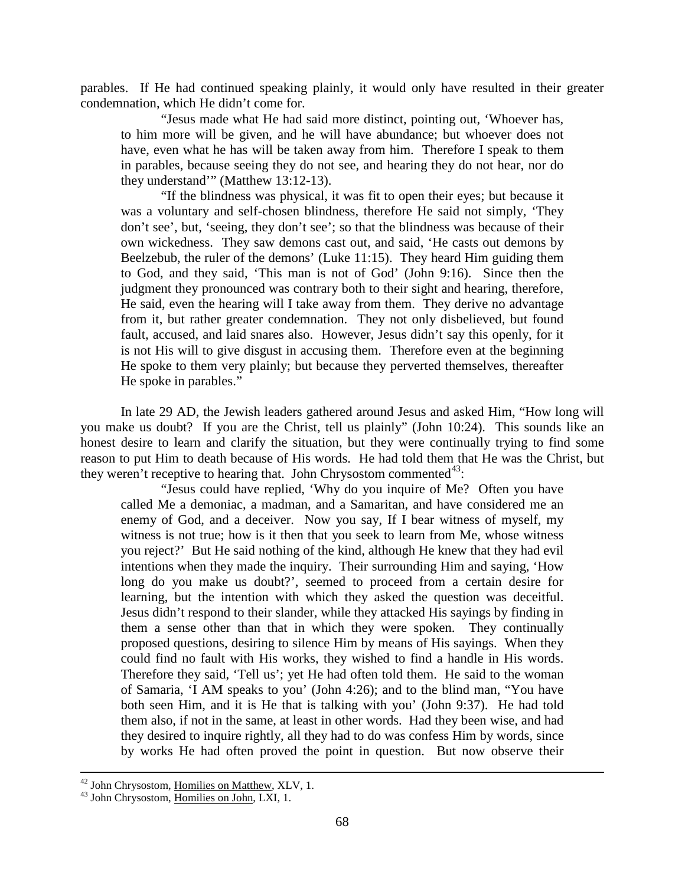parables. If He had continued speaking plainly, it would only have resulted in their greater condemnation, which He didn't come for.

"Jesus made what He had said more distinct, pointing out, 'Whoever has, to him more will be given, and he will have abundance; but whoever does not have, even what he has will be taken away from him. Therefore I speak to them in parables, because seeing they do not see, and hearing they do not hear, nor do they understand'" (Matthew 13:12-13).

"If the blindness was physical, it was fit to open their eyes; but because it was a voluntary and self-chosen blindness, therefore He said not simply, 'They don't see', but, 'seeing, they don't see'; so that the blindness was because of their own wickedness. They saw demons cast out, and said, 'He casts out demons by Beelzebub, the ruler of the demons' (Luke 11:15). They heard Him guiding them to God, and they said, 'This man is not of God' (John 9:16). Since then the judgment they pronounced was contrary both to their sight and hearing, therefore, He said, even the hearing will I take away from them. They derive no advantage from it, but rather greater condemnation. They not only disbelieved, but found fault, accused, and laid snares also. However, Jesus didn't say this openly, for it is not His will to give disgust in accusing them. Therefore even at the beginning He spoke to them very plainly; but because they perverted themselves, thereafter He spoke in parables."

In late 29 AD, the Jewish leaders gathered around Jesus and asked Him, "How long will you make us doubt? If you are the Christ, tell us plainly" (John 10:24). This sounds like an honest desire to learn and clarify the situation, but they were continually trying to find some reason to put Him to death because of His words. He had told them that He was the Christ, but they weren't receptive to hearing that. John Chrysostom commented $43$ :

"Jesus could have replied, 'Why do you inquire of Me? Often you have called Me a demoniac, a madman, and a Samaritan, and have considered me an enemy of God, and a deceiver. Now you say, If I bear witness of myself, my witness is not true; how is it then that you seek to learn from Me, whose witness you reject?' But He said nothing of the kind, although He knew that they had evil intentions when they made the inquiry. Their surrounding Him and saying, 'How long do you make us doubt?', seemed to proceed from a certain desire for learning, but the intention with which they asked the question was deceitful. Jesus didn't respond to their slander, while they attacked His sayings by finding in them a sense other than that in which they were spoken. They continually proposed questions, desiring to silence Him by means of His sayings. When they could find no fault with His works, they wished to find a handle in His words. Therefore they said, 'Tell us'; yet He had often told them. He said to the woman of Samaria, 'I AM speaks to you' (John 4:26); and to the blind man, "You have both seen Him, and it is He that is talking with you' (John 9:37). He had told them also, if not in the same, at least in other words. Had they been wise, and had they desired to inquire rightly, all they had to do was confess Him by words, since by works He had often proved the point in question. But now observe their

 $^{42}$  John Chrysostom, Homilies on Matthew, XLV, 1.  $^{43}$  John Chrysostom, Homilies on John, LXI, 1.

<span id="page-26-0"></span>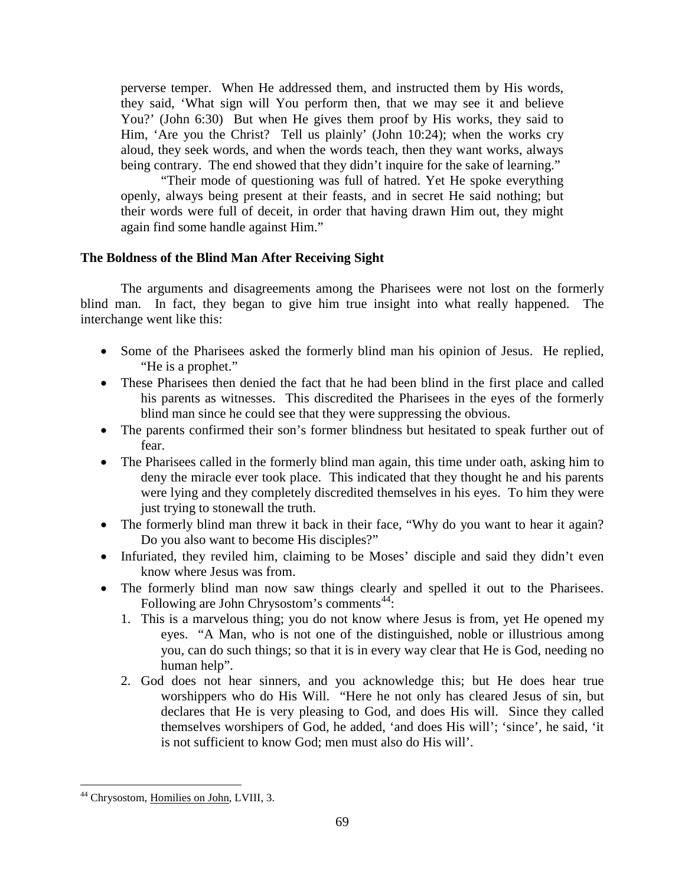perverse temper. When He addressed them, and instructed them by His words, they said, 'What sign will You perform then, that we may see it and believe You?' (John 6:30) But when He gives them proof by His works, they said to Him, 'Are you the Christ? Tell us plainly' (John 10:24); when the works cry aloud, they seek words, and when the words teach, then they want works, always being contrary. The end showed that they didn't inquire for the sake of learning."

"Their mode of questioning was full of hatred. Yet He spoke everything openly, always being present at their feasts, and in secret He said nothing; but their words were full of deceit, in order that having drawn Him out, they might again find some handle against Him."

# <span id="page-27-0"></span>**The Boldness of the Blind Man After Receiving Sight**

The arguments and disagreements among the Pharisees were not lost on the formerly blind man. In fact, they began to give him true insight into what really happened. The interchange went like this:

- Some of the Pharisees asked the formerly blind man his opinion of Jesus. He replied, "He is a prophet."
- These Pharisees then denied the fact that he had been blind in the first place and called his parents as witnesses. This discredited the Pharisees in the eyes of the formerly blind man since he could see that they were suppressing the obvious.
- The parents confirmed their son's former blindness but hesitated to speak further out of fear.
- The Pharisees called in the formerly blind man again, this time under oath, asking him to deny the miracle ever took place. This indicated that they thought he and his parents were lying and they completely discredited themselves in his eyes. To him they were just trying to stonewall the truth.
- The formerly blind man threw it back in their face, "Why do you want to hear it again? Do you also want to become His disciples?"
- Infuriated, they reviled him, claiming to be Moses' disciple and said they didn't even know where Jesus was from.
- The formerly blind man now saw things clearly and spelled it out to the Pharisees. Following are John Chrysostom's comments<sup>[44](#page-27-1)</sup>:
	- 1. This is a marvelous thing; you do not know where Jesus is from, yet He opened my eyes. "A Man, who is not one of the distinguished, noble or illustrious among you, can do such things; so that it is in every way clear that He is God, needing no human help".
	- 2. God does not hear sinners, and you acknowledge this; but He does hear true worshippers who do His Will. "Here he not only has cleared Jesus of sin, but declares that He is very pleasing to God, and does His will. Since they called themselves worshipers of God, he added, 'and does His will'; 'since', he said, 'it is not sufficient to know God; men must also do His will'.

<span id="page-27-1"></span><sup>&</sup>lt;sup>44</sup> Chrysostom, Homilies on John, LVIII, 3.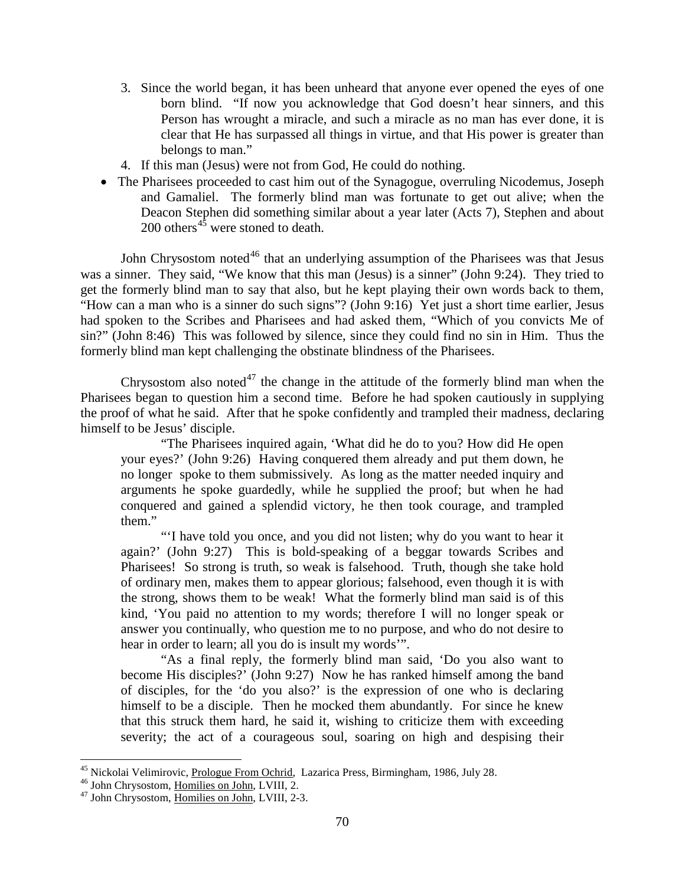- 3. Since the world began, it has been unheard that anyone ever opened the eyes of one born blind. "If now you acknowledge that God doesn't hear sinners, and this Person has wrought a miracle, and such a miracle as no man has ever done, it is clear that He has surpassed all things in virtue, and that His power is greater than belongs to man."
- 4. If this man (Jesus) were not from God, He could do nothing.
- The Pharisees proceeded to cast him out of the Synagogue, overruling Nicodemus, Joseph and Gamaliel. The formerly blind man was fortunate to get out alive; when the Deacon Stephen did something similar about a year later (Acts 7), Stephen and about 200 others<sup> $45$ </sup> were stoned to death.

John Chrysostom noted<sup>[46](#page-28-1)</sup> that an underlying assumption of the Pharisees was that Jesus was a sinner. They said, "We know that this man (Jesus) is a sinner" (John 9:24). They tried to get the formerly blind man to say that also, but he kept playing their own words back to them, "How can a man who is a sinner do such signs"? (John 9:16) Yet just a short time earlier, Jesus had spoken to the Scribes and Pharisees and had asked them, "Which of you convicts Me of sin?" (John 8:46) This was followed by silence, since they could find no sin in Him. Thus the formerly blind man kept challenging the obstinate blindness of the Pharisees.

Chrysostom also noted<sup>[47](#page-28-2)</sup> the change in the attitude of the formerly blind man when the Pharisees began to question him a second time. Before he had spoken cautiously in supplying the proof of what he said. After that he spoke confidently and trampled their madness, declaring himself to be Jesus' disciple.

"The Pharisees inquired again, 'What did he do to you? How did He open your eyes?' (John 9:26) Having conquered them already and put them down, he no longer spoke to them submissively. As long as the matter needed inquiry and arguments he spoke guardedly, while he supplied the proof; but when he had conquered and gained a splendid victory, he then took courage, and trampled them."

"'I have told you once, and you did not listen; why do you want to hear it again?' (John 9:27) This is bold-speaking of a beggar towards Scribes and Pharisees! So strong is truth, so weak is falsehood. Truth, though she take hold of ordinary men, makes them to appear glorious; falsehood, even though it is with the strong, shows them to be weak! What the formerly blind man said is of this kind, 'You paid no attention to my words; therefore I will no longer speak or answer you continually, who question me to no purpose, and who do not desire to hear in order to learn; all you do is insult my words'".

"As a final reply, the formerly blind man said, 'Do you also want to become His disciples?' (John 9:27) Now he has ranked himself among the band of disciples, for the 'do you also?' is the expression of one who is declaring himself to be a disciple. Then he mocked them abundantly. For since he knew that this struck them hard, he said it, wishing to criticize them with exceeding severity; the act of a courageous soul, soaring on high and despising their

<span id="page-28-1"></span><span id="page-28-0"></span><sup>&</sup>lt;sup>45</sup> Nickolai Velimirovic, <u>Prologue From Ochrid</u>, Lazarica Press, Birmingham, 1986, July 28.<br><sup>46</sup> John Chrysostom, <u>Homilies on John</u>, LVIII, 2.<br><sup>47</sup> John Chrysostom, <u>Homilies on John</u>, LVIII, 2-3.

<span id="page-28-2"></span>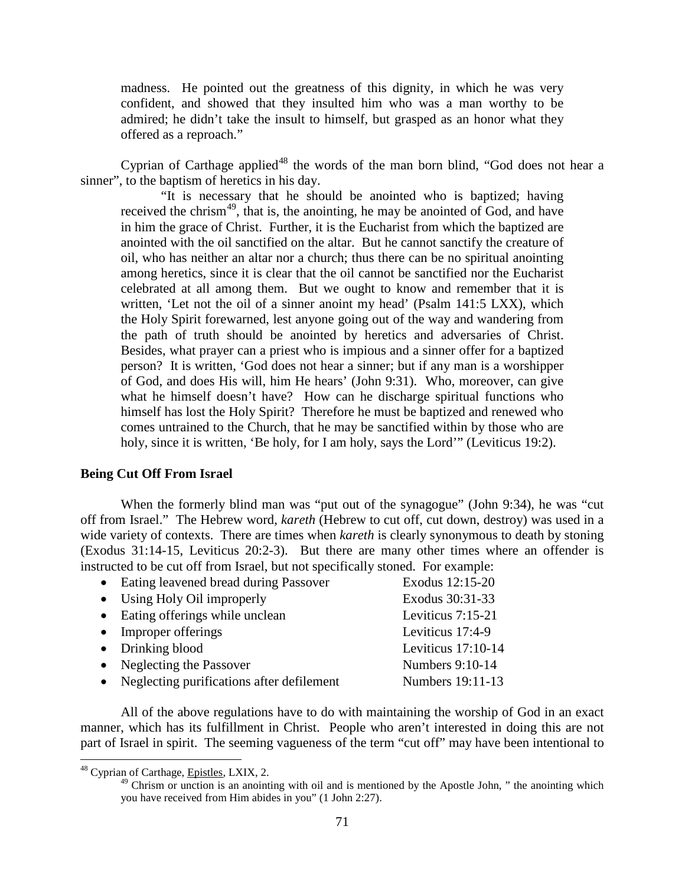madness. He pointed out the greatness of this dignity, in which he was very confident, and showed that they insulted him who was a man worthy to be admired; he didn't take the insult to himself, but grasped as an honor what they offered as a reproach."

Cyprian of Carthage applied<sup>[48](#page-29-1)</sup> the words of the man born blind, "God does not hear a sinner", to the baptism of heretics in his day.

"It is necessary that he should be anointed who is baptized; having received the chrism<sup>[49](#page-29-2)</sup>, that is, the anointing, he may be anointed of God, and have in him the grace of Christ. Further, it is the Eucharist from which the baptized are anointed with the oil sanctified on the altar. But he cannot sanctify the creature of oil, who has neither an altar nor a church; thus there can be no spiritual anointing among heretics, since it is clear that the oil cannot be sanctified nor the Eucharist celebrated at all among them. But we ought to know and remember that it is written, 'Let not the oil of a sinner anoint my head' (Psalm 141:5 LXX), which the Holy Spirit forewarned, lest anyone going out of the way and wandering from the path of truth should be anointed by heretics and adversaries of Christ. Besides, what prayer can a priest who is impious and a sinner offer for a baptized person? It is written, 'God does not hear a sinner; but if any man is a worshipper of God, and does His will, him He hears' (John 9:31). Who, moreover, can give what he himself doesn't have? How can he discharge spiritual functions who himself has lost the Holy Spirit? Therefore he must be baptized and renewed who comes untrained to the Church, that he may be sanctified within by those who are holy, since it is written, 'Be holy, for I am holy, says the Lord'" (Leviticus 19:2).

#### <span id="page-29-0"></span>**Being Cut Off From Israel**

When the formerly blind man was "put out of the synagogue" (John 9:34), he was "cut off from Israel." The Hebrew word, *kareth* (Hebrew to cut off, cut down, destroy) was used in a wide variety of contexts. There are times when *kareth* is clearly synonymous to death by stoning (Exodus 31:14-15, Leviticus 20:2-3). But there are many other times where an offender is instructed to be cut off from Israel, but not specifically stoned. For example:

| • Eating leavened bread during Passover   | Exodus 12:15-20      |
|-------------------------------------------|----------------------|
| • Using Holy Oil improperly               | Exodus 30:31-33      |
| • Eating offerings while unclean          | Leviticus 7:15-21    |
| • Improper offerings                      | Leviticus 17:4-9     |
| $\bullet$ Drinking blood                  | Leviticus $17:10-14$ |
| • Neglecting the Passover                 | Numbers 9:10-14      |
| Neglecting purifications after defilement | Numbers 19:11-13     |
|                                           |                      |

All of the above regulations have to do with maintaining the worship of God in an exact manner, which has its fulfillment in Christ. People who aren't interested in doing this are not part of Israel in spirit. The seeming vagueness of the term "cut off" may have been intentional to

<span id="page-29-2"></span><span id="page-29-1"></span> <sup>48</sup> Cyprian of Carthage, Epistles, LXIX, 2.

 $^{49}$  Chrism or unction is an anointing with oil and is mentioned by the Apostle John, " the anointing which you have received from Him abides in you" (1 John 2:27).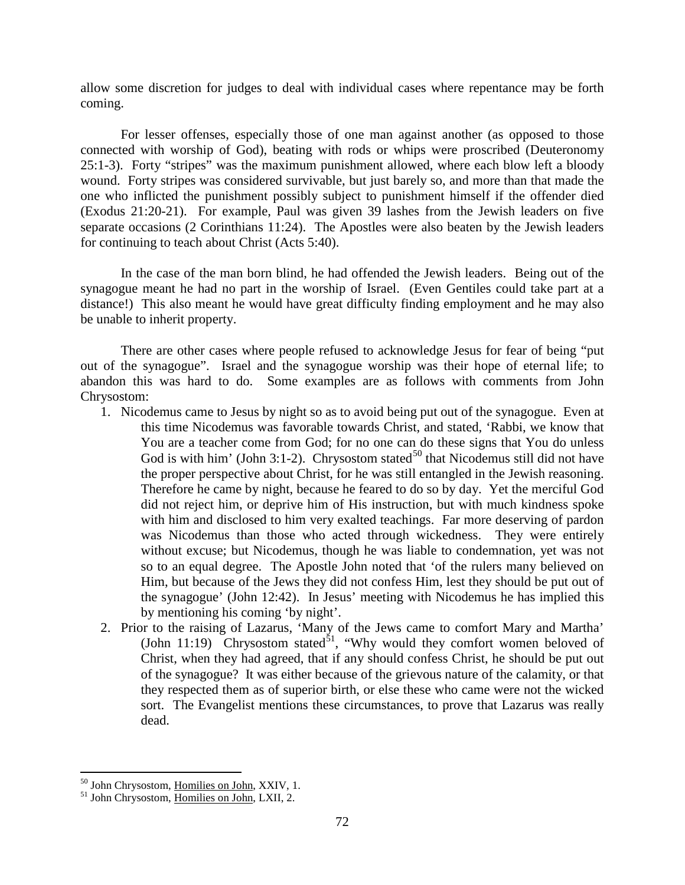allow some discretion for judges to deal with individual cases where repentance may be forth coming.

For lesser offenses, especially those of one man against another (as opposed to those connected with worship of God), beating with rods or whips were proscribed (Deuteronomy 25:1-3). Forty "stripes" was the maximum punishment allowed, where each blow left a bloody wound. Forty stripes was considered survivable, but just barely so, and more than that made the one who inflicted the punishment possibly subject to punishment himself if the offender died (Exodus 21:20-21). For example, Paul was given 39 lashes from the Jewish leaders on five separate occasions (2 Corinthians 11:24). The Apostles were also beaten by the Jewish leaders for continuing to teach about Christ (Acts 5:40).

In the case of the man born blind, he had offended the Jewish leaders. Being out of the synagogue meant he had no part in the worship of Israel. (Even Gentiles could take part at a distance!) This also meant he would have great difficulty finding employment and he may also be unable to inherit property.

There are other cases where people refused to acknowledge Jesus for fear of being "put out of the synagogue". Israel and the synagogue worship was their hope of eternal life; to abandon this was hard to do. Some examples are as follows with comments from John Chrysostom:

- 1. Nicodemus came to Jesus by night so as to avoid being put out of the synagogue. Even at this time Nicodemus was favorable towards Christ, and stated, 'Rabbi, we know that You are a teacher come from God; for no one can do these signs that You do unless God is with him' (John 3:1-2). Chrysostom stated<sup>[50](#page-30-0)</sup> that Nicodemus still did not have the proper perspective about Christ, for he was still entangled in the Jewish reasoning. Therefore he came by night, because he feared to do so by day. Yet the merciful God did not reject him, or deprive him of His instruction, but with much kindness spoke with him and disclosed to him very exalted teachings. Far more deserving of pardon was Nicodemus than those who acted through wickedness. They were entirely without excuse; but Nicodemus, though he was liable to condemnation, yet was not so to an equal degree. The Apostle John noted that 'of the rulers many believed on Him, but because of the Jews they did not confess Him, lest they should be put out of the synagogue' (John 12:42). In Jesus' meeting with Nicodemus he has implied this by mentioning his coming 'by night'.
- 2. Prior to the raising of Lazarus, 'Many of the Jews came to comfort Mary and Martha' (John 11:19) Chrysostom stated<sup>51</sup>, "Why would they comfort women beloved of Christ, when they had agreed, that if any should confess Christ, he should be put out of the synagogue? It was either because of the grievous nature of the calamity, or that they respected them as of superior birth, or else these who came were not the wicked sort. The Evangelist mentions these circumstances, to prove that Lazarus was really dead.

<span id="page-30-0"></span><sup>&</sup>lt;sup>50</sup> John Chrysostom, <u>Homilies on John</u>, XXIV, 1.<br><sup>51</sup> John Chrysostom, <u>Homilies on John</u>, LXII, 2.

<span id="page-30-1"></span>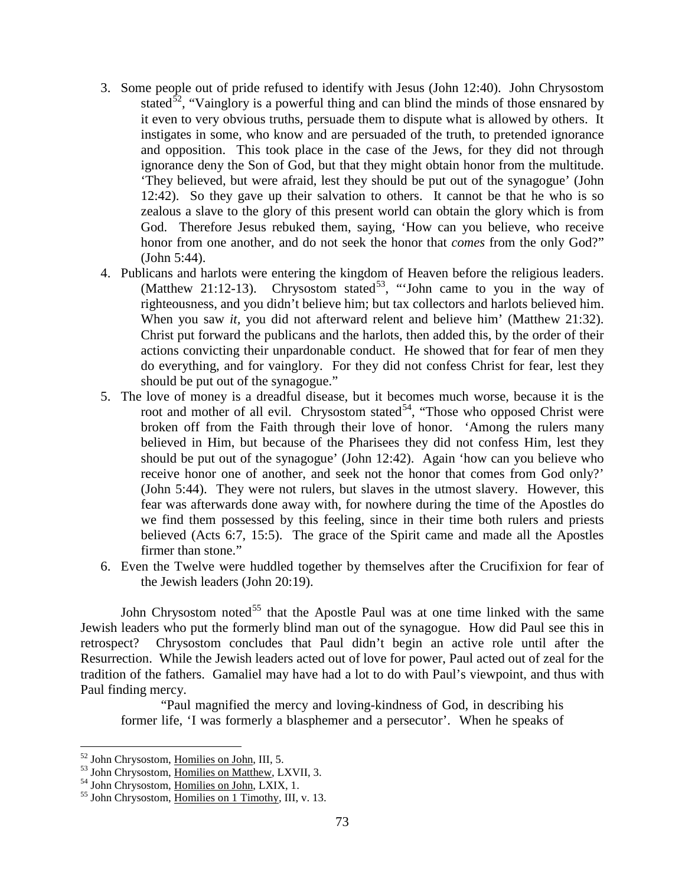- 3. Some people out of pride refused to identify with Jesus (John 12:40). John Chrysostom stated<sup>52</sup>, "Vainglory is a powerful thing and can blind the minds of those ensnared by it even to very obvious truths, persuade them to dispute what is allowed by others. It instigates in some, who know and are persuaded of the truth, to pretended ignorance and opposition. This took place in the case of the Jews, for they did not through ignorance deny the Son of God, but that they might obtain honor from the multitude. 'They believed, but were afraid, lest they should be put out of the synagogue' (John 12:42). So they gave up their salvation to others. It cannot be that he who is so zealous a slave to the glory of this present world can obtain the glory which is from God. Therefore Jesus rebuked them, saying, 'How can you believe, who receive honor from one another, and do not seek the honor that *comes* from the only God?" (John 5:44).
- 4. Publicans and harlots were entering the kingdom of Heaven before the religious leaders. (Matthew 21:12-13). Chrysostom stated<sup>53</sup>, "'John came to you in the way of righteousness, and you didn't believe him; but tax collectors and harlots believed him. When you saw *it,* you did not afterward relent and believe him' (Matthew 21:32). Christ put forward the publicans and the harlots, then added this, by the order of their actions convicting their unpardonable conduct. He showed that for fear of men they do everything, and for vainglory. For they did not confess Christ for fear, lest they should be put out of the synagogue."
- 5. The love of money is a dreadful disease, but it becomes much worse, because it is the root and mother of all evil. Chrysostom stated<sup>[54](#page-31-2)</sup>, "Those who opposed Christ were broken off from the Faith through their love of honor. 'Among the rulers many believed in Him, but because of the Pharisees they did not confess Him, lest they should be put out of the synagogue' (John 12:42). Again 'how can you believe who receive honor one of another, and seek not the honor that comes from God only?' (John 5:44). They were not rulers, but slaves in the utmost slavery. However, this fear was afterwards done away with, for nowhere during the time of the Apostles do we find them possessed by this feeling, since in their time both rulers and priests believed (Acts 6:7, 15:5). The grace of the Spirit came and made all the Apostles firmer than stone."
- 6. Even the Twelve were huddled together by themselves after the Crucifixion for fear of the Jewish leaders (John 20:19).

John Chrysostom noted<sup>[55](#page-31-3)</sup> that the Apostle Paul was at one time linked with the same Jewish leaders who put the formerly blind man out of the synagogue. How did Paul see this in retrospect? Chrysostom concludes that Paul didn't begin an active role until after the Resurrection. While the Jewish leaders acted out of love for power, Paul acted out of zeal for the tradition of the fathers. Gamaliel may have had a lot to do with Paul's viewpoint, and thus with Paul finding mercy.

"Paul magnified the mercy and loving-kindness of God, in describing his former life, 'I was formerly a blasphemer and a persecutor'. When he speaks of

<span id="page-31-1"></span><span id="page-31-0"></span><sup>&</sup>lt;sup>52</sup> John Chrysostom, <u>Homilies on John</u>, III, 5.<br><sup>53</sup> John Chrysostom, <u>Homilies on Matthew</u>, LXVII, 3.<br><sup>54</sup> John Chrysostom, <u>Homilies on 1 Timothy,</u> III, v. 13.<br><sup>55</sup> John Chrysostom, <u>Homilies on 1 Timothy</u>, III, v. 13

<span id="page-31-2"></span>

<span id="page-31-3"></span>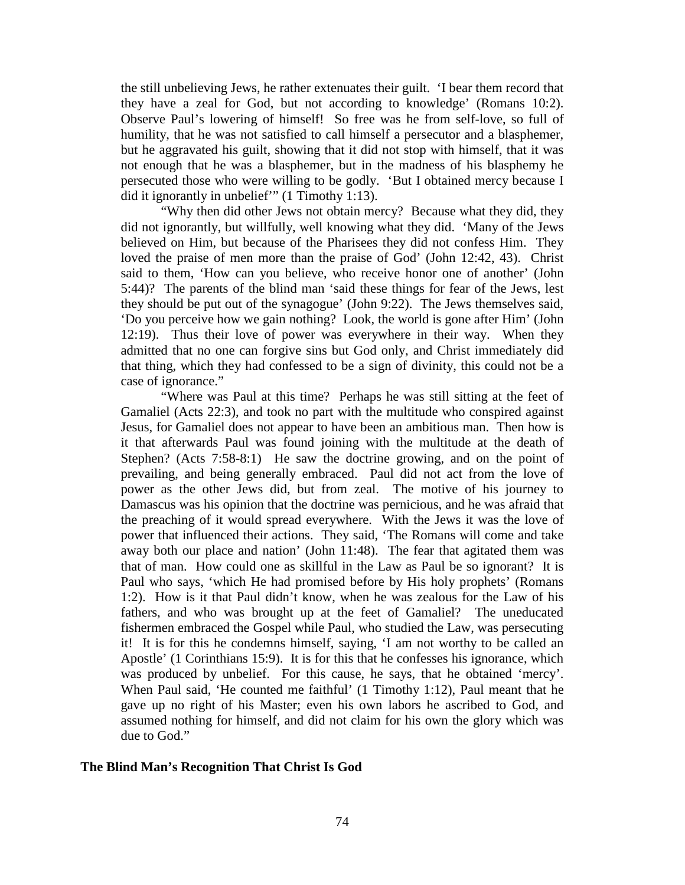the still unbelieving Jews, he rather extenuates their guilt. 'I bear them record that they have a zeal for God, but not according to knowledge' (Romans 10:2). Observe Paul's lowering of himself! So free was he from self-love, so full of humility, that he was not satisfied to call himself a persecutor and a blasphemer, but he aggravated his guilt, showing that it did not stop with himself, that it was not enough that he was a blasphemer, but in the madness of his blasphemy he persecuted those who were willing to be godly. 'But I obtained mercy because I did it ignorantly in unbelief'" (1 Timothy 1:13).

"Why then did other Jews not obtain mercy? Because what they did, they did not ignorantly, but willfully, well knowing what they did. 'Many of the Jews believed on Him, but because of the Pharisees they did not confess Him. They loved the praise of men more than the praise of God' (John 12:42, 43). Christ said to them, 'How can you believe, who receive honor one of another' (John 5:44)? The parents of the blind man 'said these things for fear of the Jews, lest they should be put out of the synagogue' (John 9:22). The Jews themselves said, 'Do you perceive how we gain nothing? Look, the world is gone after Him' (John 12:19). Thus their love of power was everywhere in their way. When they admitted that no one can forgive sins but God only, and Christ immediately did that thing, which they had confessed to be a sign of divinity, this could not be a case of ignorance."

"Where was Paul at this time? Perhaps he was still sitting at the feet of Gamaliel (Acts 22:3), and took no part with the multitude who conspired against Jesus, for Gamaliel does not appear to have been an ambitious man. Then how is it that afterwards Paul was found joining with the multitude at the death of Stephen? (Acts 7:58-8:1) He saw the doctrine growing, and on the point of prevailing, and being generally embraced. Paul did not act from the love of power as the other Jews did, but from zeal. The motive of his journey to Damascus was his opinion that the doctrine was pernicious, and he was afraid that the preaching of it would spread everywhere. With the Jews it was the love of power that influenced their actions. They said, 'The Romans will come and take away both our place and nation' (John 11:48). The fear that agitated them was that of man. How could one as skillful in the Law as Paul be so ignorant? It is Paul who says, 'which He had promised before by His holy prophets' (Romans 1:2). How is it that Paul didn't know, when he was zealous for the Law of his fathers, and who was brought up at the feet of Gamaliel? The uneducated fishermen embraced the Gospel while Paul, who studied the Law, was persecuting it! It is for this he condemns himself, saying, 'I am not worthy to be called an Apostle' (1 Corinthians 15:9). It is for this that he confesses his ignorance, which was produced by unbelief. For this cause, he says, that he obtained 'mercy'. When Paul said, 'He counted me faithful' (1 Timothy 1:12), Paul meant that he gave up no right of his Master; even his own labors he ascribed to God, and assumed nothing for himself, and did not claim for his own the glory which was due to God."

### <span id="page-32-0"></span>**The Blind Man's Recognition That Christ Is God**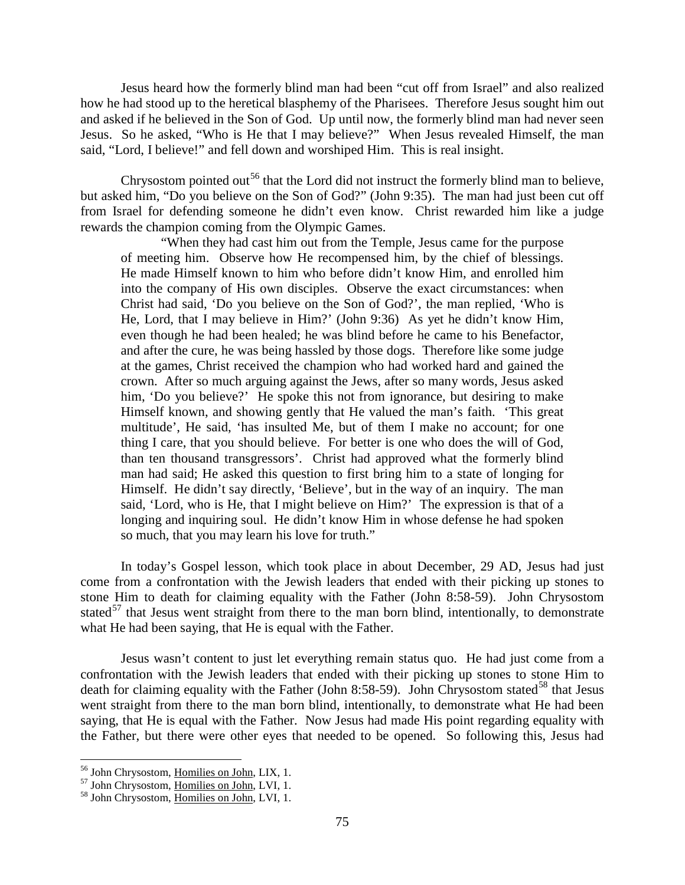Jesus heard how the formerly blind man had been "cut off from Israel" and also realized how he had stood up to the heretical blasphemy of the Pharisees. Therefore Jesus sought him out and asked if he believed in the Son of God. Up until now, the formerly blind man had never seen Jesus. So he asked, "Who is He that I may believe?" When Jesus revealed Himself, the man said, "Lord, I believe!" and fell down and worshiped Him. This is real insight.

Chrysostom pointed out<sup>[56](#page-33-0)</sup> that the Lord did not instruct the formerly blind man to believe, but asked him, "Do you believe on the Son of God?" (John 9:35). The man had just been cut off from Israel for defending someone he didn't even know. Christ rewarded him like a judge rewards the champion coming from the Olympic Games.

"When they had cast him out from the Temple, Jesus came for the purpose of meeting him. Observe how He recompensed him, by the chief of blessings. He made Himself known to him who before didn't know Him, and enrolled him into the company of His own disciples. Observe the exact circumstances: when Christ had said, 'Do you believe on the Son of God?', the man replied, 'Who is He, Lord, that I may believe in Him?' (John 9:36) As yet he didn't know Him, even though he had been healed; he was blind before he came to his Benefactor, and after the cure, he was being hassled by those dogs. Therefore like some judge at the games, Christ received the champion who had worked hard and gained the crown. After so much arguing against the Jews, after so many words, Jesus asked him, 'Do you believe?' He spoke this not from ignorance, but desiring to make Himself known, and showing gently that He valued the man's faith. 'This great multitude', He said, 'has insulted Me, but of them I make no account; for one thing I care, that you should believe. For better is one who does the will of God, than ten thousand transgressors'. Christ had approved what the formerly blind man had said; He asked this question to first bring him to a state of longing for Himself. He didn't say directly, 'Believe', but in the way of an inquiry. The man said, 'Lord, who is He, that I might believe on Him?' The expression is that of a longing and inquiring soul. He didn't know Him in whose defense he had spoken so much, that you may learn his love for truth."

In today's Gospel lesson, which took place in about December, 29 AD, Jesus had just come from a confrontation with the Jewish leaders that ended with their picking up stones to stone Him to death for claiming equality with the Father (John 8:58-59). John Chrysostom stated<sup>[57](#page-33-1)</sup> that Jesus went straight from there to the man born blind, intentionally, to demonstrate what He had been saying, that He is equal with the Father.

Jesus wasn't content to just let everything remain status quo. He had just come from a confrontation with the Jewish leaders that ended with their picking up stones to stone Him to death for claiming equality with the Father (John 8:[58](#page-33-2)-59). John Chrysostom stated<sup>58</sup> that Jesus went straight from there to the man born blind, intentionally, to demonstrate what He had been saying, that He is equal with the Father. Now Jesus had made His point regarding equality with the Father, but there were other eyes that needed to be opened. So following this, Jesus had

<span id="page-33-2"></span>

<span id="page-33-1"></span><span id="page-33-0"></span><sup>&</sup>lt;sup>56</sup> John Chrysostom, <u>Homilies on John</u>, LIX, 1.<br><sup>57</sup> John Chrysostom, <u>Homilies on John</u>, LVI, 1.<br><sup>58</sup> John Chrysostom, Homilies on John, LVI, 1.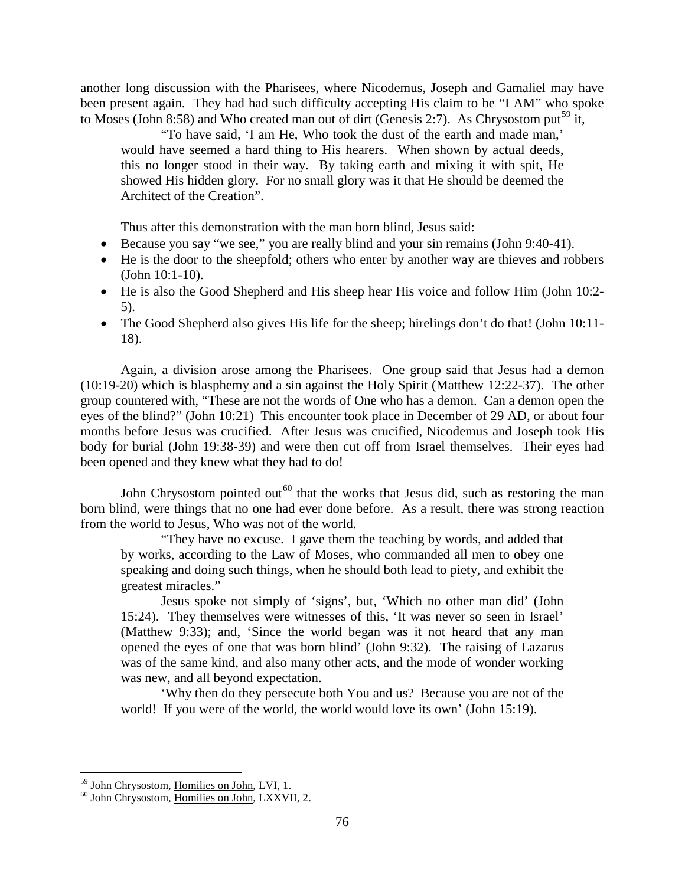another long discussion with the Pharisees, where Nicodemus, Joseph and Gamaliel may have been present again. They had had such difficulty accepting His claim to be "I AM" who spoke to Moses (John 8:58) and Who created man out of dirt (Genesis 2:7). As Chrysostom put<sup>[59](#page-34-0)</sup> it,

"To have said, 'I am He, Who took the dust of the earth and made man,' would have seemed a hard thing to His hearers. When shown by actual deeds, this no longer stood in their way. By taking earth and mixing it with spit, He showed His hidden glory. For no small glory was it that He should be deemed the Architect of the Creation".

Thus after this demonstration with the man born blind, Jesus said:

- Because you say "we see," you are really blind and your sin remains (John 9:40-41).
- He is the door to the sheepfold; others who enter by another way are thieves and robbers (John 10:1-10).
- He is also the Good Shepherd and His sheep hear His voice and follow Him (John 10:2-5).
- The Good Shepherd also gives His life for the sheep; hirelings don't do that! (John 10:11-18).

Again, a division arose among the Pharisees. One group said that Jesus had a demon (10:19-20) which is blasphemy and a sin against the Holy Spirit (Matthew 12:22-37). The other group countered with, "These are not the words of One who has a demon. Can a demon open the eyes of the blind?" (John 10:21) This encounter took place in December of 29 AD, or about four months before Jesus was crucified. After Jesus was crucified, Nicodemus and Joseph took His body for burial (John 19:38-39) and were then cut off from Israel themselves. Their eyes had been opened and they knew what they had to do!

John Chrysostom pointed out<sup>[60](#page-34-1)</sup> that the works that Jesus did, such as restoring the man born blind, were things that no one had ever done before. As a result, there was strong reaction from the world to Jesus, Who was not of the world.

"They have no excuse. I gave them the teaching by words, and added that by works, according to the Law of Moses, who commanded all men to obey one speaking and doing such things, when he should both lead to piety, and exhibit the greatest miracles."

Jesus spoke not simply of 'signs', but, 'Which no other man did' (John 15:24). They themselves were witnesses of this, 'It was never so seen in Israel' (Matthew 9:33); and, 'Since the world began was it not heard that any man opened the eyes of one that was born blind' (John 9:32). The raising of Lazarus was of the same kind, and also many other acts, and the mode of wonder working was new, and all beyond expectation.

'Why then do they persecute both You and us? Because you are not of the world! If you were of the world, the world would love its own' (John 15:19).

<span id="page-34-1"></span><span id="page-34-0"></span> $59$  John Chrysostom, <u>Homilies on John</u>, LVI, 1.  $60$  John Chrysostom, <u>Homilies on John</u>, LXXVII, 2.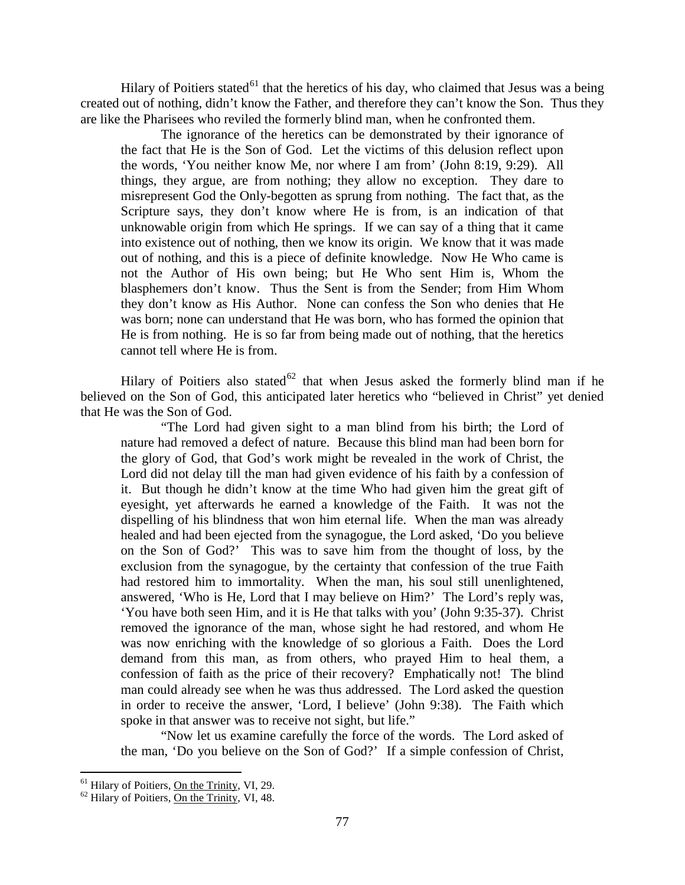Hilary of Poitiers stated<sup>[61](#page-35-0)</sup> that the heretics of his day, who claimed that Jesus was a being created out of nothing, didn't know the Father, and therefore they can't know the Son. Thus they are like the Pharisees who reviled the formerly blind man, when he confronted them.

The ignorance of the heretics can be demonstrated by their ignorance of the fact that He is the Son of God. Let the victims of this delusion reflect upon the words, 'You neither know Me, nor where I am from' (John 8:19, 9:29). All things, they argue, are from nothing; they allow no exception. They dare to misrepresent God the Only-begotten as sprung from nothing. The fact that, as the Scripture says, they don't know where He is from, is an indication of that unknowable origin from which He springs. If we can say of a thing that it came into existence out of nothing, then we know its origin. We know that it was made out of nothing, and this is a piece of definite knowledge. Now He Who came is not the Author of His own being; but He Who sent Him is, Whom the blasphemers don't know. Thus the Sent is from the Sender; from Him Whom they don't know as His Author. None can confess the Son who denies that He was born; none can understand that He was born, who has formed the opinion that He is from nothing. He is so far from being made out of nothing, that the heretics cannot tell where He is from.

Hilary of Poitiers also stated<sup>[62](#page-35-1)</sup> that when Jesus asked the formerly blind man if he believed on the Son of God, this anticipated later heretics who "believed in Christ" yet denied that He was the Son of God.

"The Lord had given sight to a man blind from his birth; the Lord of nature had removed a defect of nature. Because this blind man had been born for the glory of God, that God's work might be revealed in the work of Christ, the Lord did not delay till the man had given evidence of his faith by a confession of it. But though he didn't know at the time Who had given him the great gift of eyesight, yet afterwards he earned a knowledge of the Faith. It was not the dispelling of his blindness that won him eternal life. When the man was already healed and had been ejected from the synagogue, the Lord asked, 'Do you believe on the Son of God?' This was to save him from the thought of loss, by the exclusion from the synagogue, by the certainty that confession of the true Faith had restored him to immortality. When the man, his soul still unenlightened, answered, 'Who is He, Lord that I may believe on Him?' The Lord's reply was, 'You have both seen Him, and it is He that talks with you' (John 9:35-37). Christ removed the ignorance of the man, whose sight he had restored, and whom He was now enriching with the knowledge of so glorious a Faith. Does the Lord demand from this man, as from others, who prayed Him to heal them, a confession of faith as the price of their recovery? Emphatically not! The blind man could already see when he was thus addressed. The Lord asked the question in order to receive the answer, 'Lord, I believe' (John 9:38). The Faith which spoke in that answer was to receive not sight, but life."

"Now let us examine carefully the force of the words. The Lord asked of the man, 'Do you believe on the Son of God?' If a simple confession of Christ,

<span id="page-35-1"></span><span id="page-35-0"></span><sup>&</sup>lt;sup>61</sup> Hilary of Poitiers, <u>On the Trinity</u>, VI, 29. <sup>62</sup> Hilary of Poitiers, <u>On the Trinity</u>, VI, 48.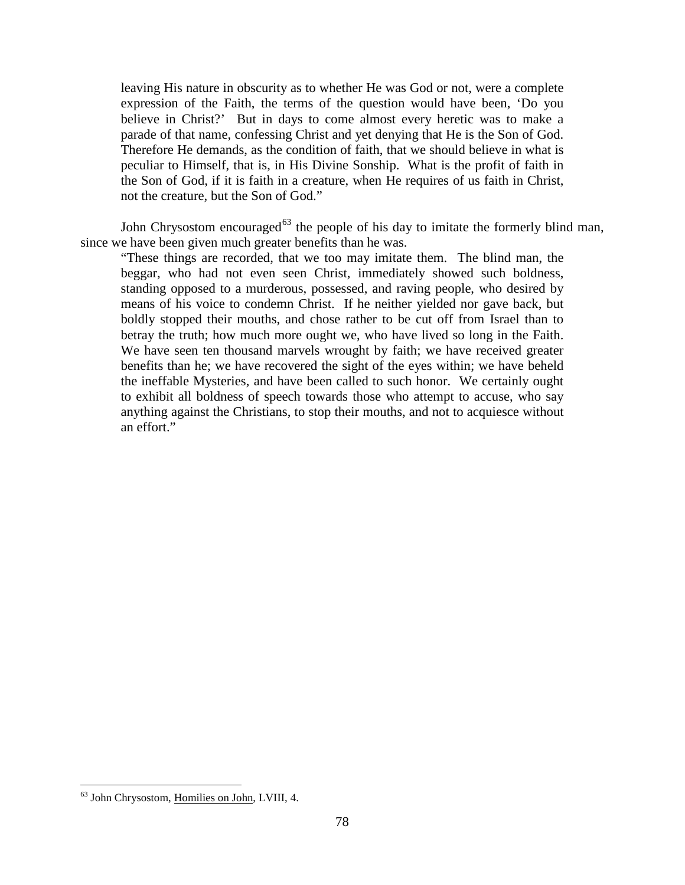leaving His nature in obscurity as to whether He was God or not, were a complete expression of the Faith, the terms of the question would have been, 'Do you believe in Christ?' But in days to come almost every heretic was to make a parade of that name, confessing Christ and yet denying that He is the Son of God. Therefore He demands, as the condition of faith, that we should believe in what is peculiar to Himself, that is, in His Divine Sonship. What is the profit of faith in the Son of God, if it is faith in a creature, when He requires of us faith in Christ, not the creature, but the Son of God."

John Chrysostom encouraged<sup>[63](#page-36-0)</sup> the people of his day to imitate the formerly blind man, since we have been given much greater benefits than he was.

"These things are recorded, that we too may imitate them. The blind man, the beggar, who had not even seen Christ, immediately showed such boldness, standing opposed to a murderous, possessed, and raving people, who desired by means of his voice to condemn Christ. If he neither yielded nor gave back, but boldly stopped their mouths, and chose rather to be cut off from Israel than to betray the truth; how much more ought we, who have lived so long in the Faith. We have seen ten thousand marvels wrought by faith; we have received greater benefits than he; we have recovered the sight of the eyes within; we have beheld the ineffable Mysteries, and have been called to such honor. We certainly ought to exhibit all boldness of speech towards those who attempt to accuse, who say anything against the Christians, to stop their mouths, and not to acquiesce without an effort."

<span id="page-36-0"></span> <sup>63</sup> John Chrysostom, Homilies on John, LVIII, 4.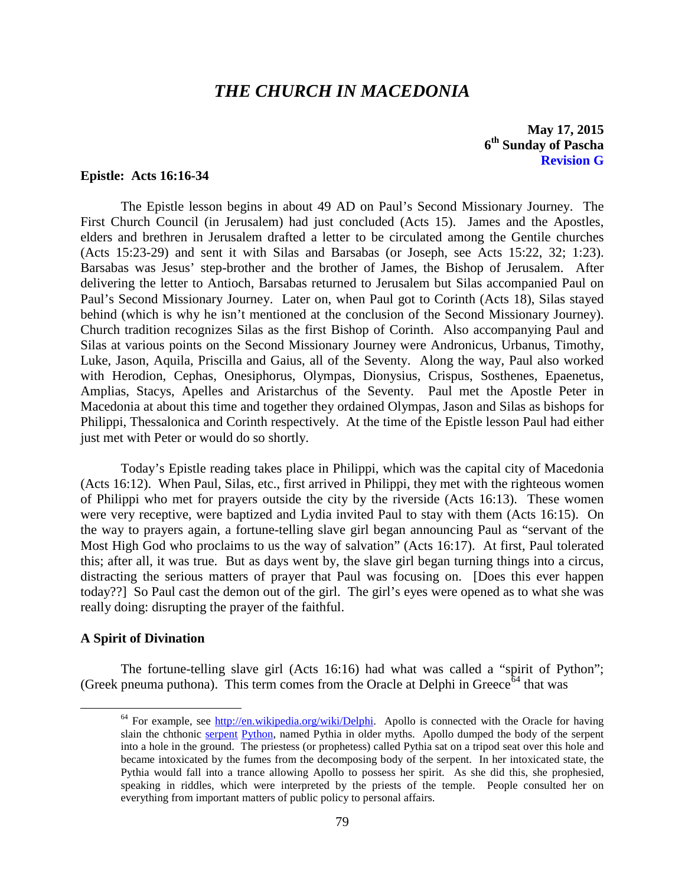# *THE CHURCH IN MACEDONIA*

**May 17, 2015 6th Sunday of Pascha Revision G**

#### <span id="page-37-0"></span>**Epistle: Acts 16:16-34**

The Epistle lesson begins in about 49 AD on Paul's Second Missionary Journey. The First Church Council (in Jerusalem) had just concluded (Acts 15). James and the Apostles, elders and brethren in Jerusalem drafted a letter to be circulated among the Gentile churches (Acts 15:23-29) and sent it with Silas and Barsabas (or Joseph, see Acts 15:22, 32; 1:23). Barsabas was Jesus' step-brother and the brother of James, the Bishop of Jerusalem. After delivering the letter to Antioch, Barsabas returned to Jerusalem but Silas accompanied Paul on Paul's Second Missionary Journey. Later on, when Paul got to Corinth (Acts 18), Silas stayed behind (which is why he isn't mentioned at the conclusion of the Second Missionary Journey). Church tradition recognizes Silas as the first Bishop of Corinth. Also accompanying Paul and Silas at various points on the Second Missionary Journey were Andronicus, Urbanus, Timothy, Luke, Jason, Aquila, Priscilla and Gaius, all of the Seventy. Along the way, Paul also worked with Herodion, Cephas, Onesiphorus, Olympas, Dionysius, Crispus, Sosthenes, Epaenetus, Amplias, Stacys, Apelles and Aristarchus of the Seventy. Paul met the Apostle Peter in Macedonia at about this time and together they ordained Olympas, Jason and Silas as bishops for Philippi, Thessalonica and Corinth respectively. At the time of the Epistle lesson Paul had either just met with Peter or would do so shortly.

Today's Epistle reading takes place in Philippi, which was the capital city of Macedonia (Acts 16:12). When Paul, Silas, etc., first arrived in Philippi, they met with the righteous women of Philippi who met for prayers outside the city by the riverside (Acts 16:13). These women were very receptive, were baptized and Lydia invited Paul to stay with them (Acts 16:15). On the way to prayers again, a fortune-telling slave girl began announcing Paul as "servant of the Most High God who proclaims to us the way of salvation" (Acts 16:17). At first, Paul tolerated this; after all, it was true. But as days went by, the slave girl began turning things into a circus, distracting the serious matters of prayer that Paul was focusing on. [Does this ever happen today??] So Paul cast the demon out of the girl. The girl's eyes were opened as to what she was really doing: disrupting the prayer of the faithful.

#### <span id="page-37-1"></span>**A Spirit of Divination**

<span id="page-37-2"></span>The fortune-telling slave girl (Acts 16:16) had what was called a "spirit of Python"; (Greek pneuma puthona). This term comes from the Oracle at Delphi in Greece<sup>[64](#page-37-2)</sup> that was

 $64$  For example, see [http://en.wikipedia.org/wiki/Delphi.](http://en.wikipedia.org/wiki/Delphi) Apollo is connected with the Oracle for having slain the chthonic [serpent](http://en.wikipedia.org/wiki/Serpent_%28symbolism%29) [Python,](http://en.wikipedia.org/wiki/Python_%28mythology%29) named Pythia in older myths. Apollo dumped the body of the serpent into a hole in the ground. The priestess (or prophetess) called Pythia sat on a tripod seat over this hole and became intoxicated by the fumes from the decomposing body of the serpent. In her intoxicated state, the Pythia would fall into a trance allowing Apollo to possess her spirit. As she did this, she prophesied, speaking in riddles, which were interpreted by the priests of the temple. People consulted her on everything from important matters of public policy to personal affairs.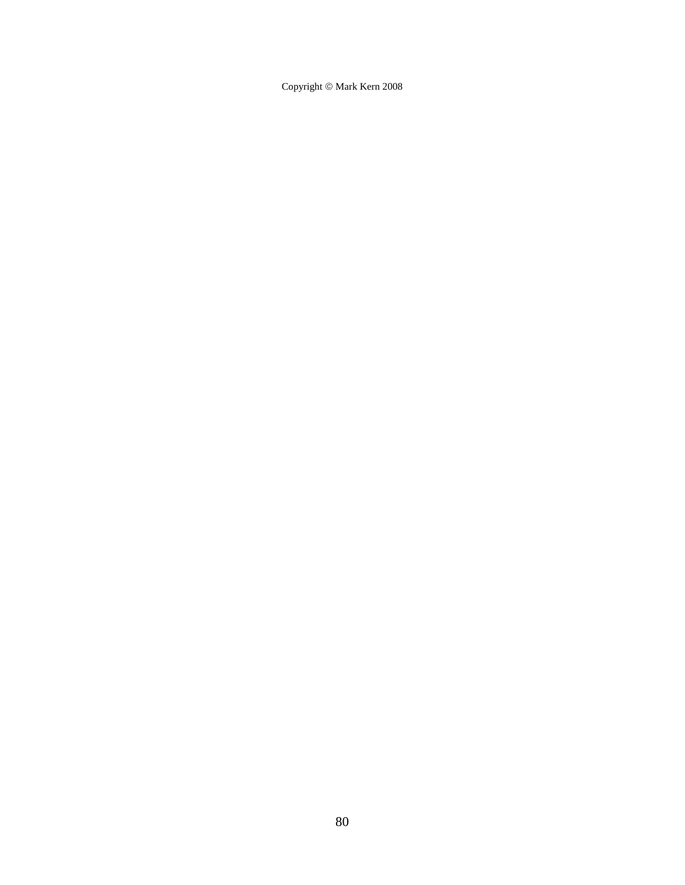Copyright © Mark Kern 2008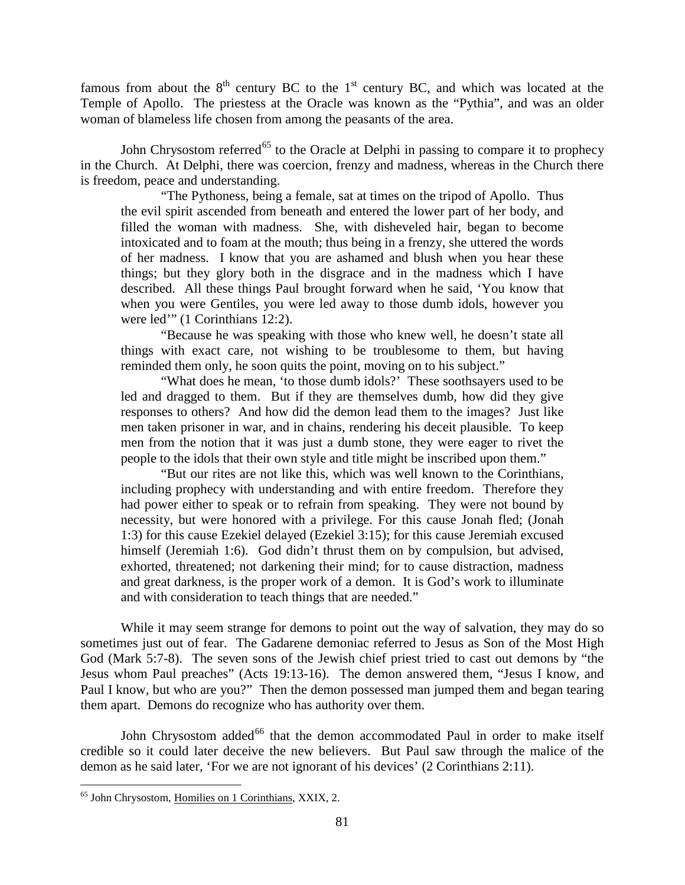famous from about the  $8<sup>th</sup>$  century BC to the 1<sup>st</sup> century BC, and which was located at the Temple of Apollo. The priestess at the Oracle was known as the "Pythia", and was an older woman of blameless life chosen from among the peasants of the area.

John Chrysostom referred<sup>[65](#page-39-0)</sup> to the Oracle at Delphi in passing to compare it to prophecy in the Church. At Delphi, there was coercion, frenzy and madness, whereas in the Church there is freedom, peace and understanding.

"The Pythoness, being a female, sat at times on the tripod of Apollo. Thus the evil spirit ascended from beneath and entered the lower part of her body, and filled the woman with madness. She, with disheveled hair, began to become intoxicated and to foam at the mouth; thus being in a frenzy, she uttered the words of her madness. I know that you are ashamed and blush when you hear these things; but they glory both in the disgrace and in the madness which I have described. All these things Paul brought forward when he said, 'You know that when you were Gentiles, you were led away to those dumb idols, however you were led'" (1 Corinthians 12:2).

"Because he was speaking with those who knew well, he doesn't state all things with exact care, not wishing to be troublesome to them, but having reminded them only, he soon quits the point, moving on to his subject."

"What does he mean, 'to those dumb idols?' These soothsayers used to be led and dragged to them. But if they are themselves dumb, how did they give responses to others? And how did the demon lead them to the images? Just like men taken prisoner in war, and in chains, rendering his deceit plausible. To keep men from the notion that it was just a dumb stone, they were eager to rivet the people to the idols that their own style and title might be inscribed upon them."

"But our rites are not like this, which was well known to the Corinthians, including prophecy with understanding and with entire freedom. Therefore they had power either to speak or to refrain from speaking. They were not bound by necessity, but were honored with a privilege. For this cause Jonah fled; (Jonah 1:3) for this cause Ezekiel delayed (Ezekiel 3:15); for this cause Jeremiah excused himself (Jeremiah 1:6). God didn't thrust them on by compulsion, but advised, exhorted, threatened; not darkening their mind; for to cause distraction, madness and great darkness, is the proper work of a demon. It is God's work to illuminate and with consideration to teach things that are needed."

While it may seem strange for demons to point out the way of salvation, they may do so sometimes just out of fear. The Gadarene demoniac referred to Jesus as Son of the Most High God (Mark 5:7-8). The seven sons of the Jewish chief priest tried to cast out demons by "the Jesus whom Paul preaches" (Acts 19:13-16). The demon answered them, "Jesus I know, and Paul I know, but who are you?" Then the demon possessed man jumped them and began tearing them apart. Demons do recognize who has authority over them.

John Chrysostom added<sup>[66](#page-39-1)</sup> that the demon accommodated Paul in order to make itself credible so it could later deceive the new believers. But Paul saw through the malice of the demon as he said later, 'For we are not ignorant of his devices' (2 Corinthians 2:11).

<span id="page-39-1"></span><span id="page-39-0"></span> <sup>65</sup> John Chrysostom, Homilies on 1 Corinthians, XXIX, 2.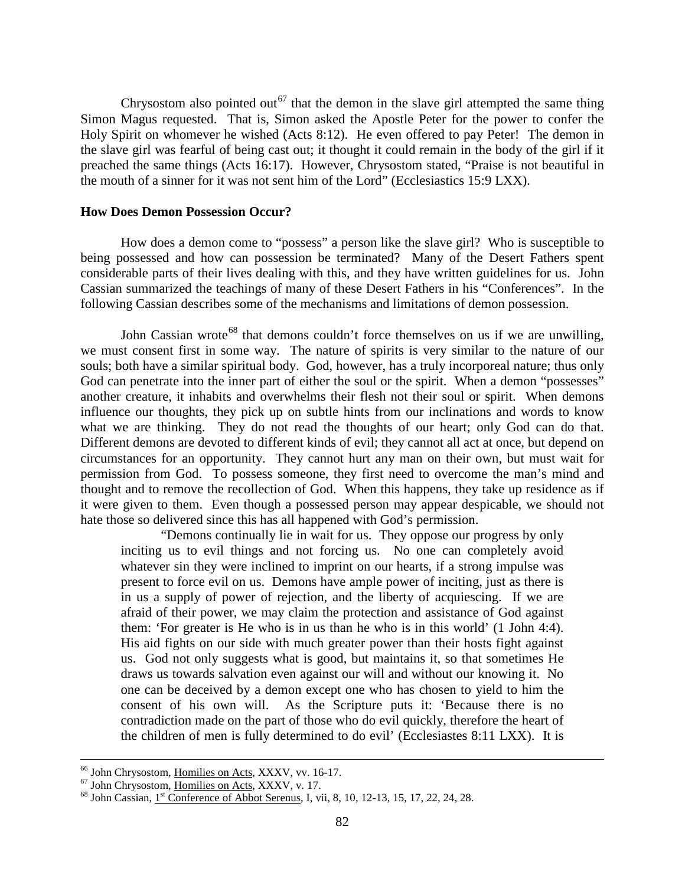Chrysostom also pointed out<sup>[67](#page-40-1)</sup> that the demon in the slave girl attempted the same thing Simon Magus requested. That is, Simon asked the Apostle Peter for the power to confer the Holy Spirit on whomever he wished (Acts 8:12). He even offered to pay Peter! The demon in the slave girl was fearful of being cast out; it thought it could remain in the body of the girl if it preached the same things (Acts 16:17). However, Chrysostom stated, "Praise is not beautiful in the mouth of a sinner for it was not sent him of the Lord" (Ecclesiastics 15:9 LXX).

#### <span id="page-40-0"></span>**How Does Demon Possession Occur?**

How does a demon come to "possess" a person like the slave girl? Who is susceptible to being possessed and how can possession be terminated? Many of the Desert Fathers spent considerable parts of their lives dealing with this, and they have written guidelines for us. John Cassian summarized the teachings of many of these Desert Fathers in his "Conferences". In the following Cassian describes some of the mechanisms and limitations of demon possession.

John Cassian wrote<sup>[68](#page-40-2)</sup> that demons couldn't force themselves on us if we are unwilling, we must consent first in some way. The nature of spirits is very similar to the nature of our souls; both have a similar spiritual body. God, however, has a truly incorporeal nature; thus only God can penetrate into the inner part of either the soul or the spirit. When a demon "possesses" another creature, it inhabits and overwhelms their flesh not their soul or spirit. When demons influence our thoughts, they pick up on subtle hints from our inclinations and words to know what we are thinking. They do not read the thoughts of our heart; only God can do that. Different demons are devoted to different kinds of evil; they cannot all act at once, but depend on circumstances for an opportunity. They cannot hurt any man on their own, but must wait for permission from God. To possess someone, they first need to overcome the man's mind and thought and to remove the recollection of God. When this happens, they take up residence as if it were given to them. Even though a possessed person may appear despicable, we should not hate those so delivered since this has all happened with God's permission.

"Demons continually lie in wait for us. They oppose our progress by only inciting us to evil things and not forcing us. No one can completely avoid whatever sin they were inclined to imprint on our hearts, if a strong impulse was present to force evil on us. Demons have ample power of inciting, just as there is in us a supply of power of rejection, and the liberty of acquiescing. If we are afraid of their power, we may claim the protection and assistance of God against them: 'For greater is He who is in us than he who is in this world' (1 John 4:4). His aid fights on our side with much greater power than their hosts fight against us. God not only suggests what is good, but maintains it, so that sometimes He draws us towards salvation even against our will and without our knowing it. No one can be deceived by a demon except one who has chosen to yield to him the consent of his own will. As the Scripture puts it: 'Because there is no contradiction made on the part of those who do evil quickly, therefore the heart of the children of men is fully determined to do evil' (Ecclesiastes 8:11 LXX). It is

<span id="page-40-2"></span>

<span id="page-40-1"></span><sup>&</sup>lt;sup>66</sup> John Chrysostom, <u>Homilies on Acts</u>, XXXV, vv. 16-17.<br><sup>67</sup> John Chrysostom, <u>Homilies on Acts</u>, XXXV, v. 17.<br><sup>68</sup> John Cassian, 1<sup>st</sup> Conference o<u>f Abbot Serenus</u>, I, vii, 8, 10, 12-13, 15, 17, 22, 24, 28.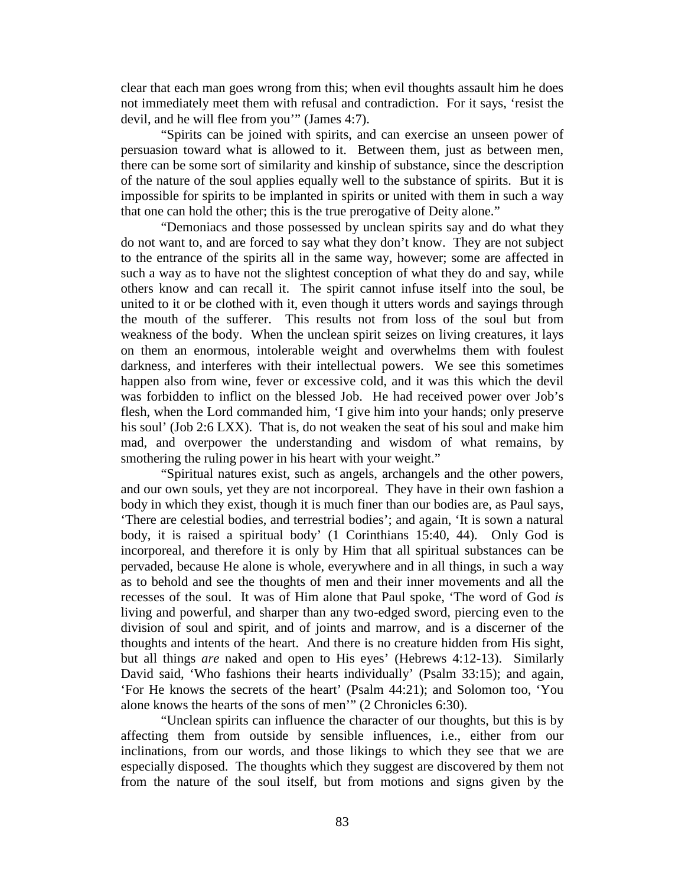clear that each man goes wrong from this; when evil thoughts assault him he does not immediately meet them with refusal and contradiction. For it says, 'resist the devil, and he will flee from you'" (James 4:7).

"Spirits can be joined with spirits, and can exercise an unseen power of persuasion toward what is allowed to it. Between them, just as between men, there can be some sort of similarity and kinship of substance, since the description of the nature of the soul applies equally well to the substance of spirits. But it is impossible for spirits to be implanted in spirits or united with them in such a way that one can hold the other; this is the true prerogative of Deity alone."

"Demoniacs and those possessed by unclean spirits say and do what they do not want to, and are forced to say what they don't know. They are not subject to the entrance of the spirits all in the same way, however; some are affected in such a way as to have not the slightest conception of what they do and say, while others know and can recall it. The spirit cannot infuse itself into the soul, be united to it or be clothed with it, even though it utters words and sayings through the mouth of the sufferer. This results not from loss of the soul but from weakness of the body. When the unclean spirit seizes on living creatures, it lays on them an enormous, intolerable weight and overwhelms them with foulest darkness, and interferes with their intellectual powers. We see this sometimes happen also from wine, fever or excessive cold, and it was this which the devil was forbidden to inflict on the blessed Job. He had received power over Job's flesh, when the Lord commanded him, 'I give him into your hands; only preserve his soul' (Job 2:6 LXX). That is, do not weaken the seat of his soul and make him mad, and overpower the understanding and wisdom of what remains, by smothering the ruling power in his heart with your weight."

"Spiritual natures exist, such as angels, archangels and the other powers, and our own souls, yet they are not incorporeal. They have in their own fashion a body in which they exist, though it is much finer than our bodies are, as Paul says, 'There are celestial bodies, and terrestrial bodies'; and again, 'It is sown a natural body, it is raised a spiritual body' (1 Corinthians 15:40, 44). Only God is incorporeal, and therefore it is only by Him that all spiritual substances can be pervaded, because He alone is whole, everywhere and in all things, in such a way as to behold and see the thoughts of men and their inner movements and all the recesses of the soul. It was of Him alone that Paul spoke, 'The word of God *is*  living and powerful, and sharper than any two-edged sword, piercing even to the division of soul and spirit, and of joints and marrow, and is a discerner of the thoughts and intents of the heart. And there is no creature hidden from His sight, but all things *are* naked and open to His eyes' (Hebrews 4:12-13). Similarly David said, 'Who fashions their hearts individually' (Psalm 33:15); and again, 'For He knows the secrets of the heart' (Psalm 44:21); and Solomon too, 'You alone knows the hearts of the sons of men'" (2 Chronicles 6:30).

"Unclean spirits can influence the character of our thoughts, but this is by affecting them from outside by sensible influences, i.e., either from our inclinations, from our words, and those likings to which they see that we are especially disposed. The thoughts which they suggest are discovered by them not from the nature of the soul itself, but from motions and signs given by the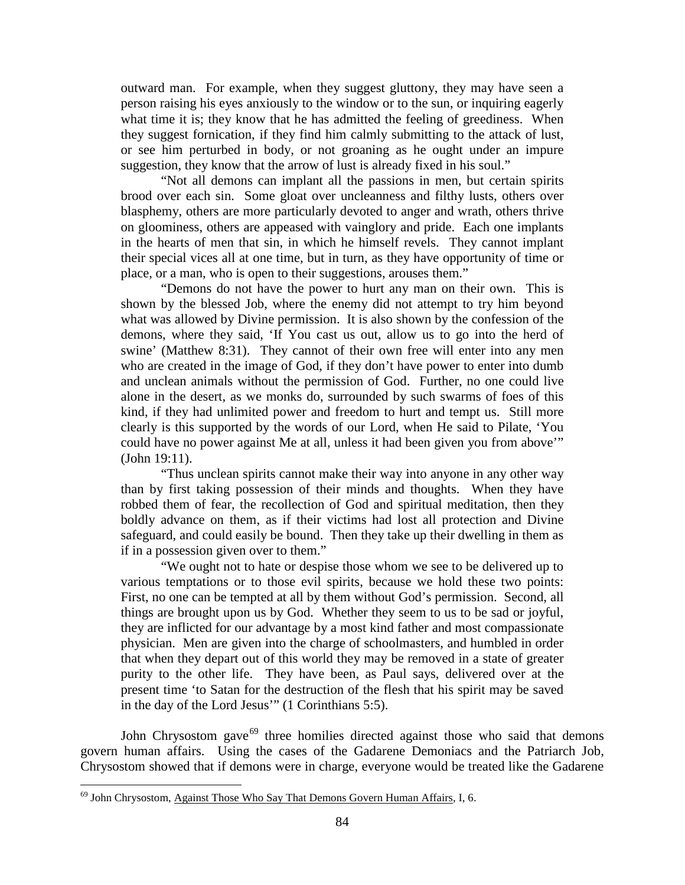outward man. For example, when they suggest gluttony, they may have seen a person raising his eyes anxiously to the window or to the sun, or inquiring eagerly what time it is; they know that he has admitted the feeling of greediness. When they suggest fornication, if they find him calmly submitting to the attack of lust, or see him perturbed in body, or not groaning as he ought under an impure suggestion, they know that the arrow of lust is already fixed in his soul."

"Not all demons can implant all the passions in men, but certain spirits brood over each sin. Some gloat over uncleanness and filthy lusts, others over blasphemy, others are more particularly devoted to anger and wrath, others thrive on gloominess, others are appeased with vainglory and pride. Each one implants in the hearts of men that sin, in which he himself revels. They cannot implant their special vices all at one time, but in turn, as they have opportunity of time or place, or a man, who is open to their suggestions, arouses them."

"Demons do not have the power to hurt any man on their own. This is shown by the blessed Job, where the enemy did not attempt to try him beyond what was allowed by Divine permission. It is also shown by the confession of the demons, where they said, 'If You cast us out, allow us to go into the herd of swine' (Matthew 8:31). They cannot of their own free will enter into any men who are created in the image of God, if they don't have power to enter into dumb and unclean animals without the permission of God. Further, no one could live alone in the desert, as we monks do, surrounded by such swarms of foes of this kind, if they had unlimited power and freedom to hurt and tempt us. Still more clearly is this supported by the words of our Lord, when He said to Pilate, 'You could have no power against Me at all, unless it had been given you from above'" (John 19:11).

"Thus unclean spirits cannot make their way into anyone in any other way than by first taking possession of their minds and thoughts. When they have robbed them of fear, the recollection of God and spiritual meditation, then they boldly advance on them, as if their victims had lost all protection and Divine safeguard, and could easily be bound. Then they take up their dwelling in them as if in a possession given over to them."

"We ought not to hate or despise those whom we see to be delivered up to various temptations or to those evil spirits, because we hold these two points: First, no one can be tempted at all by them without God's permission. Second, all things are brought upon us by God. Whether they seem to us to be sad or joyful, they are inflicted for our advantage by a most kind father and most compassionate physician. Men are given into the charge of schoolmasters, and humbled in order that when they depart out of this world they may be removed in a state of greater purity to the other life. They have been, as Paul says, delivered over at the present time 'to Satan for the destruction of the flesh that his spirit may be saved in the day of the Lord Jesus'" (1 Corinthians 5:5).

John Chrysostom gave<sup>[69](#page-42-0)</sup> three homilies directed against those who said that demons govern human affairs. Using the cases of the Gadarene Demoniacs and the Patriarch Job, Chrysostom showed that if demons were in charge, everyone would be treated like the Gadarene

<span id="page-42-0"></span> $69$  John Chrysostom, Against Those Who Say That Demons Govern Human Affairs, I, 6.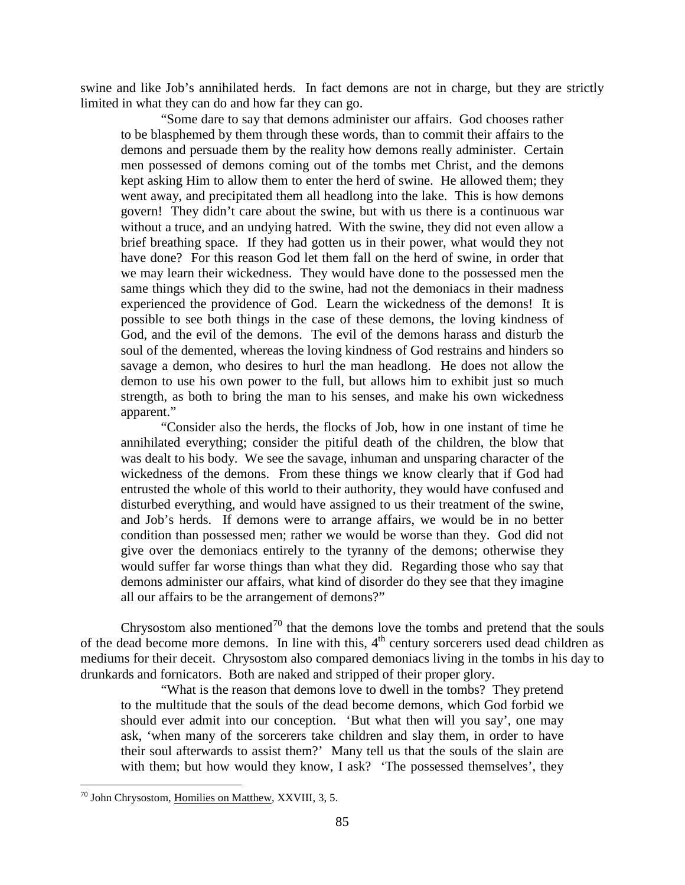swine and like Job's annihilated herds. In fact demons are not in charge, but they are strictly limited in what they can do and how far they can go.

"Some dare to say that demons administer our affairs. God chooses rather to be blasphemed by them through these words, than to commit their affairs to the demons and persuade them by the reality how demons really administer. Certain men possessed of demons coming out of the tombs met Christ, and the demons kept asking Him to allow them to enter the herd of swine. He allowed them; they went away, and precipitated them all headlong into the lake. This is how demons govern! They didn't care about the swine, but with us there is a continuous war without a truce, and an undying hatred. With the swine, they did not even allow a brief breathing space. If they had gotten us in their power, what would they not have done? For this reason God let them fall on the herd of swine, in order that we may learn their wickedness. They would have done to the possessed men the same things which they did to the swine, had not the demoniacs in their madness experienced the providence of God. Learn the wickedness of the demons! It is possible to see both things in the case of these demons, the loving kindness of God, and the evil of the demons. The evil of the demons harass and disturb the soul of the demented, whereas the loving kindness of God restrains and hinders so savage a demon, who desires to hurl the man headlong. He does not allow the demon to use his own power to the full, but allows him to exhibit just so much strength, as both to bring the man to his senses, and make his own wickedness apparent."

"Consider also the herds, the flocks of Job, how in one instant of time he annihilated everything; consider the pitiful death of the children, the blow that was dealt to his body. We see the savage, inhuman and unsparing character of the wickedness of the demons. From these things we know clearly that if God had entrusted the whole of this world to their authority, they would have confused and disturbed everything, and would have assigned to us their treatment of the swine, and Job's herds. If demons were to arrange affairs, we would be in no better condition than possessed men; rather we would be worse than they. God did not give over the demoniacs entirely to the tyranny of the demons; otherwise they would suffer far worse things than what they did. Regarding those who say that demons administer our affairs, what kind of disorder do they see that they imagine all our affairs to be the arrangement of demons?"

Chrysostom also mentioned<sup>[70](#page-43-0)</sup> that the demons love the tombs and pretend that the souls of the dead become more demons. In line with this,  $4<sup>th</sup>$  century sorcerers used dead children as mediums for their deceit. Chrysostom also compared demoniacs living in the tombs in his day to drunkards and fornicators. Both are naked and stripped of their proper glory.

"What is the reason that demons love to dwell in the tombs? They pretend to the multitude that the souls of the dead become demons, which God forbid we should ever admit into our conception. 'But what then will you say', one may ask, 'when many of the sorcerers take children and slay them, in order to have their soul afterwards to assist them?' Many tell us that the souls of the slain are with them; but how would they know, I ask? 'The possessed themselves', they

<span id="page-43-0"></span><sup>&</sup>lt;sup>70</sup> John Chrysostom, Homilies on Matthew, XXVIII, 3, 5.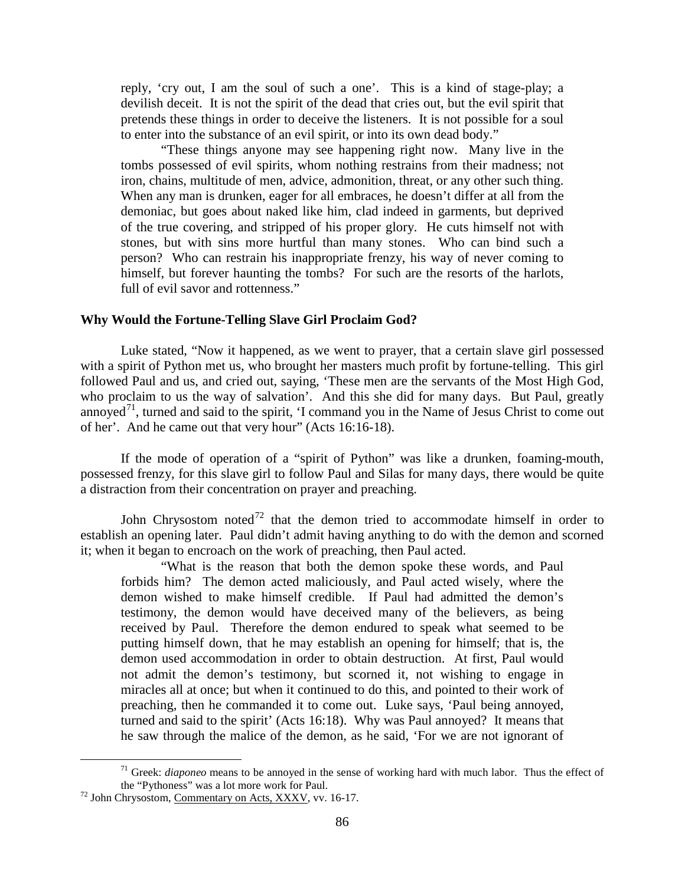reply, 'cry out, I am the soul of such a one'. This is a kind of stage-play; a devilish deceit. It is not the spirit of the dead that cries out, but the evil spirit that pretends these things in order to deceive the listeners. It is not possible for a soul to enter into the substance of an evil spirit, or into its own dead body."

"These things anyone may see happening right now. Many live in the tombs possessed of evil spirits, whom nothing restrains from their madness; not iron, chains, multitude of men, advice, admonition, threat, or any other such thing. When any man is drunken, eager for all embraces, he doesn't differ at all from the demoniac, but goes about naked like him, clad indeed in garments, but deprived of the true covering, and stripped of his proper glory. He cuts himself not with stones, but with sins more hurtful than many stones. Who can bind such a person? Who can restrain his inappropriate frenzy, his way of never coming to himself, but forever haunting the tombs? For such are the resorts of the harlots, full of evil savor and rottenness."

# <span id="page-44-0"></span>**Why Would the Fortune-Telling Slave Girl Proclaim God?**

Luke stated, "Now it happened, as we went to prayer, that a certain slave girl possessed with a spirit of Python met us, who brought her masters much profit by fortune-telling. This girl followed Paul and us, and cried out, saying, 'These men are the servants of the Most High God, who proclaim to us the way of salvation'. And this she did for many days. But Paul, greatly annoyed<sup>[71](#page-44-1)</sup>, turned and said to the spirit, 'I command you in the Name of Jesus Christ to come out of her'. And he came out that very hour" (Acts 16:16-18).

If the mode of operation of a "spirit of Python" was like a drunken, foaming-mouth, possessed frenzy, for this slave girl to follow Paul and Silas for many days, there would be quite a distraction from their concentration on prayer and preaching.

John Chrysostom noted<sup>[72](#page-44-2)</sup> that the demon tried to accommodate himself in order to establish an opening later. Paul didn't admit having anything to do with the demon and scorned it; when it began to encroach on the work of preaching, then Paul acted.

"What is the reason that both the demon spoke these words, and Paul forbids him? The demon acted maliciously, and Paul acted wisely, where the demon wished to make himself credible. If Paul had admitted the demon's testimony, the demon would have deceived many of the believers, as being received by Paul. Therefore the demon endured to speak what seemed to be putting himself down, that he may establish an opening for himself; that is, the demon used accommodation in order to obtain destruction. At first, Paul would not admit the demon's testimony, but scorned it, not wishing to engage in miracles all at once; but when it continued to do this, and pointed to their work of preaching, then he commanded it to come out. Luke says, 'Paul being annoyed, turned and said to the spirit' (Acts 16:18). Why was Paul annoyed? It means that he saw through the malice of the demon, as he said, 'For we are not ignorant of

<sup>&</sup>lt;sup>71</sup> Greek: *diaponeo* means to be annoyed in the sense of working hard with much labor. Thus the effect of the "Pythoness" was a lot more work for Paul.

<span id="page-44-2"></span><span id="page-44-1"></span> $12$  John Chrysostom, Commentary on Acts, XXXV, vv. 16-17.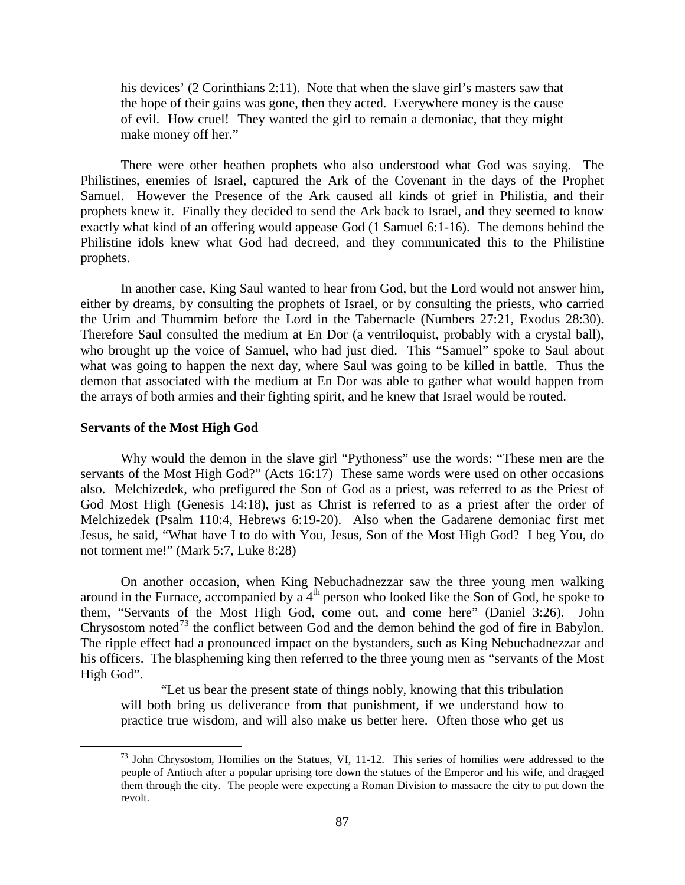his devices' (2 Corinthians 2:11). Note that when the slave girl's masters saw that the hope of their gains was gone, then they acted. Everywhere money is the cause of evil. How cruel! They wanted the girl to remain a demoniac, that they might make money off her."

There were other heathen prophets who also understood what God was saying. The Philistines, enemies of Israel, captured the Ark of the Covenant in the days of the Prophet Samuel. However the Presence of the Ark caused all kinds of grief in Philistia, and their prophets knew it. Finally they decided to send the Ark back to Israel, and they seemed to know exactly what kind of an offering would appease God (1 Samuel 6:1-16). The demons behind the Philistine idols knew what God had decreed, and they communicated this to the Philistine prophets.

In another case, King Saul wanted to hear from God, but the Lord would not answer him, either by dreams, by consulting the prophets of Israel, or by consulting the priests, who carried the Urim and Thummim before the Lord in the Tabernacle (Numbers 27:21, Exodus 28:30). Therefore Saul consulted the medium at En Dor (a ventriloquist, probably with a crystal ball), who brought up the voice of Samuel, who had just died. This "Samuel" spoke to Saul about what was going to happen the next day, where Saul was going to be killed in battle. Thus the demon that associated with the medium at En Dor was able to gather what would happen from the arrays of both armies and their fighting spirit, and he knew that Israel would be routed.

#### <span id="page-45-0"></span>**Servants of the Most High God**

Why would the demon in the slave girl "Pythoness" use the words: "These men are the servants of the Most High God?" (Acts 16:17) These same words were used on other occasions also. Melchizedek, who prefigured the Son of God as a priest, was referred to as the Priest of God Most High (Genesis 14:18), just as Christ is referred to as a priest after the order of Melchizedek (Psalm 110:4, Hebrews 6:19-20). Also when the Gadarene demoniac first met Jesus, he said, "What have I to do with You, Jesus, Son of the Most High God? I beg You, do not torment me!" (Mark 5:7, Luke 8:28)

On another occasion, when King Nebuchadnezzar saw the three young men walking around in the Furnace, accompanied by a  $4<sup>th</sup>$  person who looked like the Son of God, he spoke to them, "Servants of the Most High God, come out, and come here" (Daniel 3:26). John Chrysostom noted<sup>[73](#page-45-1)</sup> the conflict between God and the demon behind the god of fire in Babylon. The ripple effect had a pronounced impact on the bystanders, such as King Nebuchadnezzar and his officers. The blaspheming king then referred to the three young men as "servants of the Most High God".

"Let us bear the present state of things nobly, knowing that this tribulation will both bring us deliverance from that punishment, if we understand how to practice true wisdom, and will also make us better here. Often those who get us

<span id="page-45-1"></span><sup>&</sup>lt;sup>73</sup> John Chrysostom, Homilies on the Statues, VI, 11-12. This series of homilies were addressed to the people of Antioch after a popular uprising tore down the statues of the Emperor and his wife, and dragged them through the city. The people were expecting a Roman Division to massacre the city to put down the revolt.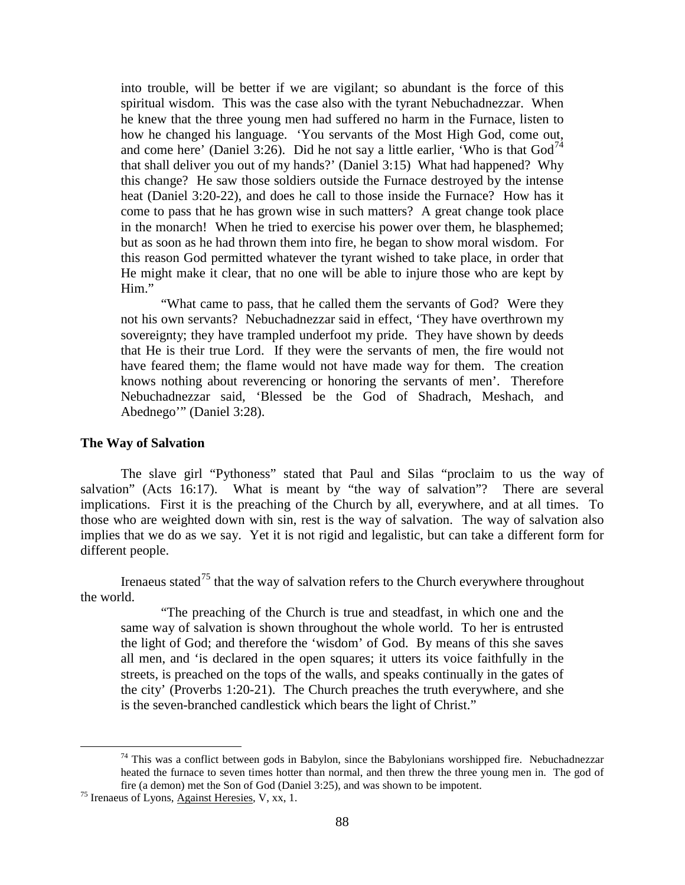into trouble, will be better if we are vigilant; so abundant is the force of this spiritual wisdom. This was the case also with the tyrant Nebuchadnezzar. When he knew that the three young men had suffered no harm in the Furnace, listen to how he changed his language. 'You servants of the Most High God, come out, and come here' (Daniel 3:26). Did he not say a little earlier, 'Who is that  $God<sup>74</sup>$  $God<sup>74</sup>$  $God<sup>74</sup>$ that shall deliver you out of my hands?' (Daniel 3:15) What had happened? Why this change? He saw those soldiers outside the Furnace destroyed by the intense heat (Daniel 3:20-22), and does he call to those inside the Furnace? How has it come to pass that he has grown wise in such matters? A great change took place in the monarch! When he tried to exercise his power over them, he blasphemed; but as soon as he had thrown them into fire, he began to show moral wisdom. For this reason God permitted whatever the tyrant wished to take place, in order that He might make it clear, that no one will be able to injure those who are kept by Him."

"What came to pass, that he called them the servants of God? Were they not his own servants? Nebuchadnezzar said in effect, 'They have overthrown my sovereignty; they have trampled underfoot my pride. They have shown by deeds that He is their true Lord. If they were the servants of men, the fire would not have feared them; the flame would not have made way for them. The creation knows nothing about reverencing or honoring the servants of men'. Therefore Nebuchadnezzar said, 'Blessed be the God of Shadrach, Meshach, and Abednego'" (Daniel 3:28).

### <span id="page-46-0"></span>**The Way of Salvation**

The slave girl "Pythoness" stated that Paul and Silas "proclaim to us the way of salvation" (Acts 16:17). What is meant by "the way of salvation"? There are several implications. First it is the preaching of the Church by all, everywhere, and at all times. To those who are weighted down with sin, rest is the way of salvation. The way of salvation also implies that we do as we say. Yet it is not rigid and legalistic, but can take a different form for different people.

Irenaeus stated<sup>[75](#page-46-2)</sup> that the way of salvation refers to the Church everywhere throughout the world.

"The preaching of the Church is true and steadfast, in which one and the same way of salvation is shown throughout the whole world. To her is entrusted the light of God; and therefore the 'wisdom' of God. By means of this she saves all men, and 'is declared in the open squares; it utters its voice faithfully in the streets, is preached on the tops of the walls, and speaks continually in the gates of the city' (Proverbs 1:20-21). The Church preaches the truth everywhere, and she is the seven-branched candlestick which bears the light of Christ."

<span id="page-46-1"></span> $74$  This was a conflict between gods in Babylon, since the Babylonians worshipped fire. Nebuchadnezzar heated the furnace to seven times hotter than normal, and then threw the three young men in. The god of fire (a demon) met the Son of God (Daniel 3:25), and was shown to be impotent. <sup>75</sup> Irenaeus of Lyons, Against Heresies, V, xx, 1.

<span id="page-46-2"></span>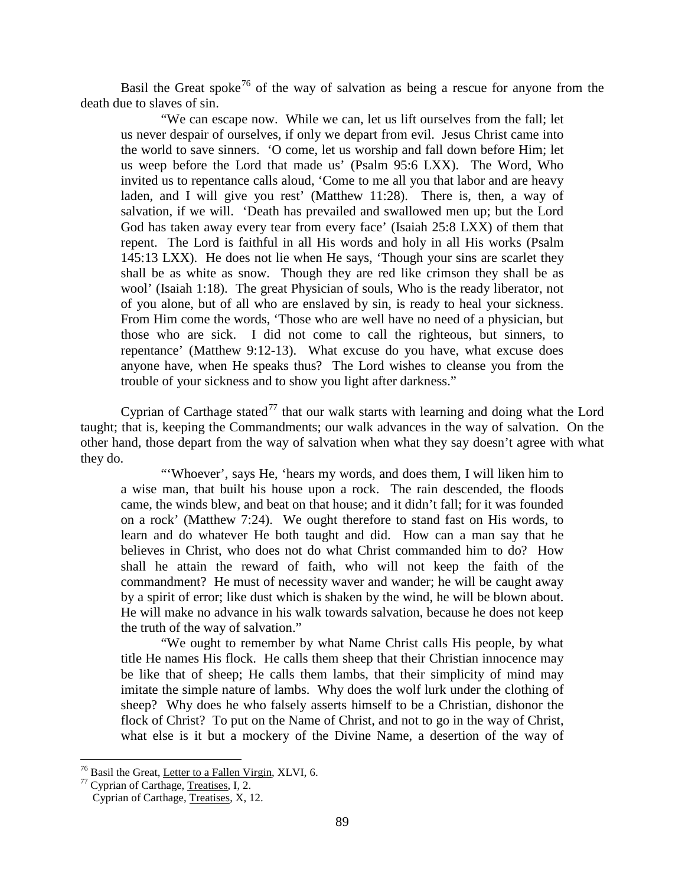Basil the Great spoke<sup>[76](#page-47-0)</sup> of the way of salvation as being a rescue for anyone from the death due to slaves of sin.

"We can escape now. While we can, let us lift ourselves from the fall; let us never despair of ourselves, if only we depart from evil. Jesus Christ came into the world to save sinners. 'O come, let us worship and fall down before Him; let us weep before the Lord that made us' (Psalm 95:6 LXX). The Word, Who invited us to repentance calls aloud, 'Come to me all you that labor and are heavy laden, and I will give you rest' (Matthew 11:28). There is, then, a way of salvation, if we will. 'Death has prevailed and swallowed men up; but the Lord God has taken away every tear from every face' (Isaiah 25:8 LXX) of them that repent. The Lord is faithful in all His words and holy in all His works (Psalm 145:13 LXX). He does not lie when He says, 'Though your sins are scarlet they shall be as white as snow. Though they are red like crimson they shall be as wool' (Isaiah 1:18). The great Physician of souls, Who is the ready liberator, not of you alone, but of all who are enslaved by sin, is ready to heal your sickness. From Him come the words, 'Those who are well have no need of a physician, but those who are sick. I did not come to call the righteous, but sinners, to repentance' (Matthew 9:12-13). What excuse do you have, what excuse does anyone have, when He speaks thus? The Lord wishes to cleanse you from the trouble of your sickness and to show you light after darkness."

Cyprian of Carthage stated<sup>[77](#page-47-1)</sup> that our walk starts with learning and doing what the Lord taught; that is, keeping the Commandments; our walk advances in the way of salvation. On the other hand, those depart from the way of salvation when what they say doesn't agree with what they do.

"'Whoever', says He, 'hears my words, and does them, I will liken him to a wise man, that built his house upon a rock. The rain descended, the floods came, the winds blew, and beat on that house; and it didn't fall; for it was founded on a rock' (Matthew 7:24). We ought therefore to stand fast on His words, to learn and do whatever He both taught and did. How can a man say that he believes in Christ, who does not do what Christ commanded him to do? How shall he attain the reward of faith, who will not keep the faith of the commandment? He must of necessity waver and wander; he will be caught away by a spirit of error; like dust which is shaken by the wind, he will be blown about. He will make no advance in his walk towards salvation, because he does not keep the truth of the way of salvation."

"We ought to remember by what Name Christ calls His people, by what title He names His flock. He calls them sheep that their Christian innocence may be like that of sheep; He calls them lambs, that their simplicity of mind may imitate the simple nature of lambs. Why does the wolf lurk under the clothing of sheep? Why does he who falsely asserts himself to be a Christian, dishonor the flock of Christ? To put on the Name of Christ, and not to go in the way of Christ, what else is it but a mockery of the Divine Name, a desertion of the way of

<span id="page-47-1"></span><span id="page-47-0"></span><sup>&</sup>lt;sup>76</sup> Basil the Great, <u>Letter to a Fallen Virgin</u>, XLVI, 6.<br><sup>77</sup> Cyprian of Carthage, <u>Treatises</u>, I, 2.

Cyprian of Carthage, Treatises, X, 12.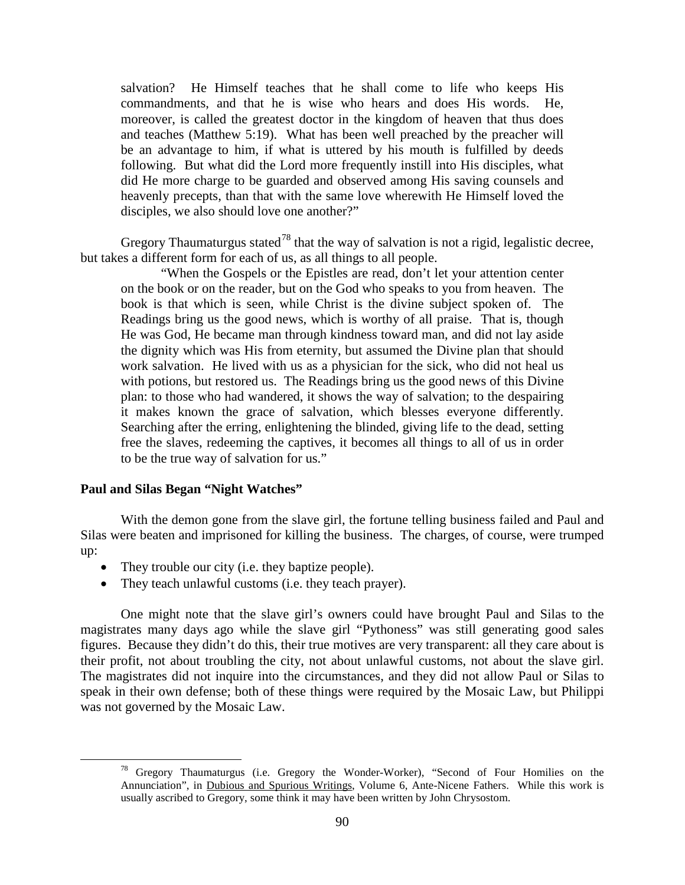salvation? He Himself teaches that he shall come to life who keeps His commandments, and that he is wise who hears and does His words. He, moreover, is called the greatest doctor in the kingdom of heaven that thus does and teaches (Matthew 5:19). What has been well preached by the preacher will be an advantage to him, if what is uttered by his mouth is fulfilled by deeds following. But what did the Lord more frequently instill into His disciples, what did He more charge to be guarded and observed among His saving counsels and heavenly precepts, than that with the same love wherewith He Himself loved the disciples, we also should love one another?"

Gregory Thaumaturgus stated<sup>[78](#page-48-1)</sup> that the way of salvation is not a rigid, legalistic decree, but takes a different form for each of us, as all things to all people.

"When the Gospels or the Epistles are read, don't let your attention center on the book or on the reader, but on the God who speaks to you from heaven. The book is that which is seen, while Christ is the divine subject spoken of. The Readings bring us the good news, which is worthy of all praise. That is, though He was God, He became man through kindness toward man, and did not lay aside the dignity which was His from eternity, but assumed the Divine plan that should work salvation. He lived with us as a physician for the sick, who did not heal us with potions, but restored us. The Readings bring us the good news of this Divine plan: to those who had wandered, it shows the way of salvation; to the despairing it makes known the grace of salvation, which blesses everyone differently. Searching after the erring, enlightening the blinded, giving life to the dead, setting free the slaves, redeeming the captives, it becomes all things to all of us in order to be the true way of salvation for us."

# <span id="page-48-0"></span>**Paul and Silas Began "Night Watches"**

With the demon gone from the slave girl, the fortune telling business failed and Paul and Silas were beaten and imprisoned for killing the business. The charges, of course, were trumped up:

- They trouble our city (i.e. they baptize people).
- They teach unlawful customs (i.e. they teach prayer).

One might note that the slave girl's owners could have brought Paul and Silas to the magistrates many days ago while the slave girl "Pythoness" was still generating good sales figures. Because they didn't do this, their true motives are very transparent: all they care about is their profit, not about troubling the city, not about unlawful customs, not about the slave girl. The magistrates did not inquire into the circumstances, and they did not allow Paul or Silas to speak in their own defense; both of these things were required by the Mosaic Law, but Philippi was not governed by the Mosaic Law.

<span id="page-48-1"></span><sup>&</sup>lt;sup>78</sup> Gregory Thaumaturgus (i.e. Gregory the Wonder-Worker), "Second of Four Homilies on the Annunciation", in Dubious and Spurious Writings, Volume 6, Ante-Nicene Fathers. While this work is usually ascribed to Gregory, some think it may have been written by John Chrysostom.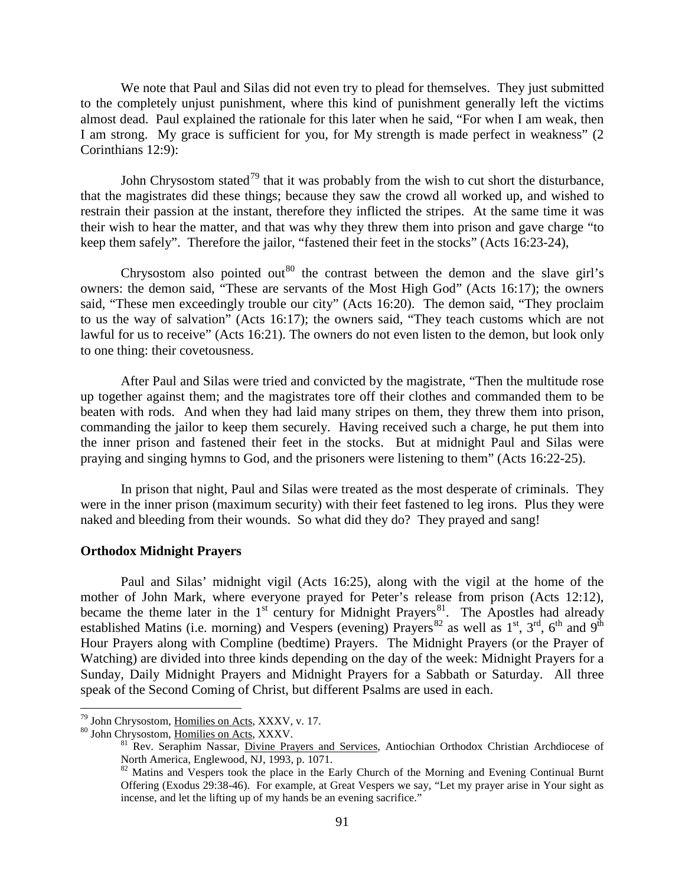We note that Paul and Silas did not even try to plead for themselves. They just submitted to the completely unjust punishment, where this kind of punishment generally left the victims almost dead. Paul explained the rationale for this later when he said, "For when I am weak, then I am strong. My grace is sufficient for you, for My strength is made perfect in weakness" (2 Corinthians 12:9):

John Chrysostom stated<sup>[79](#page-49-1)</sup> that it was probably from the wish to cut short the disturbance, that the magistrates did these things; because they saw the crowd all worked up, and wished to restrain their passion at the instant, therefore they inflicted the stripes. At the same time it was their wish to hear the matter, and that was why they threw them into prison and gave charge "to keep them safely". Therefore the jailor, "fastened their feet in the stocks" (Acts 16:23-24),

Chrysostom also pointed out<sup>[80](#page-49-2)</sup> the contrast between the demon and the slave girl's owners: the demon said, "These are servants of the Most High God" (Acts 16:17); the owners said, "These men exceedingly trouble our city" (Acts 16:20). The demon said, "They proclaim to us the way of salvation" (Acts 16:17); the owners said, "They teach customs which are not lawful for us to receive" (Acts 16:21). The owners do not even listen to the demon, but look only to one thing: their covetousness.

After Paul and Silas were tried and convicted by the magistrate, "Then the multitude rose up together against them; and the magistrates tore off their clothes and commanded them to be beaten with rods. And when they had laid many stripes on them, they threw them into prison, commanding the jailor to keep them securely. Having received such a charge, he put them into the inner prison and fastened their feet in the stocks. But at midnight Paul and Silas were praying and singing hymns to God, and the prisoners were listening to them" (Acts 16:22-25).

In prison that night, Paul and Silas were treated as the most desperate of criminals. They were in the inner prison (maximum security) with their feet fastened to leg irons. Plus they were naked and bleeding from their wounds. So what did they do? They prayed and sang!

#### <span id="page-49-0"></span>**Orthodox Midnight Prayers**

Paul and Silas' midnight vigil (Acts 16:25), along with the vigil at the home of the mother of John Mark, where everyone prayed for Peter's release from prison (Acts 12:12), became the theme later in the  $1<sup>st</sup>$  century for Midnight Prayers<sup>81</sup>. The Apostles had already established Matins (i.e. morning) and Vespers (evening) Prayers<sup>[82](#page-49-4)</sup> as well as  $1<sup>st</sup>$ ,  $3<sup>rd</sup>$ ,  $6<sup>th</sup>$  and  $9<sup>th</sup>$ Hour Prayers along with Compline (bedtime) Prayers. The Midnight Prayers (or the Prayer of Watching) are divided into three kinds depending on the day of the week: Midnight Prayers for a Sunday, Daily Midnight Prayers and Midnight Prayers for a Sabbath or Saturday. All three speak of the Second Coming of Christ, but different Psalms are used in each.

<span id="page-49-3"></span><span id="page-49-2"></span>

<span id="page-49-4"></span>

<span id="page-49-1"></span><sup>&</sup>lt;sup>79</sup> John Chrysostom, <u>Homilies on Acts</u>, XXXV, v. 17.<br><sup>80</sup> John Chrysostom, <u>Homilies on Acts</u>, XXXV.<br><sup>81</sup> Rev. Seraphim Nassar, Divine Prayers and Services, Antiochian Orthodox Christian Archdiocese of North America, Englewood, NJ, 1993, p. 1071.

<sup>&</sup>lt;sup>82</sup> Matins and Vespers took the place in the Early Church of the Morning and Evening Continual Burnt Offering (Exodus 29:38-46). For example, at Great Vespers we say, "Let my prayer arise in Your sight as incense, and let the lifting up of my hands be an evening sacrifice."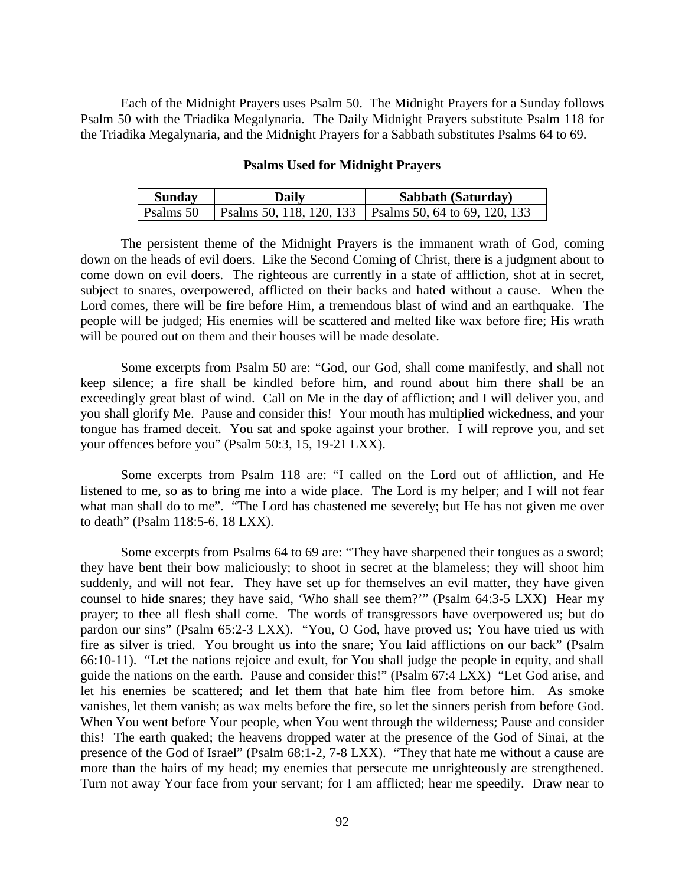Each of the Midnight Prayers uses Psalm 50. The Midnight Prayers for a Sunday follows Psalm 50 with the Triadika Megalynaria. The Daily Midnight Prayers substitute Psalm 118 for the Triadika Megalynaria, and the Midnight Prayers for a Sabbath substitutes Psalms 64 to 69.

#### **Psalms Used for Midnight Prayers**

| <b>Sunday</b> | Daily | Sabbath (Saturday)                                       |
|---------------|-------|----------------------------------------------------------|
| Psalms 50     |       | Psalms 50, 118, 120, 133   Psalms 50, 64 to 69, 120, 133 |

The persistent theme of the Midnight Prayers is the immanent wrath of God, coming down on the heads of evil doers. Like the Second Coming of Christ, there is a judgment about to come down on evil doers. The righteous are currently in a state of affliction, shot at in secret, subject to snares, overpowered, afflicted on their backs and hated without a cause. When the Lord comes, there will be fire before Him, a tremendous blast of wind and an earthquake. The people will be judged; His enemies will be scattered and melted like wax before fire; His wrath will be poured out on them and their houses will be made desolate.

Some excerpts from Psalm 50 are: "God, our God, shall come manifestly, and shall not keep silence; a fire shall be kindled before him, and round about him there shall be an exceedingly great blast of wind. Call on Me in the day of affliction; and I will deliver you, and you shall glorify Me. Pause and consider this! Your mouth has multiplied wickedness, and your tongue has framed deceit. You sat and spoke against your brother. I will reprove you, and set your offences before you" (Psalm 50:3, 15, 19-21 LXX).

Some excerpts from Psalm 118 are: "I called on the Lord out of affliction, and He listened to me, so as to bring me into a wide place. The Lord is my helper; and I will not fear what man shall do to me". "The Lord has chastened me severely; but He has not given me over to death" (Psalm 118:5-6, 18 LXX).

Some excerpts from Psalms 64 to 69 are: "They have sharpened their tongues as a sword; they have bent their bow maliciously; to shoot in secret at the blameless; they will shoot him suddenly, and will not fear. They have set up for themselves an evil matter, they have given counsel to hide snares; they have said, 'Who shall see them?'" (Psalm 64:3-5 LXX) Hear my prayer; to thee all flesh shall come. The words of transgressors have overpowered us; but do pardon our sins" (Psalm 65:2-3 LXX). "You, O God, have proved us; You have tried us with fire as silver is tried. You brought us into the snare; You laid afflictions on our back" (Psalm 66:10-11). "Let the nations rejoice and exult, for You shall judge the people in equity, and shall guide the nations on the earth. Pause and consider this!" (Psalm 67:4 LXX) "Let God arise, and let his enemies be scattered; and let them that hate him flee from before him. As smoke vanishes, let them vanish; as wax melts before the fire, so let the sinners perish from before God. When You went before Your people, when You went through the wilderness; Pause and consider this! The earth quaked; the heavens dropped water at the presence of the God of Sinai, at the presence of the God of Israel" (Psalm 68:1-2, 7-8 LXX). "They that hate me without a cause are more than the hairs of my head; my enemies that persecute me unrighteously are strengthened. Turn not away Your face from your servant; for I am afflicted; hear me speedily. Draw near to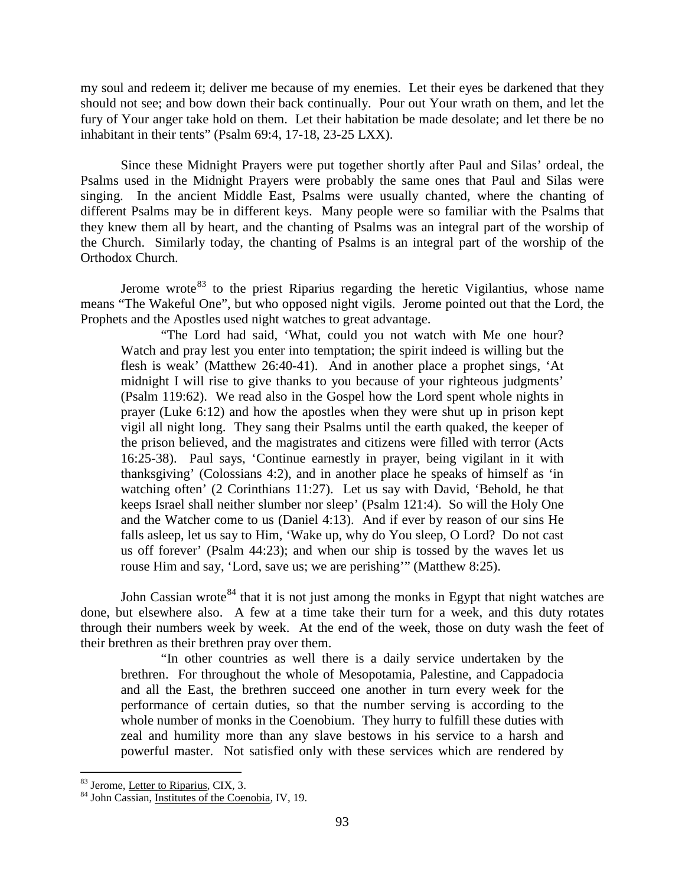my soul and redeem it; deliver me because of my enemies. Let their eyes be darkened that they should not see; and bow down their back continually. Pour out Your wrath on them, and let the fury of Your anger take hold on them. Let their habitation be made desolate; and let there be no inhabitant in their tents" (Psalm 69:4, 17-18, 23-25 LXX).

Since these Midnight Prayers were put together shortly after Paul and Silas' ordeal, the Psalms used in the Midnight Prayers were probably the same ones that Paul and Silas were singing. In the ancient Middle East, Psalms were usually chanted, where the chanting of different Psalms may be in different keys. Many people were so familiar with the Psalms that they knew them all by heart, and the chanting of Psalms was an integral part of the worship of the Church. Similarly today, the chanting of Psalms is an integral part of the worship of the Orthodox Church.

Jerome wrote $83$  to the priest Riparius regarding the heretic Vigilantius, whose name means "The Wakeful One", but who opposed night vigils. Jerome pointed out that the Lord, the Prophets and the Apostles used night watches to great advantage.

"The Lord had said, 'What, could you not watch with Me one hour? Watch and pray lest you enter into temptation; the spirit indeed is willing but the flesh is weak' (Matthew 26:40-41). And in another place a prophet sings, 'At midnight I will rise to give thanks to you because of your righteous judgments' (Psalm 119:62). We read also in the Gospel how the Lord spent whole nights in prayer (Luke 6:12) and how the apostles when they were shut up in prison kept vigil all night long. They sang their Psalms until the earth quaked, the keeper of the prison believed, and the magistrates and citizens were filled with terror (Acts 16:25-38). Paul says, 'Continue earnestly in prayer, being vigilant in it with thanksgiving' (Colossians 4:2), and in another place he speaks of himself as 'in watching often' (2 Corinthians 11:27). Let us say with David, 'Behold, he that keeps Israel shall neither slumber nor sleep' (Psalm 121:4). So will the Holy One and the Watcher come to us (Daniel 4:13). And if ever by reason of our sins He falls asleep, let us say to Him, 'Wake up, why do You sleep, O Lord? Do not cast us off forever' (Psalm 44:23); and when our ship is tossed by the waves let us rouse Him and say, 'Lord, save us; we are perishing'" (Matthew 8:25).

John Cassian wrote<sup>[84](#page-51-1)</sup> that it is not just among the monks in Egypt that night watches are done, but elsewhere also. A few at a time take their turn for a week, and this duty rotates through their numbers week by week. At the end of the week, those on duty wash the feet of their brethren as their brethren pray over them.

"In other countries as well there is a daily service undertaken by the brethren. For throughout the whole of Mesopotamia, Palestine, and Cappadocia and all the East, the brethren succeed one another in turn every week for the performance of certain duties, so that the number serving is according to the whole number of monks in the Coenobium. They hurry to fulfill these duties with zeal and humility more than any slave bestows in his service to a harsh and powerful master. Not satisfied only with these services which are rendered by

<span id="page-51-1"></span><span id="page-51-0"></span> $83$  Jerome, Letter to Riparius, CIX, 3.<br> $84$  John Cassian, Institutes of the Coenobia, IV, 19.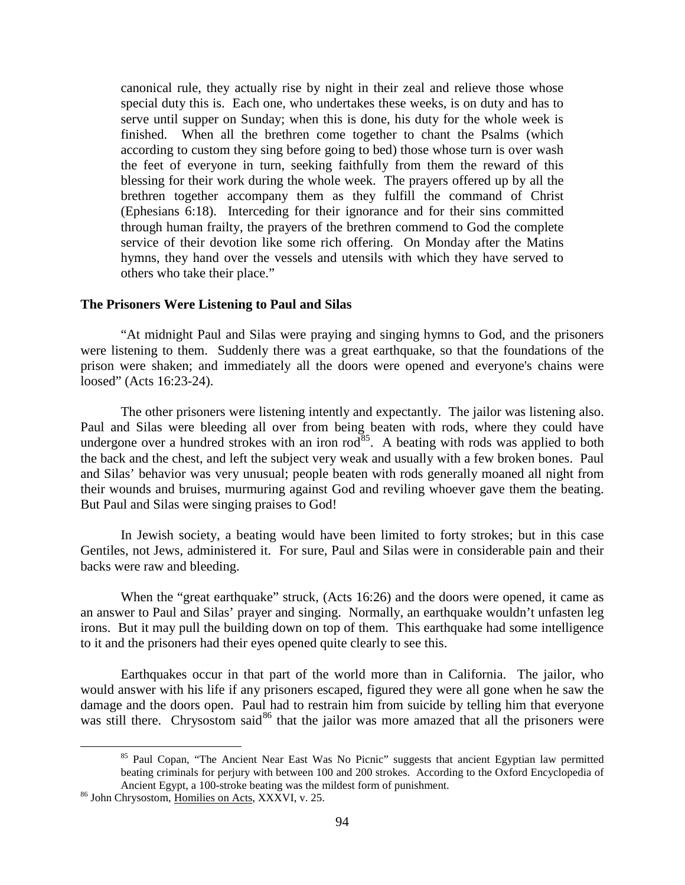canonical rule, they actually rise by night in their zeal and relieve those whose special duty this is. Each one, who undertakes these weeks, is on duty and has to serve until supper on Sunday; when this is done, his duty for the whole week is finished. When all the brethren come together to chant the Psalms (which according to custom they sing before going to bed) those whose turn is over wash the feet of everyone in turn, seeking faithfully from them the reward of this blessing for their work during the whole week. The prayers offered up by all the brethren together accompany them as they fulfill the command of Christ (Ephesians 6:18). Interceding for their ignorance and for their sins committed through human frailty, the prayers of the brethren commend to God the complete service of their devotion like some rich offering. On Monday after the Matins hymns, they hand over the vessels and utensils with which they have served to others who take their place."

### <span id="page-52-0"></span>**The Prisoners Were Listening to Paul and Silas**

"At midnight Paul and Silas were praying and singing hymns to God, and the prisoners were listening to them. Suddenly there was a great earthquake, so that the foundations of the prison were shaken; and immediately all the doors were opened and everyone's chains were loosed" (Acts 16:23-24).

The other prisoners were listening intently and expectantly. The jailor was listening also. Paul and Silas were bleeding all over from being beaten with rods, where they could have undergone over a hundred strokes with an iron  $rod^{85}$ . A beating with rods was applied to both the back and the chest, and left the subject very weak and usually with a few broken bones. Paul and Silas' behavior was very unusual; people beaten with rods generally moaned all night from their wounds and bruises, murmuring against God and reviling whoever gave them the beating. But Paul and Silas were singing praises to God!

In Jewish society, a beating would have been limited to forty strokes; but in this case Gentiles, not Jews, administered it. For sure, Paul and Silas were in considerable pain and their backs were raw and bleeding.

When the "great earthquake" struck, (Acts 16:26) and the doors were opened, it came as an answer to Paul and Silas' prayer and singing. Normally, an earthquake wouldn't unfasten leg irons. But it may pull the building down on top of them. This earthquake had some intelligence to it and the prisoners had their eyes opened quite clearly to see this.

Earthquakes occur in that part of the world more than in California. The jailor, who would answer with his life if any prisoners escaped, figured they were all gone when he saw the damage and the doors open. Paul had to restrain him from suicide by telling him that everyone was still there. Chrysostom said<sup>[86](#page-52-2)</sup> that the jailor was more amazed that all the prisoners were

<span id="page-52-1"></span><sup>&</sup>lt;sup>85</sup> Paul Copan, "The Ancient Near East Was No Picnic" suggests that ancient Egyptian law permitted beating criminals for perjury with between 100 and 200 strokes. According to the Oxford Encyclopedia of Ancient Egypt, a 100-stroke beating was the mildest form of punishment. <sup>86</sup> John Chrysostom, <u>Homilies on Acts</u>, XXXVI, v. 25.

<span id="page-52-2"></span>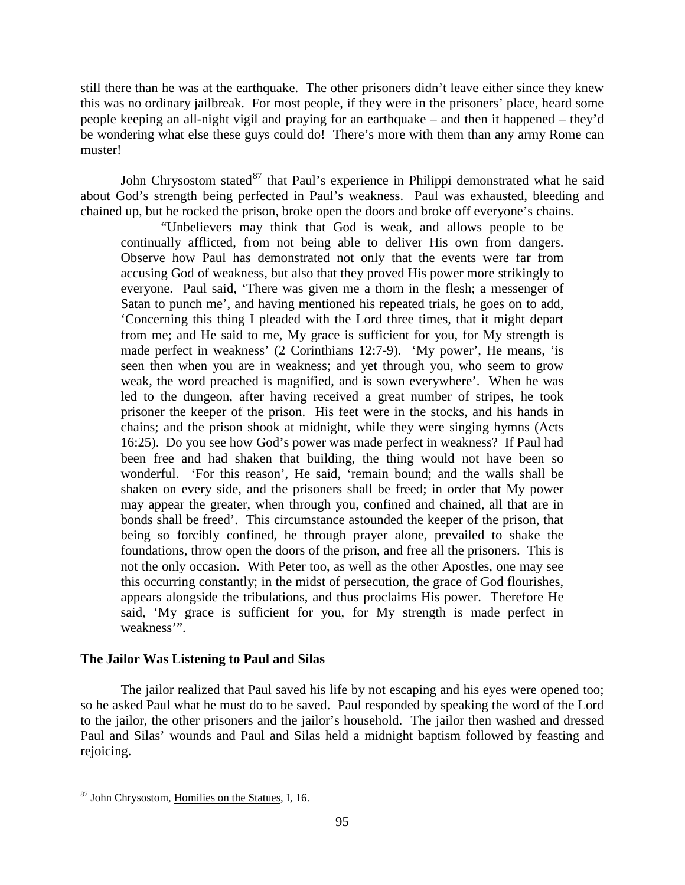still there than he was at the earthquake. The other prisoners didn't leave either since they knew this was no ordinary jailbreak. For most people, if they were in the prisoners' place, heard some people keeping an all-night vigil and praying for an earthquake – and then it happened – they'd be wondering what else these guys could do! There's more with them than any army Rome can muster!

John Chrysostom stated $^{87}$  $^{87}$  $^{87}$  that Paul's experience in Philippi demonstrated what he said about God's strength being perfected in Paul's weakness. Paul was exhausted, bleeding and chained up, but he rocked the prison, broke open the doors and broke off everyone's chains.

"Unbelievers may think that God is weak, and allows people to be continually afflicted, from not being able to deliver His own from dangers. Observe how Paul has demonstrated not only that the events were far from accusing God of weakness, but also that they proved His power more strikingly to everyone. Paul said, 'There was given me a thorn in the flesh; a messenger of Satan to punch me', and having mentioned his repeated trials, he goes on to add, 'Concerning this thing I pleaded with the Lord three times, that it might depart from me; and He said to me, My grace is sufficient for you, for My strength is made perfect in weakness' (2 Corinthians 12:7-9). 'My power', He means, 'is seen then when you are in weakness; and yet through you, who seem to grow weak, the word preached is magnified, and is sown everywhere'. When he was led to the dungeon, after having received a great number of stripes, he took prisoner the keeper of the prison. His feet were in the stocks, and his hands in chains; and the prison shook at midnight, while they were singing hymns (Acts 16:25). Do you see how God's power was made perfect in weakness? If Paul had been free and had shaken that building, the thing would not have been so wonderful. 'For this reason', He said, 'remain bound; and the walls shall be shaken on every side, and the prisoners shall be freed; in order that My power may appear the greater, when through you, confined and chained, all that are in bonds shall be freed'. This circumstance astounded the keeper of the prison, that being so forcibly confined, he through prayer alone, prevailed to shake the foundations, throw open the doors of the prison, and free all the prisoners. This is not the only occasion. With Peter too, as well as the other Apostles, one may see this occurring constantly; in the midst of persecution, the grace of God flourishes, appears alongside the tribulations, and thus proclaims His power. Therefore He said, 'My grace is sufficient for you, for My strength is made perfect in weakness'".

# <span id="page-53-0"></span>**The Jailor Was Listening to Paul and Silas**

The jailor realized that Paul saved his life by not escaping and his eyes were opened too; so he asked Paul what he must do to be saved. Paul responded by speaking the word of the Lord to the jailor, the other prisoners and the jailor's household. The jailor then washed and dressed Paul and Silas' wounds and Paul and Silas held a midnight baptism followed by feasting and rejoicing.

<span id="page-53-1"></span> <sup>87</sup> John Chrysostom, Homilies on the Statues, I, 16.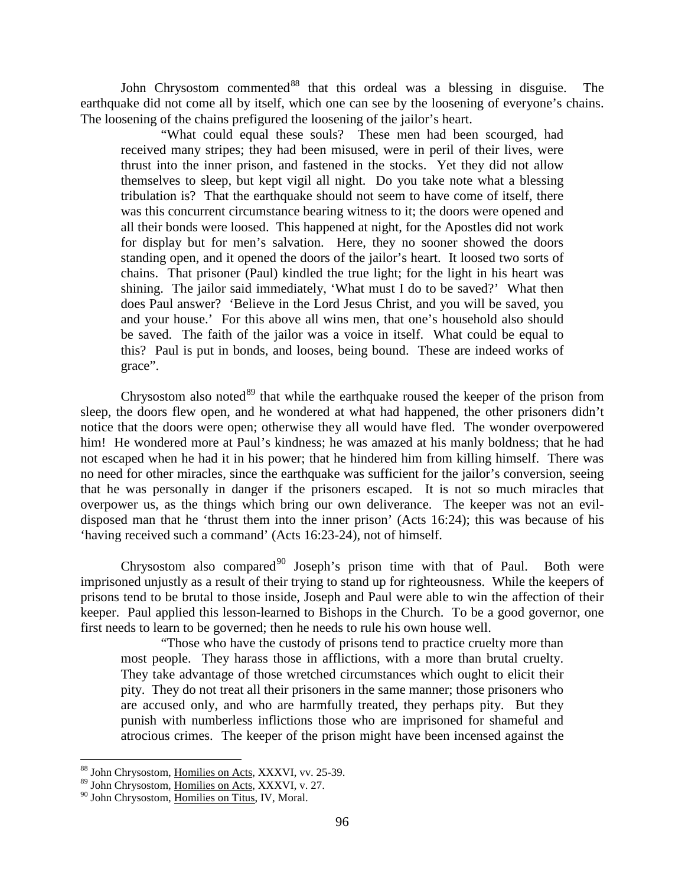John Chrysostom commented<sup>[88](#page-54-0)</sup> that this ordeal was a blessing in disguise. The earthquake did not come all by itself, which one can see by the loosening of everyone's chains. The loosening of the chains prefigured the loosening of the jailor's heart.

"What could equal these souls? These men had been scourged, had received many stripes; they had been misused, were in peril of their lives, were thrust into the inner prison, and fastened in the stocks. Yet they did not allow themselves to sleep, but kept vigil all night. Do you take note what a blessing tribulation is? That the earthquake should not seem to have come of itself, there was this concurrent circumstance bearing witness to it; the doors were opened and all their bonds were loosed. This happened at night, for the Apostles did not work for display but for men's salvation. Here, they no sooner showed the doors standing open, and it opened the doors of the jailor's heart. It loosed two sorts of chains. That prisoner (Paul) kindled the true light; for the light in his heart was shining. The jailor said immediately, 'What must I do to be saved?' What then does Paul answer? 'Believe in the Lord Jesus Christ, and you will be saved, you and your house.' For this above all wins men, that one's household also should be saved. The faith of the jailor was a voice in itself. What could be equal to this? Paul is put in bonds, and looses, being bound. These are indeed works of grace".

Chrysostom also noted $89$  that while the earthquake roused the keeper of the prison from sleep, the doors flew open, and he wondered at what had happened, the other prisoners didn't notice that the doors were open; otherwise they all would have fled. The wonder overpowered him! He wondered more at Paul's kindness; he was amazed at his manly boldness; that he had not escaped when he had it in his power; that he hindered him from killing himself. There was no need for other miracles, since the earthquake was sufficient for the jailor's conversion, seeing that he was personally in danger if the prisoners escaped. It is not so much miracles that overpower us, as the things which bring our own deliverance. The keeper was not an evildisposed man that he 'thrust them into the inner prison' (Acts 16:24); this was because of his 'having received such a command' (Acts 16:23-24), not of himself.

Chrysostom also compared<sup>[90](#page-54-2)</sup> Joseph's prison time with that of Paul. Both were imprisoned unjustly as a result of their trying to stand up for righteousness. While the keepers of prisons tend to be brutal to those inside, Joseph and Paul were able to win the affection of their keeper. Paul applied this lesson-learned to Bishops in the Church. To be a good governor, one first needs to learn to be governed; then he needs to rule his own house well.

"Those who have the custody of prisons tend to practice cruelty more than most people. They harass those in afflictions, with a more than brutal cruelty. They take advantage of those wretched circumstances which ought to elicit their pity. They do not treat all their prisoners in the same manner; those prisoners who are accused only, and who are harmfully treated, they perhaps pity. But they punish with numberless inflictions those who are imprisoned for shameful and atrocious crimes. The keeper of the prison might have been incensed against the

<sup>&</sup>lt;sub>88</sub><br>Bohn Chrysostom, <u>Homilies on Acts</u>, XXXVI, vv. 25-39.

<span id="page-54-0"></span><sup>&</sup>lt;sup>89</sup> John Chrysostom, Homilies on Acts, XXXVI, v. 27.

<span id="page-54-2"></span><span id="page-54-1"></span><sup>&</sup>lt;sup>90</sup> John Chrysostom, Homilies on Titus, IV, Moral.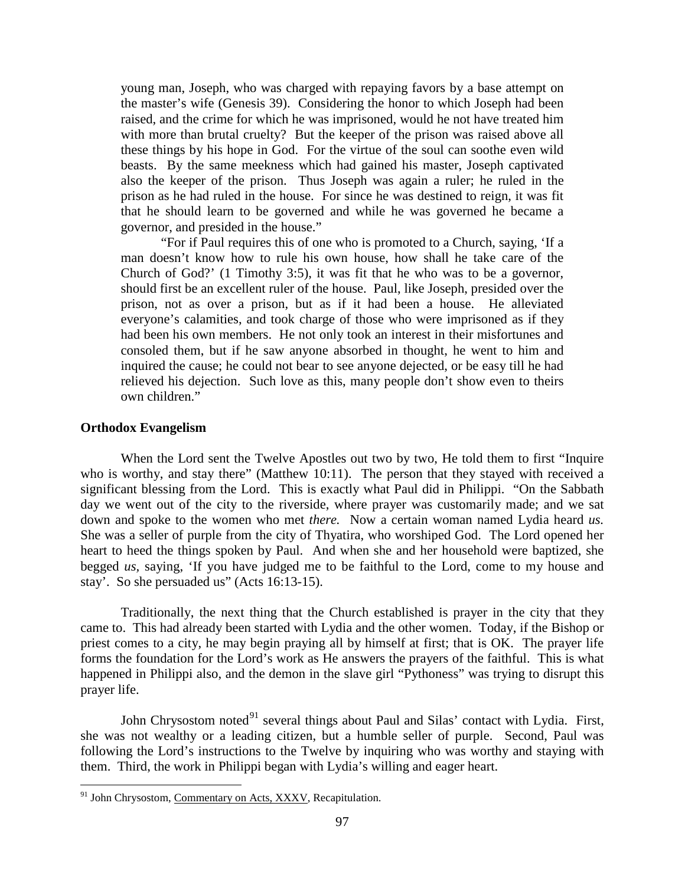young man, Joseph, who was charged with repaying favors by a base attempt on the master's wife (Genesis 39). Considering the honor to which Joseph had been raised, and the crime for which he was imprisoned, would he not have treated him with more than brutal cruelty? But the keeper of the prison was raised above all these things by his hope in God. For the virtue of the soul can soothe even wild beasts. By the same meekness which had gained his master, Joseph captivated also the keeper of the prison. Thus Joseph was again a ruler; he ruled in the prison as he had ruled in the house. For since he was destined to reign, it was fit that he should learn to be governed and while he was governed he became a governor, and presided in the house."

"For if Paul requires this of one who is promoted to a Church, saying, 'If a man doesn't know how to rule his own house, how shall he take care of the Church of God?' (1 Timothy 3:5), it was fit that he who was to be a governor, should first be an excellent ruler of the house. Paul, like Joseph, presided over the prison, not as over a prison, but as if it had been a house. He alleviated everyone's calamities, and took charge of those who were imprisoned as if they had been his own members. He not only took an interest in their misfortunes and consoled them, but if he saw anyone absorbed in thought, he went to him and inquired the cause; he could not bear to see anyone dejected, or be easy till he had relieved his dejection. Such love as this, many people don't show even to theirs own children."

#### <span id="page-55-0"></span>**Orthodox Evangelism**

When the Lord sent the Twelve Apostles out two by two, He told them to first "Inquire who is worthy, and stay there" (Matthew 10:11). The person that they stayed with received a significant blessing from the Lord. This is exactly what Paul did in Philippi. "On the Sabbath day we went out of the city to the riverside, where prayer was customarily made; and we sat down and spoke to the women who met *there.* Now a certain woman named Lydia heard *us.*  She was a seller of purple from the city of Thyatira, who worshiped God. The Lord opened her heart to heed the things spoken by Paul. And when she and her household were baptized, she begged *us,* saying, 'If you have judged me to be faithful to the Lord, come to my house and stay'. So she persuaded us" (Acts 16:13-15).

Traditionally, the next thing that the Church established is prayer in the city that they came to. This had already been started with Lydia and the other women. Today, if the Bishop or priest comes to a city, he may begin praying all by himself at first; that is OK. The prayer life forms the foundation for the Lord's work as He answers the prayers of the faithful. This is what happened in Philippi also, and the demon in the slave girl "Pythoness" was trying to disrupt this prayer life.

John Chrysostom noted $91$  several things about Paul and Silas' contact with Lydia. First, she was not wealthy or a leading citizen, but a humble seller of purple. Second, Paul was following the Lord's instructions to the Twelve by inquiring who was worthy and staying with them. Third, the work in Philippi began with Lydia's willing and eager heart.

<span id="page-55-1"></span><sup>&</sup>lt;sup>91</sup> John Chrysostom, Commentary on Acts, XXXV, Recapitulation.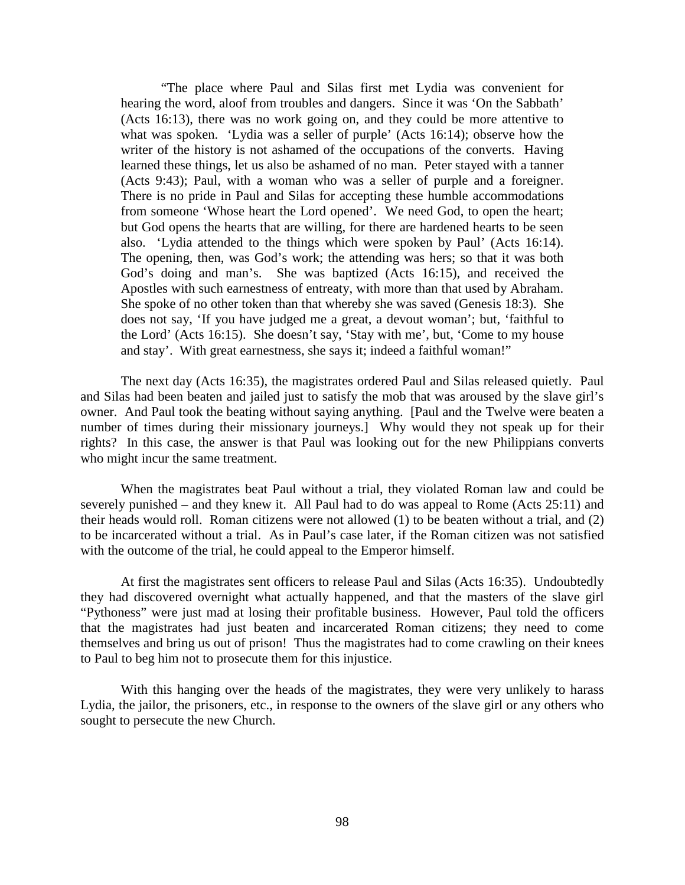"The place where Paul and Silas first met Lydia was convenient for hearing the word, aloof from troubles and dangers. Since it was 'On the Sabbath' (Acts 16:13), there was no work going on, and they could be more attentive to what was spoken. 'Lydia was a seller of purple' (Acts 16:14); observe how the writer of the history is not ashamed of the occupations of the converts. Having learned these things, let us also be ashamed of no man. Peter stayed with a tanner (Acts 9:43); Paul, with a woman who was a seller of purple and a foreigner. There is no pride in Paul and Silas for accepting these humble accommodations from someone 'Whose heart the Lord opened'. We need God, to open the heart; but God opens the hearts that are willing, for there are hardened hearts to be seen also. 'Lydia attended to the things which were spoken by Paul' (Acts 16:14). The opening, then, was God's work; the attending was hers; so that it was both God's doing and man's. She was baptized (Acts 16:15), and received the Apostles with such earnestness of entreaty, with more than that used by Abraham. She spoke of no other token than that whereby she was saved (Genesis 18:3). She does not say, 'If you have judged me a great, a devout woman'; but, 'faithful to the Lord' (Acts 16:15). She doesn't say, 'Stay with me', but, 'Come to my house and stay'. With great earnestness, she says it; indeed a faithful woman!"

The next day (Acts 16:35), the magistrates ordered Paul and Silas released quietly. Paul and Silas had been beaten and jailed just to satisfy the mob that was aroused by the slave girl's owner. And Paul took the beating without saying anything. [Paul and the Twelve were beaten a number of times during their missionary journeys.] Why would they not speak up for their rights? In this case, the answer is that Paul was looking out for the new Philippians converts who might incur the same treatment.

When the magistrates beat Paul without a trial, they violated Roman law and could be severely punished – and they knew it. All Paul had to do was appeal to Rome (Acts 25:11) and their heads would roll. Roman citizens were not allowed (1) to be beaten without a trial, and (2) to be incarcerated without a trial. As in Paul's case later, if the Roman citizen was not satisfied with the outcome of the trial, he could appeal to the Emperor himself.

At first the magistrates sent officers to release Paul and Silas (Acts 16:35). Undoubtedly they had discovered overnight what actually happened, and that the masters of the slave girl "Pythoness" were just mad at losing their profitable business. However, Paul told the officers that the magistrates had just beaten and incarcerated Roman citizens; they need to come themselves and bring us out of prison! Thus the magistrates had to come crawling on their knees to Paul to beg him not to prosecute them for this injustice.

With this hanging over the heads of the magistrates, they were very unlikely to harass Lydia, the jailor, the prisoners, etc., in response to the owners of the slave girl or any others who sought to persecute the new Church.